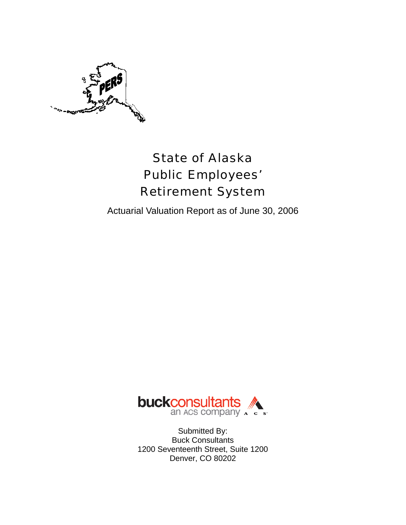

# State of Alaska Public Employees' Retirement System

Actuarial Valuation Report as of June 30, 2006



Submitted By: Buck Consultants 1200 Seventeenth Street, Suite 1200 Denver, CO 80202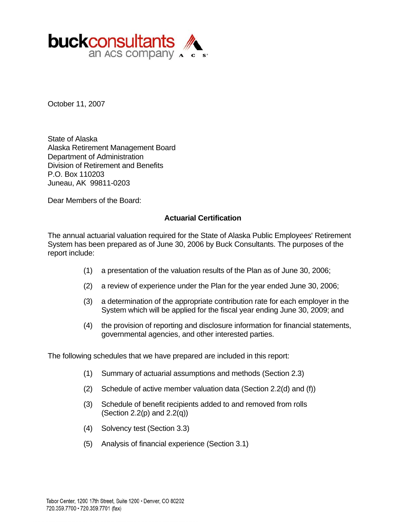

October 11, 2007

State of Alaska Alaska Retirement Management Board Department of Administration Division of Retirement and Benefits P.O. Box 110203 Juneau, AK 99811-0203

Dear Members of the Board:

#### **Actuarial Certification**

The annual actuarial valuation required for the State of Alaska Public Employees' Retirement System has been prepared as of June 30, 2006 by Buck Consultants. The purposes of the report include:

- (1) a presentation of the valuation results of the Plan as of June 30, 2006;
- (2) a review of experience under the Plan for the year ended June 30, 2006;
- (3) a determination of the appropriate contribution rate for each employer in the System which will be applied for the fiscal year ending June 30, 2009; and
- (4) the provision of reporting and disclosure information for financial statements, governmental agencies, and other interested parties.

The following schedules that we have prepared are included in this report:

- (1) Summary of actuarial assumptions and methods (Section 2.3)
- (2) Schedule of active member valuation data (Section 2.2(d) and (f))
- (3) Schedule of benefit recipients added to and removed from rolls (Section 2.2(p) and  $2.2(q)$ )
- (4) Solvency test (Section 3.3)
- (5) Analysis of financial experience (Section 3.1)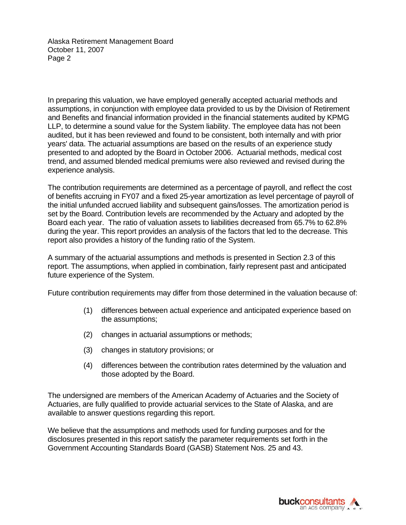Alaska Retirement Management Board October 11, 2007 Page 2

In preparing this valuation, we have employed generally accepted actuarial methods and assumptions, in conjunction with employee data provided to us by the Division of Retirement and Benefits and financial information provided in the financial statements audited by KPMG LLP, to determine a sound value for the System liability. The employee data has not been audited, but it has been reviewed and found to be consistent, both internally and with prior years' data. The actuarial assumptions are based on the results of an experience study presented to and adopted by the Board in October 2006. Actuarial methods, medical cost trend, and assumed blended medical premiums were also reviewed and revised during the experience analysis.

The contribution requirements are determined as a percentage of payroll, and reflect the cost of benefits accruing in FY07 and a fixed 25-year amortization as level percentage of payroll of the initial unfunded accrued liability and subsequent gains/losses. The amortization period is set by the Board. Contribution levels are recommended by the Actuary and adopted by the Board each year. The ratio of valuation assets to liabilities decreased from 65.7% to 62.8% during the year. This report provides an analysis of the factors that led to the decrease. This report also provides a history of the funding ratio of the System.

A summary of the actuarial assumptions and methods is presented in Section 2.3 of this report. The assumptions, when applied in combination, fairly represent past and anticipated future experience of the System.

Future contribution requirements may differ from those determined in the valuation because of:

- (1) differences between actual experience and anticipated experience based on the assumptions;
- (2) changes in actuarial assumptions or methods;
- (3) changes in statutory provisions; or
- (4) differences between the contribution rates determined by the valuation and those adopted by the Board.

The undersigned are members of the American Academy of Actuaries and the Society of Actuaries, are fully qualified to provide actuarial services to the State of Alaska, and are available to answer questions regarding this report.

We believe that the assumptions and methods used for funding purposes and for the disclosures presented in this report satisfy the parameter requirements set forth in the Government Accounting Standards Board (GASB) Statement Nos. 25 and 43.

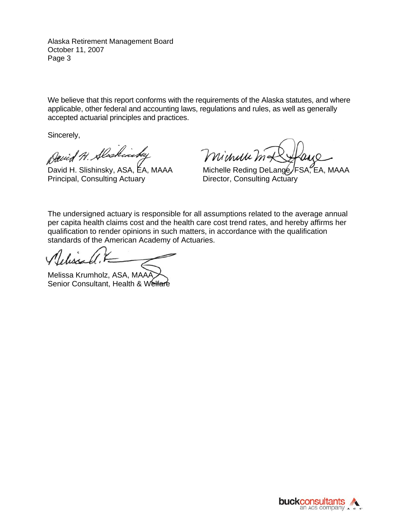Alaska Retirement Management Board October 11, 2007 Page 3

We believe that this report conforms with the requirements of the Alaska statutes, and where applicable, other federal and accounting laws, regulations and rules, as well as generally accepted actuarial principles and practices.

Sincerely,

David H. Alaskinsky

Principal, Consulting Actuary **Director, Consulting Actuary** 

Minuu ma

David H. Slishinsky, ASA, EA, MAAA Michelle Reding DeLange/FSA, EA, MAAA

The undersigned actuary is responsible for all assumptions related to the average annual per capita health claims cost and the health care cost trend rates, and hereby affirms her qualification to render opinions in such matters, in accordance with the qualification standards of the American Academy of Actuaries.

Melissa Krumholz, ASA, MAAA Senior Consultant, Health & Welfare

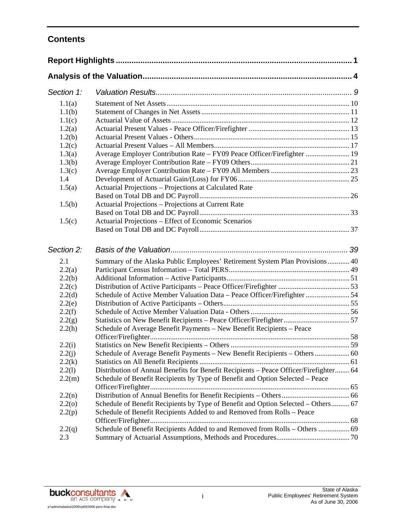# **Contents**

| Section 1: |                                                                                       |  |
|------------|---------------------------------------------------------------------------------------|--|
| 1.1(a)     |                                                                                       |  |
| 1.1(b)     |                                                                                       |  |
| 1.1(c)     |                                                                                       |  |
| 1.2(a)     |                                                                                       |  |
| 1.2(b)     |                                                                                       |  |
| 1.2(c)     |                                                                                       |  |
| 1.3(a)     | Average Employer Contribution Rate - FY09 Peace Officer/Firefighter  19               |  |
| 1.3(b)     |                                                                                       |  |
| 1.3(c)     |                                                                                       |  |
| 1.4        |                                                                                       |  |
| 1.5(a)     | Actuarial Projections - Projections at Calculated Rate                                |  |
|            |                                                                                       |  |
| 1.5(b)     | Actuarial Projections - Projections at Current Rate                                   |  |
|            |                                                                                       |  |
| 1.5(c)     | Actuarial Projections – Effect of Economic Scenarios                                  |  |
|            |                                                                                       |  |
| Section 2: |                                                                                       |  |
| 2.1        | Summary of the Alaska Public Employees' Retirement System Plan Provisions 40          |  |
| 2.2(a)     |                                                                                       |  |
| 2.2(b)     |                                                                                       |  |
| 2.2(c)     |                                                                                       |  |
| 2.2(d)     | Schedule of Active Member Valuation Data – Peace Officer/Firefighter  54              |  |
| 2.2(e)     |                                                                                       |  |
| 2.2(f)     |                                                                                       |  |
| 2.2(g)     |                                                                                       |  |
| 2.2(h)     | Schedule of Average Benefit Payments - New Benefit Recipients - Peace                 |  |
|            |                                                                                       |  |
| 2.2(i)     |                                                                                       |  |
| 2.2(j)     | Schedule of Average Benefit Payments - New Benefit Recipients - Others 60             |  |
| 2.2(k)     |                                                                                       |  |
| 2.2(1)     | Distribution of Annual Benefits for Benefit Recipients - Peace Officer/Firefighter 64 |  |
| 2.2(m)     | Schedule of Benefit Recipients by Type of Benefit and Option Selected - Peace         |  |
| 2.2(n)     |                                                                                       |  |
| 2.2(0)     | Schedule of Benefit Recipients by Type of Benefit and Option Selected - Others 67     |  |
| 2.2(p)     | Schedule of Benefit Recipients Added to and Removed from Rolls - Peace                |  |
|            |                                                                                       |  |
| 2.2(q)     | Schedule of Benefit Recipients Added to and Removed from Rolls - Others  69           |  |
| 2.3        |                                                                                       |  |
|            |                                                                                       |  |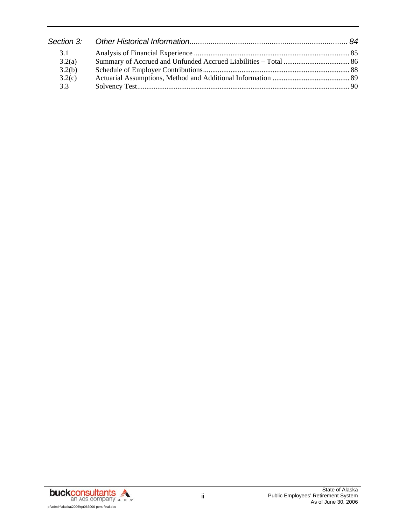| 3.1    |  |
|--------|--|
| 3.2(a) |  |
| 3.2(b) |  |
| 3.2(c) |  |
| 3.3    |  |

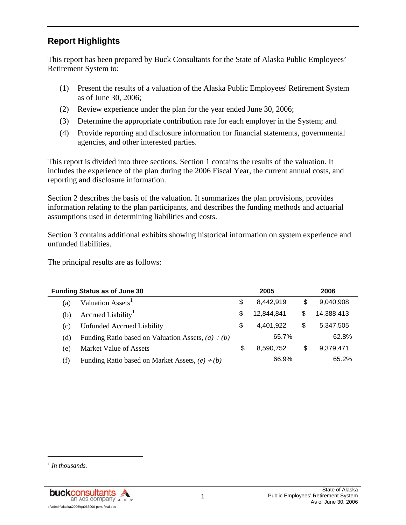# **Report Highlights**

This report has been prepared by Buck Consultants for the State of Alaska Public Employees' Retirement System to:

- (1) Present the results of a valuation of the Alaska Public Employees' Retirement System as of June 30, 2006;
- (2) Review experience under the plan for the year ended June 30, 2006;
- (3) Determine the appropriate contribution rate for each employer in the System; and
- (4) Provide reporting and disclosure information for financial statements, governmental agencies, and other interested parties.

This report is divided into three sections. Section 1 contains the results of the valuation. It includes the experience of the plan during the 2006 Fiscal Year, the current annual costs, and reporting and disclosure information.

Section 2 describes the basis of the valuation. It summarizes the plan provisions, provides information relating to the plan participants, and describes the funding methods and actuarial assumptions used in determining liabilities and costs.

Section 3 contains additional exhibits showing historical information on system experience and unfunded liabilities.

The principal results are as follows:

|     | <b>Funding Status as of June 30</b>                     |    | 2005       | 2006             |  |
|-----|---------------------------------------------------------|----|------------|------------------|--|
| (a) | Valuation Assets <sup>1</sup>                           | \$ | 8,442,919  | \$<br>9,040,908  |  |
| (b) | Accrued Liability                                       | S  | 12,844,841 | \$<br>14,388,413 |  |
| (c) | Unfunded Accrued Liability                              | \$ | 4,401,922  | \$<br>5,347,505  |  |
| (d) | Funding Ratio based on Valuation Assets, $(a) \div (b)$ |    | 65.7%      | 62.8%            |  |
| (e) | Market Value of Assets                                  | S  | 8.590.752  | \$<br>9,379,471  |  |
| (f) | Funding Ratio based on Market Assets, $(e) \div (b)$    |    | 66.9%      | 65.2%            |  |

l

*<sup>1</sup> In thousands.*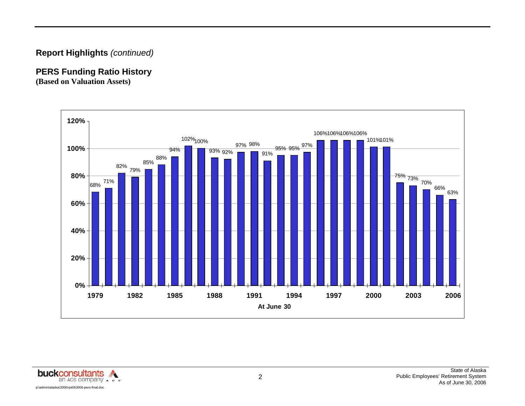# **Report Highlights** *(continued)*

# **PERS Funding Ratio History**

**(Based on Valuation Assets)** 



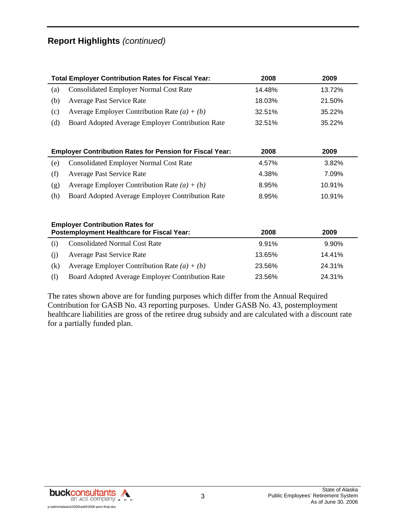# **Report Highlights** *(continued)*

|     | <b>Total Employer Contribution Rates for Fiscal Year:</b>                                   | 2008   | 2009   |
|-----|---------------------------------------------------------------------------------------------|--------|--------|
| (a) | <b>Consolidated Employer Normal Cost Rate</b>                                               | 14.48% | 13.72% |
| (b) | Average Past Service Rate                                                                   | 18.03% | 21.50% |
| (c) | Average Employer Contribution Rate $(a) + (b)$                                              | 32.51% | 35.22% |
| (d) | Board Adopted Average Employer Contribution Rate                                            | 32.51% | 35.22% |
|     | <b>Employer Contribution Rates for Pension for Fiscal Year:</b>                             | 2008   | 2009   |
| (e) | <b>Consolidated Employer Normal Cost Rate</b>                                               | 4.57%  | 3.82%  |
| (f) | <b>Average Past Service Rate</b>                                                            | 4.38%  | 7.09%  |
| (g) | Average Employer Contribution Rate $(a) + (b)$                                              | 8.95%  | 10.91% |
| (h) | Board Adopted Average Employer Contribution Rate                                            | 8.95%  | 10.91% |
|     | <b>Employer Contribution Rates for</b><br><b>Postemployment Healthcare for Fiscal Year:</b> | 2008   | 2009   |
| (i) | <b>Consolidated Normal Cost Rate</b>                                                        | 9.91%  | 9.90%  |
| (j) | Average Past Service Rate                                                                   | 13.65% | 14.41% |
| (k) | Average Employer Contribution Rate $(a) + (b)$                                              | 23.56% | 24.31% |
| (1) | Board Adopted Average Employer Contribution Rate                                            | 23.56% | 24.31% |

The rates shown above are for funding purposes which differ from the Annual Required Contribution for GASB No. 43 reporting purposes. Under GASB No. 43, postemployment healthcare liabilities are gross of the retiree drug subsidy and are calculated with a discount rate for a partially funded plan.

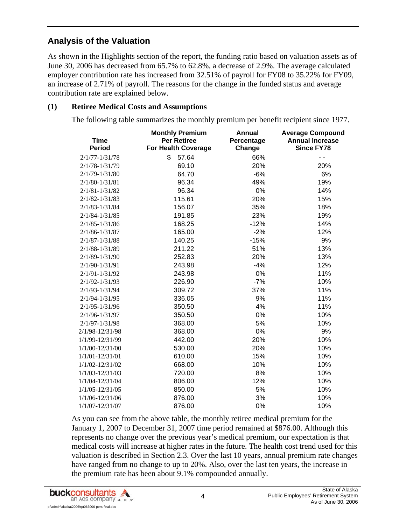## **Analysis of the Valuation**

As shown in the Highlights section of the report, the funding ratio based on valuation assets as of June 30, 2006 has decreased from 65.7% to 62.8%, a decrease of 2.9%. The average calculated employer contribution rate has increased from 32.51% of payroll for FY08 to 35.22% for FY09, an increase of 2.71% of payroll. The reasons for the change in the funded status and average contribution rate are explained below.

#### **(1) Retiree Medical Costs and Assumptions**

The following table summarizes the monthly premium per benefit recipient since 1977.

| <b>Time</b><br><b>Period</b> | <b>Monthly Premium</b><br><b>Per Retiree</b><br>For Health Coverage | <b>Annual</b><br>Percentage<br>Change | <b>Average Compound</b><br><b>Annual Increase</b><br><b>Since FY78</b> |
|------------------------------|---------------------------------------------------------------------|---------------------------------------|------------------------------------------------------------------------|
| $2/1/77 - 1/31/78$           | \$<br>57.64                                                         | 66%                                   | 44                                                                     |
| $2/1/78 - 1/31/79$           | 69.10                                                               | 20%                                   | 20%                                                                    |
| $2/1/79 - 1/31/80$           | 64.70                                                               | $-6%$                                 | 6%                                                                     |
| $2/1/80 - 1/31/81$           | 96.34                                                               | 49%                                   | 19%                                                                    |
| $2/1/81 - 1/31/82$           | 96.34                                                               | 0%                                    | 14%                                                                    |
| $2/1/82 - 1/31/83$           | 115.61                                                              | 20%                                   | 15%                                                                    |
| $2/1/83 - 1/31/84$           | 156.07                                                              | 35%                                   | 18%                                                                    |
| $2/1/84 - 1/31/85$           | 191.85                                                              | 23%                                   | 19%                                                                    |
| $2/1/85 - 1/31/86$           | 168.25                                                              | $-12%$                                | 14%                                                                    |
| $2/1/86 - 1/31/87$           | 165.00                                                              | $-2%$                                 | 12%                                                                    |
| $2/1/87 - 1/31/88$           | 140.25                                                              | $-15%$                                | 9%                                                                     |
| $2/1/88 - 1/31/89$           | 211.22                                                              | 51%                                   | 13%                                                                    |
| $2/1/89 - 1/31/90$           | 252.83                                                              | 20%                                   | 13%                                                                    |
| 2/1/90-1/31/91               | 243.98                                                              | $-4%$                                 | 12%                                                                    |
| $2/1/91 - 1/31/92$           | 243.98                                                              | 0%                                    | 11%                                                                    |
| $2/1/92 - 1/31/93$           | 226.90                                                              | $-7%$                                 | 10%                                                                    |
| $2/1/93 - 1/31/94$           | 309.72                                                              | 37%                                   | 11%                                                                    |
| $2/1/94 - 1/31/95$           | 336.05                                                              | 9%                                    | 11%                                                                    |
| $2/1/95 - 1/31/96$           | 350.50                                                              | 4%                                    | 11%                                                                    |
| $2/1/96 - 1/31/97$           | 350.50                                                              | 0%                                    | 10%                                                                    |
| $2/1/97 - 1/31/98$           | 368.00                                                              | 5%                                    | 10%                                                                    |
| 2/1/98-12/31/98              | 368.00                                                              | 0%                                    | 9%                                                                     |
| 1/1/99-12/31/99              | 442.00                                                              | 20%                                   | 10%                                                                    |
| $1/1/00 - 12/31/00$          | 530.00                                                              | 20%                                   | 10%                                                                    |
| $1/1/01 - 12/31/01$          | 610.00                                                              | 15%                                   | 10%                                                                    |
| 1/1/02-12/31/02              | 668.00                                                              | 10%                                   | 10%                                                                    |
| 1/1/03-12/31/03              | 720.00                                                              | 8%                                    | 10%                                                                    |
| 1/1/04-12/31/04              | 806.00                                                              | 12%                                   | 10%                                                                    |
| $1/1/05 - 12/31/05$          | 850.00                                                              | 5%                                    | 10%                                                                    |
| 1/1/06-12/31/06              | 876.00                                                              | 3%                                    | 10%                                                                    |
| $1/1/07 - 12/31/07$          | 876.00                                                              | 0%                                    | 10%                                                                    |

As you can see from the above table, the monthly retiree medical premium for the January 1, 2007 to December 31, 2007 time period remained at \$876.00. Although this represents no change over the previous year's medical premium, our expectation is that medical costs will increase at higher rates in the future. The health cost trend used for this valuation is described in Section 2.3. Over the last 10 years, annual premium rate changes have ranged from no change to up to 20%. Also, over the last ten years, the increase in the premium rate has been about 9.1% compounded annually.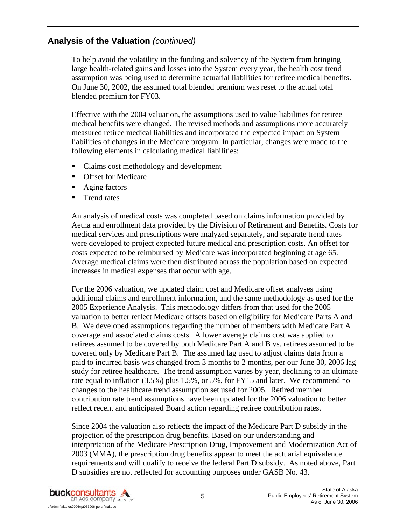To help avoid the volatility in the funding and solvency of the System from bringing large health-related gains and losses into the System every year, the health cost trend assumption was being used to determine actuarial liabilities for retiree medical benefits. On June 30, 2002, the assumed total blended premium was reset to the actual total blended premium for FY03.

Effective with the 2004 valuation, the assumptions used to value liabilities for retiree medical benefits were changed. The revised methods and assumptions more accurately measured retiree medical liabilities and incorporated the expected impact on System liabilities of changes in the Medicare program. In particular, changes were made to the following elements in calculating medical liabilities:

- Claims cost methodology and development
- **Offset for Medicare**
- Aging factors
- **Trend rates**

An analysis of medical costs was completed based on claims information provided by Aetna and enrollment data provided by the Division of Retirement and Benefits. Costs for medical services and prescriptions were analyzed separately, and separate trend rates were developed to project expected future medical and prescription costs. An offset for costs expected to be reimbursed by Medicare was incorporated beginning at age 65. Average medical claims were then distributed across the population based on expected increases in medical expenses that occur with age.

For the 2006 valuation, we updated claim cost and Medicare offset analyses using additional claims and enrollment information, and the same methodology as used for the 2005 Experience Analysis. This methodology differs from that used for the 2005 valuation to better reflect Medicare offsets based on eligibility for Medicare Parts A and B. We developed assumptions regarding the number of members with Medicare Part A coverage and associated claims costs. A lower average claims cost was applied to retirees assumed to be covered by both Medicare Part A and B vs. retirees assumed to be covered only by Medicare Part B. The assumed lag used to adjust claims data from a paid to incurred basis was changed from 3 months to 2 months, per our June 30, 2006 lag study for retiree healthcare. The trend assumption varies by year, declining to an ultimate rate equal to inflation (3.5%) plus 1.5%, or 5%, for FY15 and later. We recommend no changes to the healthcare trend assumption set used for 2005. Retired member contribution rate trend assumptions have been updated for the 2006 valuation to better reflect recent and anticipated Board action regarding retiree contribution rates.

Since 2004 the valuation also reflects the impact of the Medicare Part D subsidy in the projection of the prescription drug benefits. Based on our understanding and interpretation of the Medicare Prescription Drug, Improvement and Modernization Act of 2003 (MMA), the prescription drug benefits appear to meet the actuarial equivalence requirements and will qualify to receive the federal Part D subsidy. As noted above, Part D subsidies are not reflected for accounting purposes under GASB No. 43.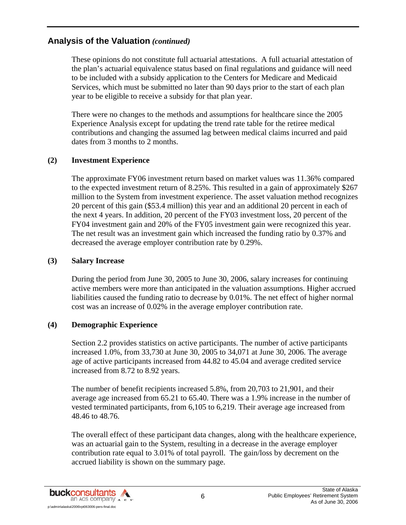These opinions do not constitute full actuarial attestations. A full actuarial attestation of the plan's actuarial equivalence status based on final regulations and guidance will need to be included with a subsidy application to the Centers for Medicare and Medicaid Services, which must be submitted no later than 90 days prior to the start of each plan year to be eligible to receive a subsidy for that plan year.

There were no changes to the methods and assumptions for healthcare since the 2005 Experience Analysis except for updating the trend rate table for the retiree medical contributions and changing the assumed lag between medical claims incurred and paid dates from 3 months to 2 months.

#### **(2) Investment Experience**

The approximate FY06 investment return based on market values was 11.36% compared to the expected investment return of 8.25%. This resulted in a gain of approximately \$267 million to the System from investment experience. The asset valuation method recognizes 20 percent of this gain (\$53.4 million) this year and an additional 20 percent in each of the next 4 years. In addition, 20 percent of the FY03 investment loss, 20 percent of the FY04 investment gain and 20% of the FY05 investment gain were recognized this year. The net result was an investment gain which increased the funding ratio by 0.37% and decreased the average employer contribution rate by 0.29%.

#### **(3) Salary Increase**

During the period from June 30, 2005 to June 30, 2006, salary increases for continuing active members were more than anticipated in the valuation assumptions. Higher accrued liabilities caused the funding ratio to decrease by 0.01%. The net effect of higher normal cost was an increase of 0.02% in the average employer contribution rate.

#### **(4) Demographic Experience**

Section 2.2 provides statistics on active participants. The number of active participants increased 1.0%, from 33,730 at June 30, 2005 to 34,071 at June 30, 2006. The average age of active participants increased from 44.82 to 45.04 and average credited service increased from 8.72 to 8.92 years.

The number of benefit recipients increased 5.8%, from 20,703 to 21,901, and their average age increased from 65.21 to 65.40. There was a 1.9% increase in the number of vested terminated participants, from 6,105 to 6,219. Their average age increased from 48.46 to 48.76.

The overall effect of these participant data changes, along with the healthcare experience, was an actuarial gain to the System, resulting in a decrease in the average employer contribution rate equal to 3.01% of total payroll. The gain/loss by decrement on the accrued liability is shown on the summary page.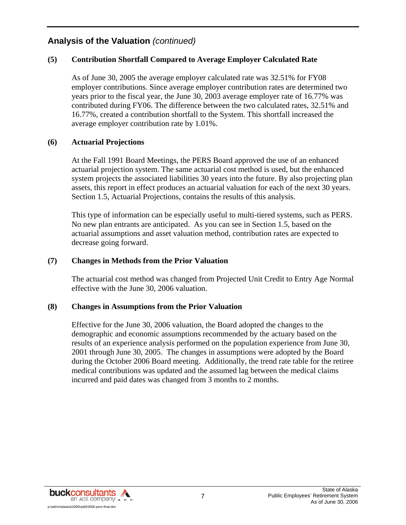#### **(5) Contribution Shortfall Compared to Average Employer Calculated Rate**

As of June 30, 2005 the average employer calculated rate was 32.51% for FY08 employer contributions. Since average employer contribution rates are determined two years prior to the fiscal year, the June 30, 2003 average employer rate of 16.77% was contributed during FY06. The difference between the two calculated rates, 32.51% and 16.77%, created a contribution shortfall to the System. This shortfall increased the average employer contribution rate by 1.01%.

#### **(6) Actuarial Projections**

At the Fall 1991 Board Meetings, the PERS Board approved the use of an enhanced actuarial projection system. The same actuarial cost method is used, but the enhanced system projects the associated liabilities 30 years into the future. By also projecting plan assets, this report in effect produces an actuarial valuation for each of the next 30 years. Section 1.5, Actuarial Projections, contains the results of this analysis.

This type of information can be especially useful to multi-tiered systems, such as PERS. No new plan entrants are anticipated. As you can see in Section 1.5, based on the actuarial assumptions and asset valuation method, contribution rates are expected to decrease going forward.

#### **(7) Changes in Methods from the Prior Valuation**

The actuarial cost method was changed from Projected Unit Credit to Entry Age Normal effective with the June 30, 2006 valuation.

#### **(8) Changes in Assumptions from the Prior Valuation**

Effective for the June 30, 2006 valuation, the Board adopted the changes to the demographic and economic assumptions recommended by the actuary based on the results of an experience analysis performed on the population experience from June 30, 2001 through June 30, 2005. The changes in assumptions were adopted by the Board during the October 2006 Board meeting. Additionally, the trend rate table for the retiree medical contributions was updated and the assumed lag between the medical claims incurred and paid dates was changed from 3 months to 2 months.

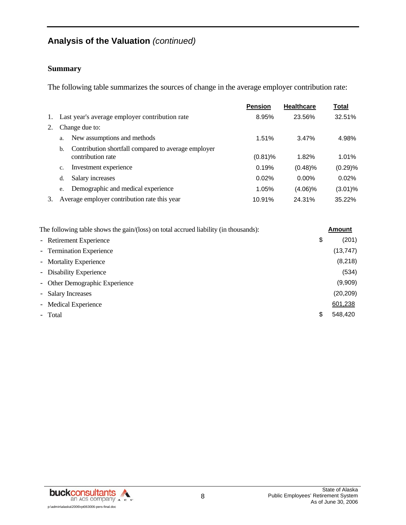#### **Summary**

The following table summarizes the sources of change in the average employer contribution rate:

|    |                                                           | <b>Pension</b> | <b>Healthcare</b> | <b>Total</b> |
|----|-----------------------------------------------------------|----------------|-------------------|--------------|
| 1. | Last year's average employer contribution rate            | 8.95%          | 23.56%            | 32.51%       |
| 2. | Change due to:                                            |                |                   |              |
|    | New assumptions and methods<br>a.                         | 1.51%          | 3.47%             | 4.98%        |
|    | Contribution shortfall compared to average employer<br>b. |                |                   |              |
|    | contribution rate                                         | $(0.81)\%$     | 1.82%             | 1.01%        |
|    | Investment experience<br>c.                               | 0.19%          | (0.48)%           | (0.29)%      |
|    | Salary increases<br>d.                                    | 0.02%          | $0.00\%$          | 0.02%        |
|    | Demographic and medical experience<br>e.                  | 1.05%          | $(4.06)\%$        | $(3.01)\%$   |
| 3. | Average employer contribution rate this year              | 10.91%         | 24.31%            | 35.22%       |

| The following table shows the gain/(loss) on total accrued liability (in thousands): | <b>Amount</b> |
|--------------------------------------------------------------------------------------|---------------|
| - Retirement Experience                                                              | \$<br>(201)   |
| - Termination Experience                                                             | (13, 747)     |
| - Mortality Experience                                                               | (8,218)       |
| - Disability Experience                                                              | (534)         |
| - Other Demographic Experience                                                       | (9,909)       |
| - Salary Increases                                                                   | (20, 209)     |
| - Medical Experience                                                                 | 601,238       |
| - Total                                                                              | \$<br>548.420 |

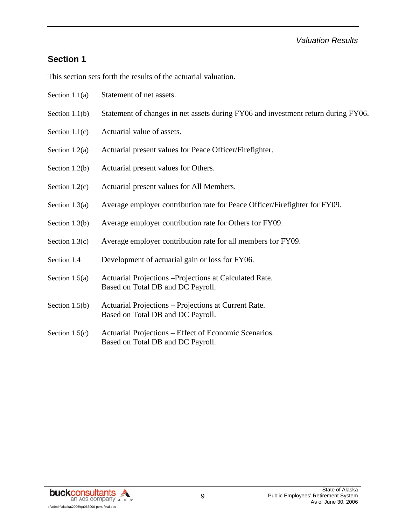#### *Valuation Results*

## **Section 1**

This section sets forth the results of the actuarial valuation.

- Section 1.1(a) Statement of net assets.
- Section 1.1(b) Statement of changes in net assets during FY06 and investment return during FY06.
- Section 1.1(c) Actuarial value of assets.
- Section 1.2(a) Actuarial present values for Peace Officer/Firefighter.
- Section 1.2(b) Actuarial present values for Others.
- Section 1.2(c) Actuarial present values for All Members.
- Section 1.3(a) Average employer contribution rate for Peace Officer/Firefighter for FY09.
- Section 1.3(b) Average employer contribution rate for Others for FY09.
- Section 1.3(c) Average employer contribution rate for all members for FY09.
- Section 1.4 Development of actuarial gain or loss for FY06.
- Section 1.5(a) Actuarial Projections –Projections at Calculated Rate. Based on Total DB and DC Payroll.
- Section 1.5(b) Actuarial Projections Projections at Current Rate. Based on Total DB and DC Payroll.
- Section 1.5(c) Actuarial Projections Effect of Economic Scenarios. Based on Total DB and DC Payroll.

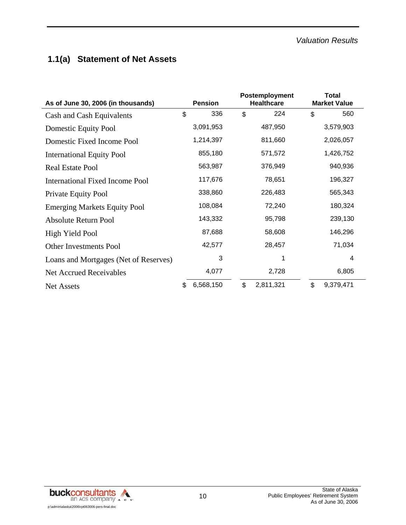# **1.1(a) Statement of Net Assets**

| As of June 30, 2006 (in thousands)    |    | <b>Pension</b> |                | Postemployment<br><b>Healthcare</b> | <b>Total</b><br><b>Market Value</b> |
|---------------------------------------|----|----------------|----------------|-------------------------------------|-------------------------------------|
| Cash and Cash Equivalents             | \$ | 336            | \$             | 224                                 | \$<br>560                           |
| <b>Domestic Equity Pool</b>           |    | 3,091,953      |                | 487,950                             | 3,579,903                           |
| Domestic Fixed Income Pool            |    | 1,214,397      |                | 811,660                             | 2,026,057                           |
| <b>International Equity Pool</b>      |    | 855,180        |                | 571,572                             | 1,426,752                           |
| <b>Real Estate Pool</b>               |    | 563,987        |                | 376,949                             | 940,936                             |
| International Fixed Income Pool       |    | 117,676        |                | 78,651                              | 196,327                             |
| Private Equity Pool                   |    | 338,860        |                | 226,483                             | 565,343                             |
| <b>Emerging Markets Equity Pool</b>   |    | 108,084        |                | 72,240                              | 180,324                             |
| Absolute Return Pool                  |    | 143,332        |                | 95,798                              | 239,130                             |
| High Yield Pool                       |    | 87,688         |                | 58,608                              | 146,296                             |
| <b>Other Investments Pool</b>         |    | 42,577         |                | 28,457                              | 71,034                              |
| Loans and Mortgages (Net of Reserves) |    | 3              |                |                                     | 4                                   |
| <b>Net Accrued Receivables</b>        |    | 4,077          |                | 2,728                               | 6,805                               |
| <b>Net Assets</b>                     | \$ | 6,568,150      | $\mathfrak{L}$ | 2,811,321                           | \$<br>9,379,471                     |

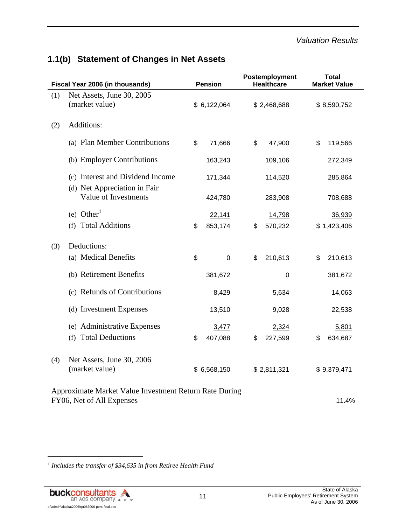#### *Valuation Results*

| Fiscal Year 2006 (in thousands) |                                                        | <b>Pension</b>  | Postemployment<br><b>Healthcare</b> | <b>Total</b><br><b>Market Value</b> |             |
|---------------------------------|--------------------------------------------------------|-----------------|-------------------------------------|-------------------------------------|-------------|
| (1)                             | Net Assets, June 30, 2005                              |                 |                                     |                                     |             |
|                                 | (market value)                                         | \$6,122,064     | \$2,468,688                         |                                     | \$8,590,752 |
| (2)                             | Additions:                                             |                 |                                     |                                     |             |
|                                 | (a) Plan Member Contributions                          | \$<br>71,666    | \$<br>47,900                        | \$                                  | 119,566     |
|                                 | (b) Employer Contributions                             | 163,243         | 109,106                             |                                     | 272,349     |
|                                 | (c) Interest and Dividend Income                       | 171,344         | 114,520                             |                                     | 285,864     |
|                                 | (d) Net Appreciation in Fair<br>Value of Investments   | 424,780         | 283,908                             |                                     | 708,688     |
|                                 | (e) Other <sup>1</sup>                                 | 22,141          | 14,798                              |                                     | 36,939      |
|                                 | (f) Total Additions                                    | \$<br>853,174   | \$<br>570,232                       |                                     | \$1,423,406 |
| (3)                             | Deductions:                                            |                 |                                     |                                     |             |
|                                 | (a) Medical Benefits                                   | \$<br>$\pmb{0}$ | \$<br>210,613                       | \$                                  | 210,613     |
|                                 | (b) Retirement Benefits                                | 381,672         | 0                                   |                                     | 381,672     |
|                                 | (c) Refunds of Contributions                           | 8,429           | 5,634                               |                                     | 14,063      |
|                                 | (d) Investment Expenses                                | 13,510          | 9,028                               |                                     | 22,538      |
|                                 | (e) Administrative Expenses                            | 3,477           | 2,324                               |                                     | 5,801       |
|                                 | (f) Total Deductions                                   | \$<br>407,088   | \$<br>227,599                       | \$                                  | 634,687     |
| (4)                             | Net Assets, June 30, 2006                              |                 |                                     |                                     |             |
|                                 | (market value)                                         | \$6,568,150     | \$2,811,321                         |                                     | \$9,379,471 |
|                                 | Approximate Market Value Investment Return Rate During |                 |                                     |                                     |             |
|                                 | FY06, Net of All Expenses                              |                 |                                     |                                     | 11.4%       |

# **1.1(b) Statement of Changes in Net Assets**

<sup>1</sup> Includes the transfer of \$34,635 in from Retiree Health Fund



l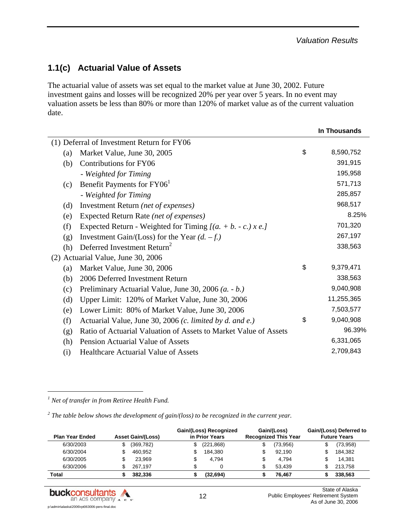# **1.1(c) Actuarial Value of Assets**

The actuarial value of assets was set equal to the market value at June 30, 2002. Future investment gains and losses will be recognized 20% per year over 5 years. In no event may valuation assets be less than 80% or more than 120% of market value as of the current valuation date.

|     |                                                                  | In Thousands    |
|-----|------------------------------------------------------------------|-----------------|
|     | (1) Deferral of Investment Return for FY06                       |                 |
| (a) | Market Value, June 30, 2005                                      | \$<br>8,590,752 |
| (b) | Contributions for FY06                                           | 391,915         |
|     | - Weighted for Timing                                            | 195,958         |
| (c) | Benefit Payments for FY06 <sup>1</sup>                           | 571,713         |
|     | - Weighted for Timing                                            | 285,857         |
| (d) | Investment Return (net of expenses)                              | 968,517         |
| (e) | Expected Return Rate (net of expenses)                           | 8.25%           |
| (f) | Expected Return - Weighted for Timing $[(a. + b. - c.) x e.]$    | 701,320         |
| (g) | Investment Gain/(Loss) for the Year $(d. -f.)$                   | 267,197         |
| (h) | Deferred Investment Return <sup>2</sup>                          | 338,563         |
|     | (2) Actuarial Value, June 30, 2006                               |                 |
| (a) | Market Value, June 30, 2006                                      | \$<br>9,379,471 |
| (b) | 2006 Deferred Investment Return                                  | 338,563         |
| (c) | Preliminary Actuarial Value, June 30, 2006 (a. - b.)             | 9,040,908       |
| (d) | Upper Limit: 120% of Market Value, June 30, 2006                 | 11,255,365      |
| (e) | Lower Limit: 80% of Market Value, June 30, 2006                  | 7,503,577       |
| (f) | Actuarial Value, June 30, 2006 (c. limited by d. and e.)         | \$<br>9,040,908 |
| (g) | Ratio of Actuarial Valuation of Assets to Market Value of Assets | 96.39%          |
| (h) | <b>Pension Actuarial Value of Assets</b>                         | 6,331,065       |
| (i) | <b>Healthcare Actuarial Value of Assets</b>                      | 2,709,843       |
|     |                                                                  |                 |

*1 Net of transfer in from Retiree Health Fund.* 

l

<sup>2</sup> The table below shows the development of gain/(loss) to be recognized in the current year.

| <b>Plan Year Ended</b> | <b>Asset Gain/(Loss)</b> | Gain/(Loss) Recognized<br>in Prior Years |            | Gain/(Loss)<br><b>Recognized This Year</b> | Gain/(Loss) Deferred to<br><b>Future Years</b> |
|------------------------|--------------------------|------------------------------------------|------------|--------------------------------------------|------------------------------------------------|
| 6/30/2003              | (369, 782)               | \$                                       | (221, 868) | \$<br>(73,956)                             | (73,958)                                       |
| 6/30/2004              | 460.952                  |                                          | 184.380    | \$<br>92.190                               | 184.382                                        |
| 6/30/2005              | 23.969                   | \$                                       | 4.794      | \$<br>4.794                                | 14.381                                         |
| 6/30/2006              | 267.197                  | \$                                       |            | \$<br>53.439                               | 213.758                                        |
| Total                  | 382.336                  |                                          | (32, 694)  | 76.467                                     | 338,563                                        |

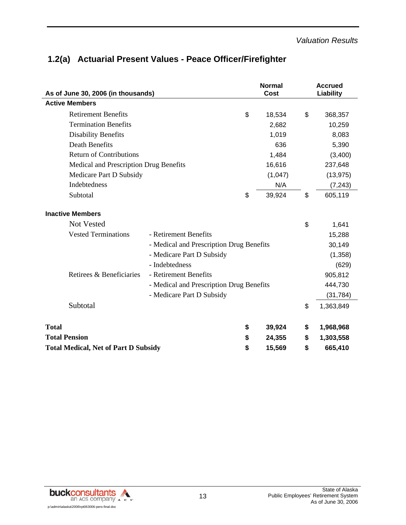|  | 1.2(a) Actuarial Present Values - Peace Officer/Firefighter |  |
|--|-------------------------------------------------------------|--|
|--|-------------------------------------------------------------|--|

| As of June 30, 2006 (in thousands)          |                                          | <b>Normal</b><br>Cost | <b>Accrued</b><br>Liability |
|---------------------------------------------|------------------------------------------|-----------------------|-----------------------------|
| <b>Active Members</b>                       |                                          |                       |                             |
| <b>Retirement Benefits</b>                  |                                          | \$<br>18,534          | \$<br>368,357               |
| <b>Termination Benefits</b>                 |                                          | 2,682                 | 10,259                      |
| <b>Disability Benefits</b>                  |                                          | 1,019                 | 8,083                       |
| <b>Death Benefits</b>                       |                                          | 636                   | 5,390                       |
| <b>Return of Contributions</b>              |                                          | 1,484                 | (3,400)                     |
| Medical and Prescription Drug Benefits      |                                          | 16,616                | 237,648                     |
| Medicare Part D Subsidy                     |                                          | (1,047)               | (13, 975)                   |
| Indebtedness                                |                                          | N/A                   | (7, 243)                    |
| Subtotal                                    |                                          | \$<br>39,924          | \$<br>605,119               |
| <b>Inactive Members</b>                     |                                          |                       |                             |
| <b>Not Vested</b>                           |                                          |                       | \$<br>1,641                 |
| <b>Vested Terminations</b>                  | - Retirement Benefits                    |                       | 15,288                      |
|                                             | - Medical and Prescription Drug Benefits |                       | 30,149                      |
|                                             | - Medicare Part D Subsidy                |                       | (1,358)                     |
|                                             | - Indebtedness                           |                       | (629)                       |
| Retirees & Beneficiaries                    | - Retirement Benefits                    |                       | 905,812                     |
|                                             | - Medical and Prescription Drug Benefits |                       | 444,730                     |
|                                             | - Medicare Part D Subsidy                |                       | (31, 784)                   |
| Subtotal                                    |                                          |                       | \$<br>1,363,849             |
| <b>Total</b>                                |                                          | \$<br>39,924          | \$<br>1,968,968             |
| <b>Total Pension</b>                        |                                          | \$<br>24,355          | \$<br>1,303,558             |
| <b>Total Medical, Net of Part D Subsidy</b> |                                          | \$<br>15,569          | \$<br>665,410               |

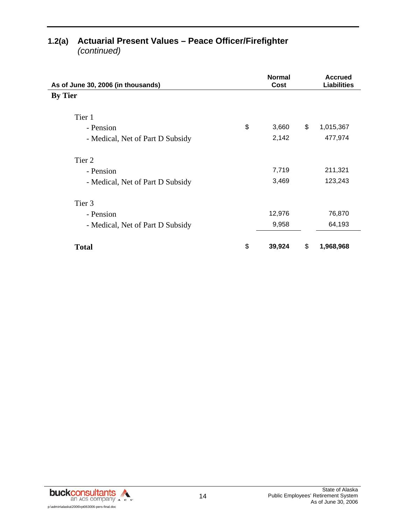| As of June 30, 2006 (in thousands) | <b>Normal</b><br>Cost | <b>Accrued</b><br><b>Liabilities</b> |
|------------------------------------|-----------------------|--------------------------------------|
| <b>By Tier</b>                     |                       |                                      |
| Tier 1                             |                       |                                      |
| \$<br>- Pension                    | 3,660                 | \$<br>1,015,367                      |
| - Medical, Net of Part D Subsidy   | 2,142                 | 477,974                              |
| Tier 2                             |                       |                                      |
| - Pension                          | 7,719                 | 211,321                              |
| - Medical, Net of Part D Subsidy   | 3,469                 | 123,243                              |
| Tier 3                             |                       |                                      |
| - Pension                          | 12,976                | 76,870                               |
| - Medical, Net of Part D Subsidy   | 9,958                 | 64,193                               |
| \$<br><b>Total</b>                 | 39,924                | \$<br>1,968,968                      |

# **1.2(a) Actuarial Present Values – Peace Officer/Firefighter**

*(continued)*

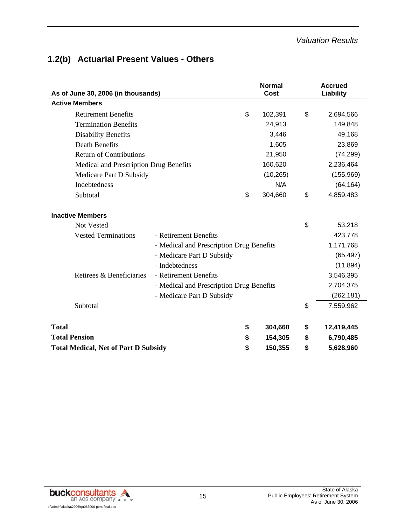#### *Valuation Results*

# **1.2(b) Actuarial Present Values - Others**

| As of June 30, 2006 (in thousands)          |                                          | <b>Normal</b><br><b>Cost</b> | <b>Accrued</b><br>Liability |
|---------------------------------------------|------------------------------------------|------------------------------|-----------------------------|
| <b>Active Members</b>                       |                                          |                              |                             |
| <b>Retirement Benefits</b>                  |                                          | \$<br>102,391                | \$<br>2,694,566             |
| <b>Termination Benefits</b>                 |                                          | 24,913                       | 149,848                     |
| <b>Disability Benefits</b>                  |                                          | 3,446                        | 49,168                      |
| <b>Death Benefits</b>                       |                                          | 1,605                        | 23,869                      |
| <b>Return of Contributions</b>              |                                          | 21,950                       | (74, 299)                   |
| Medical and Prescription Drug Benefits      |                                          | 160,620                      | 2,236,464                   |
| Medicare Part D Subsidy                     |                                          | (10, 265)                    | (155, 969)                  |
| Indebtedness                                |                                          | N/A                          | (64, 164)                   |
| Subtotal                                    |                                          | \$<br>304,660                | \$<br>4,859,483             |
| <b>Inactive Members</b>                     |                                          |                              |                             |
| Not Vested                                  |                                          |                              | \$<br>53,218                |
| <b>Vested Terminations</b>                  | - Retirement Benefits                    |                              | 423,778                     |
|                                             | - Medical and Prescription Drug Benefits |                              | 1,171,768                   |
|                                             | - Medicare Part D Subsidy                |                              | (65, 497)                   |
|                                             | - Indebtedness                           |                              | (11, 894)                   |
| Retirees & Beneficiaries                    | - Retirement Benefits                    |                              | 3,546,395                   |
|                                             | - Medical and Prescription Drug Benefits |                              | 2,704,375                   |
|                                             | - Medicare Part D Subsidy                |                              | (262, 181)                  |
| Subtotal                                    |                                          |                              | \$<br>7,559,962             |
| <b>Total</b>                                |                                          | \$<br>304,660                | \$<br>12,419,445            |
| <b>Total Pension</b>                        |                                          | \$<br>154,305                | \$<br>6,790,485             |
| <b>Total Medical, Net of Part D Subsidy</b> | \$<br>150,355                            | \$<br>5,628,960              |                             |

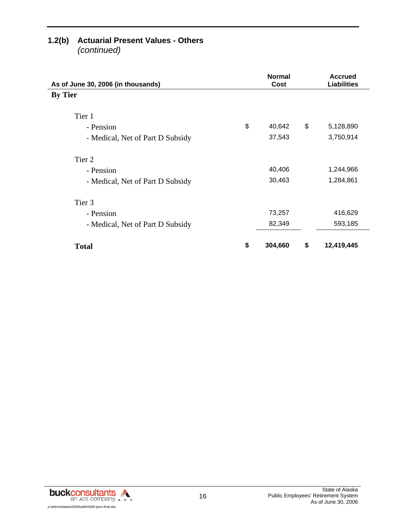# **1.2(b) Actuarial Present Values - Others**

*(continued)*

| As of June 30, 2006 (in thousands) | <b>Normal</b><br>Cost | <b>Accrued</b><br><b>Liabilities</b> |
|------------------------------------|-----------------------|--------------------------------------|
| <b>By Tier</b>                     |                       |                                      |
| Tier 1                             |                       |                                      |
| - Pension                          | \$<br>40,642          | \$<br>5,128,890                      |
| - Medical, Net of Part D Subsidy   | 37,543                | 3,750,914                            |
| Tier 2                             |                       |                                      |
| - Pension                          | 40,406                | 1,244,966                            |
| - Medical, Net of Part D Subsidy   | 30,463                | 1,284,861                            |
| Tier 3                             |                       |                                      |
| - Pension                          | 73,257                | 416,629                              |
| - Medical, Net of Part D Subsidy   | 82,349                | 593,185                              |
| <b>Total</b>                       | \$<br>304,660         | \$<br>12,419,445                     |

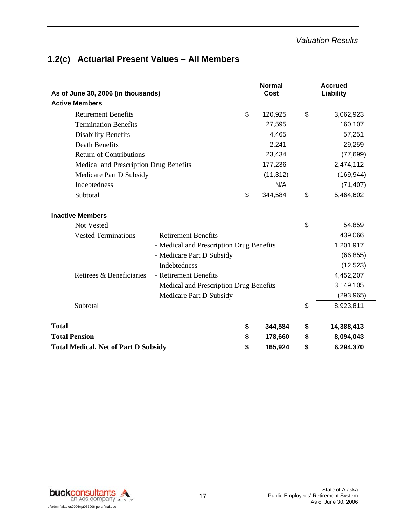# **1.2(c) Actuarial Present Values – All Members**

| As of June 30, 2006 (in thousands)          |                                          | <b>Normal</b><br>Cost | <b>Accrued</b><br>Liability |
|---------------------------------------------|------------------------------------------|-----------------------|-----------------------------|
| <b>Active Members</b>                       |                                          |                       |                             |
| <b>Retirement Benefits</b>                  | \$                                       | 120,925               | \$<br>3,062,923             |
| <b>Termination Benefits</b>                 |                                          | 27,595                | 160,107                     |
| <b>Disability Benefits</b>                  |                                          | 4,465                 | 57,251                      |
| <b>Death Benefits</b>                       |                                          | 2,241                 | 29,259                      |
| <b>Return of Contributions</b>              |                                          | 23,434                | (77, 699)                   |
| Medical and Prescription Drug Benefits      |                                          | 177,236               | 2,474,112                   |
| Medicare Part D Subsidy                     |                                          | (11, 312)             | (169, 944)                  |
| <b>Indebtedness</b>                         |                                          | N/A                   | (71, 407)                   |
| Subtotal                                    | \$                                       | 344,584               | \$<br>5,464,602             |
| <b>Inactive Members</b>                     |                                          |                       |                             |
| Not Vested                                  |                                          |                       | \$<br>54,859                |
| <b>Vested Terminations</b>                  | - Retirement Benefits                    |                       | 439,066                     |
|                                             | - Medical and Prescription Drug Benefits |                       | 1,201,917                   |
|                                             | - Medicare Part D Subsidy                |                       | (66, 855)                   |
|                                             | - Indebtedness                           |                       | (12, 523)                   |
| Retirees & Beneficiaries                    | - Retirement Benefits                    |                       | 4,452,207                   |
|                                             | - Medical and Prescription Drug Benefits |                       | 3,149,105                   |
|                                             | - Medicare Part D Subsidy                |                       | (293, 965)                  |
| Subtotal                                    |                                          |                       | \$<br>8,923,811             |
| <b>Total</b>                                | \$                                       | 344,584               | \$<br>14,388,413            |
| <b>Total Pension</b>                        | \$                                       | 178,660               | \$<br>8,094,043             |
| <b>Total Medical, Net of Part D Subsidy</b> | \$                                       | 165,924               | \$<br>6,294,370             |

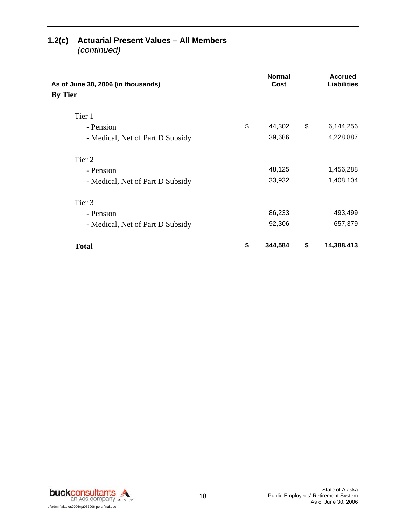# **1.2(c) Actuarial Present Values – All Members**

*(continued)*

| As of June 30, 2006 (in thousands) | <b>Normal</b><br>Cost | <b>Accrued</b><br><b>Liabilities</b> |
|------------------------------------|-----------------------|--------------------------------------|
| <b>By Tier</b>                     |                       |                                      |
| Tier 1                             |                       |                                      |
| - Pension                          | \$<br>44,302          | \$<br>6,144,256                      |
| - Medical, Net of Part D Subsidy   | 39,686                | 4,228,887                            |
| Tier 2                             |                       |                                      |
| - Pension                          | 48,125                | 1,456,288                            |
| - Medical, Net of Part D Subsidy   | 33,932                | 1,408,104                            |
| Tier <sub>3</sub>                  |                       |                                      |
| - Pension                          | 86,233                | 493,499                              |
| - Medical, Net of Part D Subsidy   | 92,306                | 657,379                              |
| <b>Total</b>                       | \$<br>344,584         | \$<br>14,388,413                     |

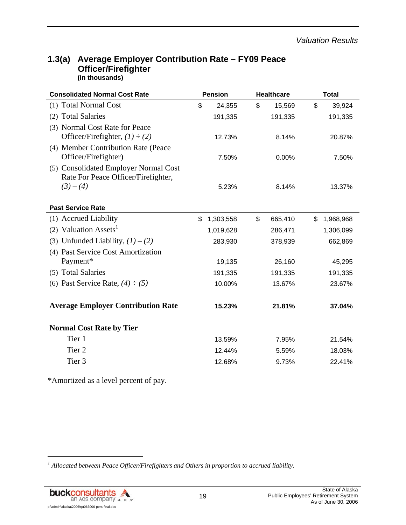### **1.3(a) Average Employer Contribution Rate – FY09 Peace Officer/Firefighter (in thousands)**

| <b>Consolidated Normal Cost Rate</b>                                         | <b>Pension</b> |           | <b>Healthcare</b> |    | <b>Total</b> |  |
|------------------------------------------------------------------------------|----------------|-----------|-------------------|----|--------------|--|
| (1) Total Normal Cost                                                        | \$             | 24,355    | \$<br>15,569      | \$ | 39,924       |  |
| (2) Total Salaries                                                           |                | 191,335   | 191,335           |    | 191,335      |  |
| (3) Normal Cost Rate for Peace<br>Officer/Firefighter, $(1) \div (2)$        |                | 12.73%    | 8.14%             |    | 20.87%       |  |
| (4) Member Contribution Rate (Peace<br>Officer/Firefighter)                  |                | 7.50%     | 0.00%             |    | 7.50%        |  |
| (5) Consolidated Employer Normal Cost<br>Rate For Peace Officer/Firefighter, |                |           |                   |    |              |  |
| $(3)-(4)$                                                                    |                | 5.23%     | 8.14%             |    | 13.37%       |  |
| <b>Past Service Rate</b>                                                     |                |           |                   |    |              |  |
| (1) Accrued Liability                                                        | \$             | 1,303,558 | \$<br>665,410     | \$ | 1,968,968    |  |
| (2) Valuation Assets <sup>1</sup>                                            |                | 1,019,628 | 286,471           |    | 1,306,099    |  |
| (3) Unfunded Liability, $(1) - (2)$                                          |                | 283,930   | 378,939           |    | 662,869      |  |
| (4) Past Service Cost Amortization                                           |                |           |                   |    |              |  |
| Payment*                                                                     |                | 19,135    | 26,160            |    | 45,295       |  |
| (5) Total Salaries                                                           |                | 191,335   | 191,335           |    | 191,335      |  |
| (6) Past Service Rate, $(4) \div (5)$                                        |                | 10.00%    | 13.67%            |    | 23.67%       |  |
| <b>Average Employer Contribution Rate</b>                                    |                | 15.23%    | 21.81%            |    | 37.04%       |  |
| <b>Normal Cost Rate by Tier</b>                                              |                |           |                   |    |              |  |
| Tier 1                                                                       |                | 13.59%    | 7.95%             |    | 21.54%       |  |
| Tier <sub>2</sub>                                                            |                | 12.44%    | 5.59%             |    | 18.03%       |  |
| Tier 3                                                                       |                | 12.68%    | 9.73%             |    | 22.41%       |  |

\*Amortized as a level percent of pay.

<sup>&</sup>lt;sup>1</sup> Allocated between Peace Officer/Firefighters and Others in proportion to accrued liability.



l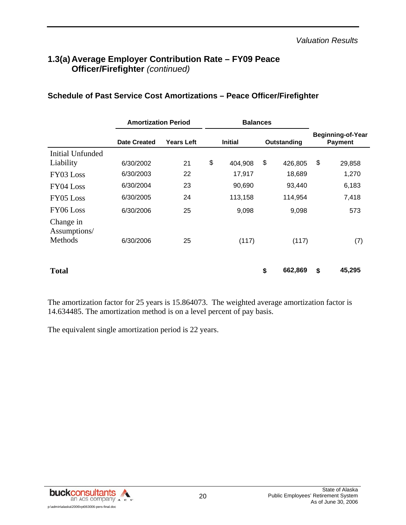## **1.3(a) Average Employer Contribution Rate – FY09 Peace Officer/Firefighter** *(continued)*

|                                      | <b>Amortization Period</b> |                   | <b>Balances</b> |                |    |             |    |                                            |
|--------------------------------------|----------------------------|-------------------|-----------------|----------------|----|-------------|----|--------------------------------------------|
|                                      | <b>Date Created</b>        | <b>Years Left</b> |                 | <b>Initial</b> |    | Outstanding |    | <b>Beginning-of-Year</b><br><b>Payment</b> |
| <b>Initial Unfunded</b>              |                            |                   |                 |                |    |             |    |                                            |
| Liability                            | 6/30/2002                  | 21                | \$              | 404,908        | \$ | 426,805     | \$ | 29,858                                     |
| FY03 Loss                            | 6/30/2003                  | 22                |                 | 17,917         |    | 18,689      |    | 1,270                                      |
| FY04 Loss                            | 6/30/2004                  | 23                |                 | 90,690         |    | 93,440      |    | 6,183                                      |
| FY05 Loss                            | 6/30/2005                  | 24                |                 | 113,158        |    | 114,954     |    | 7,418                                      |
| FY06 Loss                            | 6/30/2006                  | 25                |                 | 9,098          |    | 9,098       |    | 573                                        |
| Change in<br>Assumptions/<br>Methods | 6/30/2006                  | 25                |                 | (117)          |    | (117)       |    | (7)                                        |
|                                      |                            |                   |                 |                |    |             |    |                                            |
| <b>Total</b>                         |                            |                   |                 |                | \$ | 662,869     | \$ | 45,295                                     |

#### **Schedule of Past Service Cost Amortizations – Peace Officer/Firefighter**

The amortization factor for 25 years is 15.864073. The weighted average amortization factor is 14.634485. The amortization method is on a level percent of pay basis.

The equivalent single amortization period is 22 years.

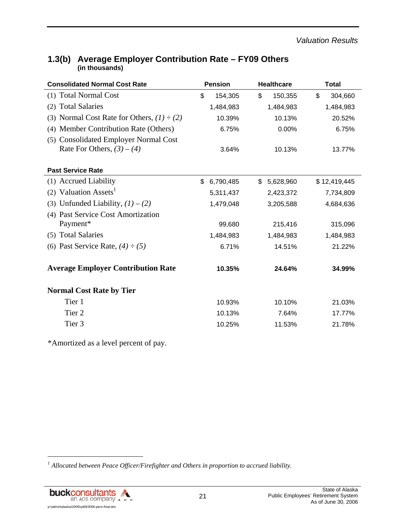| <b>Consolidated Normal Cost Rate</b>                                  | <b>Pension</b>  | <b>Healthcare</b> | <b>Total</b>  |  |  |
|-----------------------------------------------------------------------|-----------------|-------------------|---------------|--|--|
| (1) Total Normal Cost                                                 | \$<br>154,305   | \$<br>150,355     | \$<br>304,660 |  |  |
| <b>Total Salaries</b><br>(2)                                          | 1,484,983       | 1,484,983         | 1,484,983     |  |  |
| (3) Normal Cost Rate for Others, $(1) \div (2)$                       | 10.39%          | 10.13%            | 20.52%        |  |  |
| (4) Member Contribution Rate (Others)                                 | 6.75%           | 0.00%             | 6.75%         |  |  |
| (5) Consolidated Employer Normal Cost<br>Rate For Others, $(3) - (4)$ | 3.64%           | 10.13%            | 13.77%        |  |  |
| <b>Past Service Rate</b>                                              |                 |                   |               |  |  |
| (1) Accrued Liability                                                 | \$<br>6,790,485 | \$5,628,960       | \$12,419,445  |  |  |
| (2) Valuation Assets <sup>1</sup>                                     | 5,311,437       | 2,423,372         | 7,734,809     |  |  |
| (3) Unfunded Liability, $(1) - (2)$                                   | 1,479,048       | 3,205,588         | 4,684,636     |  |  |
| (4) Past Service Cost Amortization<br>Payment*                        | 99,680          | 215,416           | 315,096       |  |  |
| (5) Total Salaries                                                    | 1,484,983       | 1,484,983         | 1,484,983     |  |  |
| (6) Past Service Rate, $(4) \div (5)$                                 | 6.71%           | 14.51%            | 21.22%        |  |  |
| <b>Average Employer Contribution Rate</b>                             | 10.35%          | 24.64%            | 34.99%        |  |  |
| <b>Normal Cost Rate by Tier</b>                                       |                 |                   |               |  |  |
| Tier 1                                                                | 10.93%          | 10.10%            | 21.03%        |  |  |
| Tier <sub>2</sub>                                                     | 10.13%          | 7.64%             | 17.77%        |  |  |
| Tier 3                                                                | 10.25%          | 11.53%            | 21.78%        |  |  |

## **1.3(b) Average Employer Contribution Rate – FY09 Others (in thousands)**

\*Amortized as a level percent of pay.

<sup>&</sup>lt;sup>1</sup> Allocated between Peace Officer/Firefighter and Others in proportion to accrued liability.



l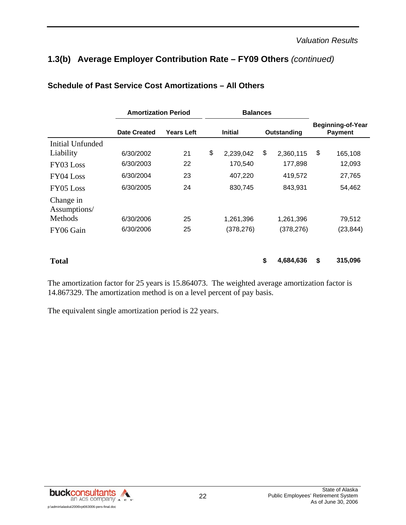# **1.3(b) Average Employer Contribution Rate – FY09 Others** *(continued)*

|                           | <b>Amortization Period</b> |                   | <b>Balances</b> |                |             |            |                                            |           |
|---------------------------|----------------------------|-------------------|-----------------|----------------|-------------|------------|--------------------------------------------|-----------|
|                           | Date Created               | <b>Years Left</b> |                 | <b>Initial</b> | Outstanding |            | <b>Beginning-of-Year</b><br><b>Payment</b> |           |
| Initial Unfunded          |                            |                   |                 |                |             |            |                                            |           |
| Liability                 | 6/30/2002                  | 21                | \$              | 2,239,042      | \$          | 2,360,115  | \$                                         | 165,108   |
| FY03 Loss                 | 6/30/2003                  | 22                |                 | 170,540        |             | 177,898    |                                            | 12,093    |
| FY04 Loss                 | 6/30/2004                  | 23                |                 | 407,220        |             | 419,572    |                                            | 27,765    |
| FY05 Loss                 | 6/30/2005                  | 24                |                 | 830,745        |             | 843,931    |                                            | 54,462    |
| Change in<br>Assumptions/ |                            |                   |                 |                |             |            |                                            |           |
| Methods                   | 6/30/2006                  | 25                |                 | 1,261,396      |             | 1,261,396  |                                            | 79,512    |
| FY06 Gain                 | 6/30/2006                  | 25                |                 | (378, 276)     |             | (378, 276) |                                            | (23, 844) |
|                           |                            |                   |                 |                |             |            |                                            |           |
| <b>Total</b>              |                            |                   |                 |                | \$          | 4,684,636  | \$                                         | 315,096   |

#### **Schedule of Past Service Cost Amortizations – All Others**

The amortization factor for 25 years is 15.864073. The weighted average amortization factor is 14.867329. The amortization method is on a level percent of pay basis.

The equivalent single amortization period is 22 years.

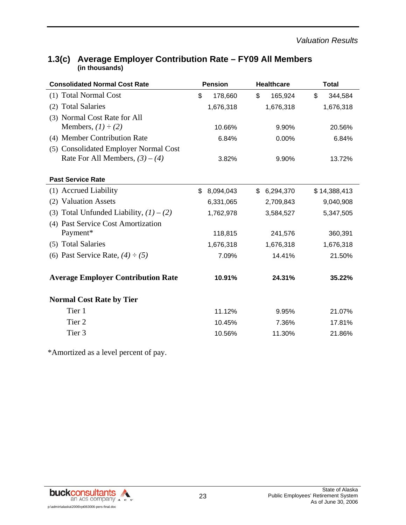| <b>Consolidated Normal Cost Rate</b>                                       | <b>Pension</b>  | <b>Healthcare</b> | <b>Total</b>  |
|----------------------------------------------------------------------------|-----------------|-------------------|---------------|
| (1) Total Normal Cost                                                      | \$<br>178,660   | 165,924<br>\$     | \$<br>344,584 |
| <b>Total Salaries</b><br>(2)                                               | 1,676,318       | 1,676,318         | 1,676,318     |
| (3) Normal Cost Rate for All                                               |                 |                   |               |
| Members, $(1) \div (2)$                                                    | 10.66%          | 9.90%             | 20.56%        |
| (4) Member Contribution Rate                                               | 6.84%           | 0.00%             | 6.84%         |
| (5) Consolidated Employer Normal Cost<br>Rate For All Members, $(3) - (4)$ | 3.82%           | 9.90%             | 13.72%        |
| <b>Past Service Rate</b>                                                   |                 |                   |               |
| (1) Accrued Liability                                                      | 8,094,043<br>\$ | \$<br>6,294,370   | \$14,388,413  |
| (2) Valuation Assets                                                       | 6,331,065       | 2,709,843         | 9,040,908     |
| (3) Total Unfunded Liability, $(1) - (2)$                                  | 1,762,978       | 3,584,527         | 5,347,505     |
| (4) Past Service Cost Amortization                                         |                 |                   |               |
| Payment*                                                                   | 118,815         | 241,576           | 360,391       |
| (5) Total Salaries                                                         | 1,676,318       | 1,676,318         | 1,676,318     |
| (6) Past Service Rate, $(4) \div (5)$                                      | 7.09%           | 14.41%            | 21.50%        |
| <b>Average Employer Contribution Rate</b>                                  | 10.91%          | 24.31%            | 35.22%        |
| <b>Normal Cost Rate by Tier</b>                                            |                 |                   |               |
| Tier 1                                                                     | 11.12%          | 9.95%             | 21.07%        |
| Tier <sub>2</sub>                                                          | 10.45%          | 7.36%             | 17.81%        |
| Tier <sub>3</sub>                                                          | 10.56%          | 11.30%            | 21.86%        |

# **1.3(c) Average Employer Contribution Rate – FY09 All Members (in thousands)**

\*Amortized as a level percent of pay.

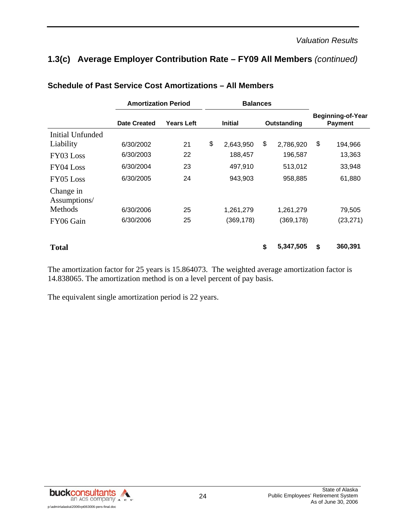# **1.3(c) Average Employer Contribution Rate – FY09 All Members** *(continued)*

|                           | <b>Amortization Period</b> |                   | <b>Balances</b> |                |             |            |    |                                            |
|---------------------------|----------------------------|-------------------|-----------------|----------------|-------------|------------|----|--------------------------------------------|
|                           | Date Created               | <b>Years Left</b> |                 | <b>Initial</b> | Outstanding |            |    | <b>Beginning-of-Year</b><br><b>Payment</b> |
| <b>Initial Unfunded</b>   |                            |                   |                 |                |             |            |    |                                            |
| Liability                 | 6/30/2002                  | 21                | \$              | 2,643,950      | \$          | 2,786,920  | \$ | 194,966                                    |
| FY03 Loss                 | 6/30/2003                  | 22                |                 | 188,457        |             | 196,587    |    | 13,363                                     |
| FY04 Loss                 | 6/30/2004                  | 23                |                 | 497,910        |             | 513,012    |    | 33,948                                     |
| FY05 Loss                 | 6/30/2005                  | 24                |                 | 943,903        |             | 958,885    |    | 61,880                                     |
| Change in<br>Assumptions/ |                            |                   |                 |                |             |            |    |                                            |
| Methods                   | 6/30/2006                  | 25                |                 | 1,261,279      |             | 1,261,279  |    | 79,505                                     |
| FY06 Gain                 | 6/30/2006                  | 25                |                 | (369, 178)     |             | (369, 178) |    | (23, 271)                                  |
| <b>Total</b>              |                            |                   |                 |                | \$          | 5,347,505  | \$ | 360,391                                    |

#### **Schedule of Past Service Cost Amortizations – All Members**

The amortization factor for 25 years is 15.864073. The weighted average amortization factor is 14.838065. The amortization method is on a level percent of pay basis.

The equivalent single amortization period is 22 years.

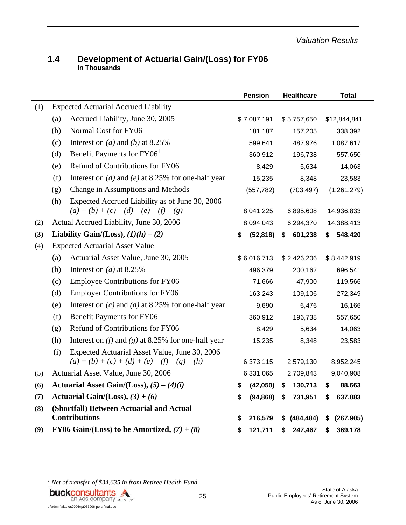#### **1.4 Development of Actuarial Gain/(Loss) for FY06 In Thousands**

|     |                                               |                                                        |           | <b>Pension</b> |           | <b>Healthcare</b> |            | Total        |
|-----|-----------------------------------------------|--------------------------------------------------------|-----------|----------------|-----------|-------------------|------------|--------------|
| (1) |                                               | <b>Expected Actuarial Accrued Liability</b>            |           |                |           |                   |            |              |
|     | (a)                                           | Accrued Liability, June 30, 2005                       |           | \$7,087,191    |           | \$5,757,650       |            | \$12,844,841 |
|     | (b)                                           | Normal Cost for FY06                                   |           | 181,187        |           | 157,205           |            | 338,392      |
|     | (c)                                           | Interest on ( <i>a</i> ) and ( <i>b</i> ) at 8.25%     |           | 599,641        |           | 487,976           |            | 1,087,617    |
|     | (d)                                           | Benefit Payments for FY06 <sup>1</sup>                 |           | 360,912        |           | 196,738           |            | 557,650      |
|     | (e)                                           | Refund of Contributions for FY06                       |           | 8,429          |           | 5,634             |            | 14,063       |
|     | (f)                                           | Interest on (d) and (e) at 8.25% for one-half year     |           | 15,235         |           | 8,348             |            | 23,583       |
|     | (g)                                           | Change in Assumptions and Methods                      |           | (557, 782)     |           | (703, 497)        |            | (1,261,279)  |
|     | (h)                                           | Expected Accrued Liability as of June 30, 2006         |           |                |           |                   |            |              |
|     |                                               | $(a) + (b) + (c) - (d) - (e) - (f) - (g)$              | 8,041,225 |                | 6,895,608 |                   | 14,936,833 |              |
| (2) |                                               | Actual Accrued Liability, June 30, 2006                | 8,094,043 |                | 6,294,370 |                   | 14,388,413 |              |
| (3) |                                               | Liability Gain/(Loss), $(1)(h) - (2)$                  | \$        | (52, 818)      | \$        | 601,238           | S.         | 548,420      |
| (4) |                                               | <b>Expected Actuarial Asset Value</b>                  |           |                |           |                   |            |              |
|     | (a)                                           | Actuarial Asset Value, June 30, 2005                   |           | \$6,016,713    |           | \$2,426,206       |            | \$8,442,919  |
|     | (b)                                           | Interest on ( <i>a</i> ) at 8.25%                      |           | 496,379        |           | 200,162           |            | 696,541      |
|     | (c)                                           | <b>Employee Contributions for FY06</b>                 |           | 71,666         |           | 47,900            |            | 119,566      |
|     | (d)                                           | <b>Employer Contributions for FY06</b>                 |           | 163,243        |           | 109,106           |            | 272,349      |
|     | (e)                                           | Interest on $(c)$ and $(d)$ at 8.25% for one-half year |           | 9,690          |           | 6,476             |            | 16,166       |
|     | (f)                                           | <b>Benefit Payments for FY06</b>                       | 360,912   |                | 196,738   |                   | 557,650    |              |
|     | (g)                                           | Refund of Contributions for FY06                       | 8,429     |                | 5,634     |                   | 14,063     |              |
|     | (h)                                           | Interest on (f) and (g) at 8.25% for one-half year     |           | 15,235         |           | 8,348             |            | 23,583       |
|     | (i)                                           | Expected Actuarial Asset Value, June 30, 2006          |           |                |           |                   |            |              |
|     |                                               | $(a) + (b) + (c) + (d) + (e) - (f) - (g) - (h)$        | 6,373,115 |                | 2,579,130 |                   | 8,952,245  |              |
| (5) |                                               | Actuarial Asset Value, June 30, 2006                   | 6,331,065 |                |           | 2,709,843         |            | 9,040,908    |
| (6) | Actuarial Asset Gain/(Loss), $(5) - (4)(i)$   |                                                        | \$        | (42,050)       | \$        | 130,713           | \$         | 88,663       |
| (7) | Actuarial Gain/(Loss), $(3) + (6)$            |                                                        | \$        | (94, 868)      | \$        | 731,951           | \$         | 637,083      |
| (8) | (Shortfall) Between Actuarial and Actual      |                                                        |           |                |           |                   |            |              |
|     | <b>Contributions</b>                          |                                                        | \$        | 216,579        | S         | (484, 484)        | \$         | (267, 905)   |
| (9) | FY06 Gain/(Loss) to be Amortized, $(7) + (8)$ |                                                        | \$        | 121,711        | S         | 247,467           | \$         | 369,178      |

<sup>1</sup> Net of transfer of \$34,635 in from Retiree Health Fund.

**buckconsultants** 

p:\admin\alaska\2006\rpt063006-pers-final.doc

l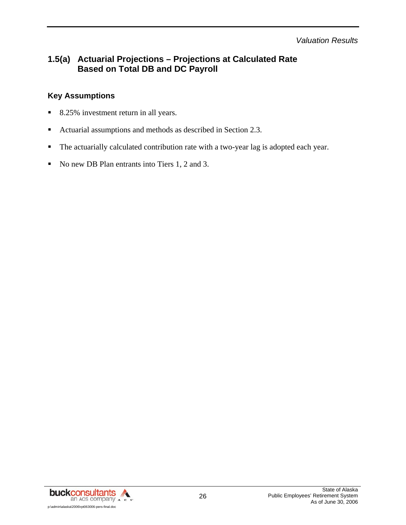*Valuation Results* 

# **1.5(a) Actuarial Projections – Projections at Calculated Rate Based on Total DB and DC Payroll**

### **Key Assumptions**

- 8.25% investment return in all years.
- Actuarial assumptions and methods as described in Section 2.3.
- The actuarially calculated contribution rate with a two-year lag is adopted each year.
- No new DB Plan entrants into Tiers 1, 2 and 3.

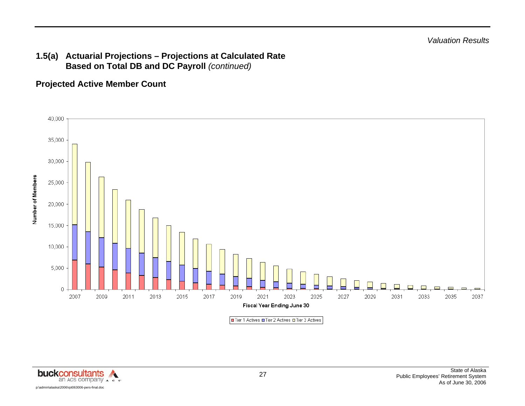## **1.5(a) Actuarial Projections – Projections at Calculated Rate Based on Total DB and DC Payroll** *(continued)*

**Projected Active Member Count** 



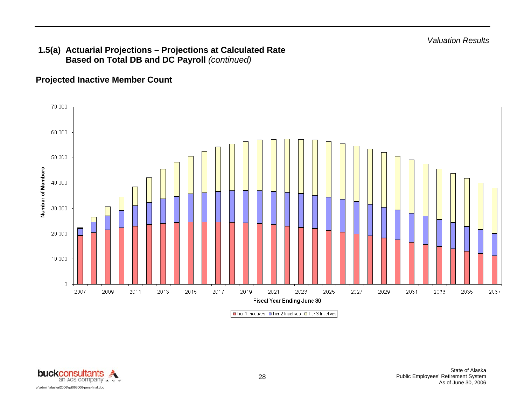*Valuation Results* 

## **1.5(a) Actuarial Projections – Projections at Calculated Rate Based on Total DB and DC Payroll** *(continued)*

## **Projected Inactive Member Count**



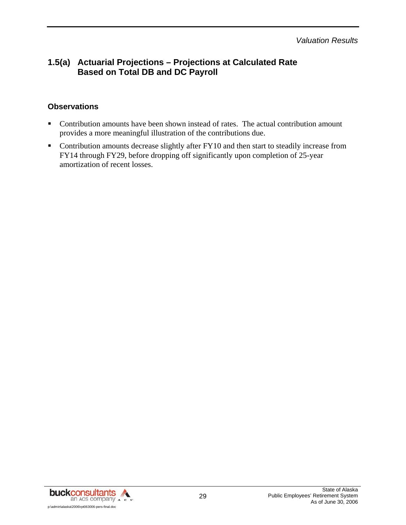*Valuation Results* 

## **1.5(a) Actuarial Projections – Projections at Calculated Rate Based on Total DB and DC Payroll**

## **Observations**

- Contribution amounts have been shown instead of rates. The actual contribution amount provides a more meaningful illustration of the contributions due.
- Contribution amounts decrease slightly after FY10 and then start to steadily increase from FY14 through FY29, before dropping off significantly upon completion of 25-year amortization of recent losses.

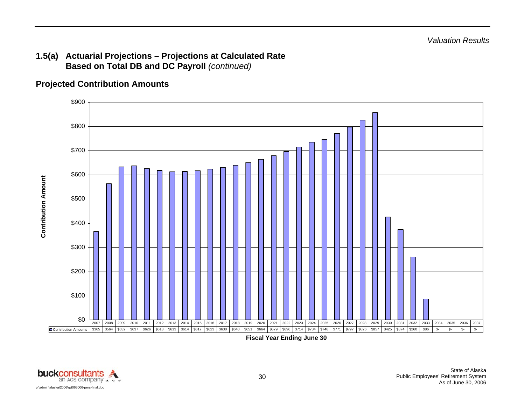## **1.5(a) Actuarial Projections – Projections at Calculated Rate Based on Total DB and DC Payroll** *(continued)*

## **Projected Contribution Amounts**



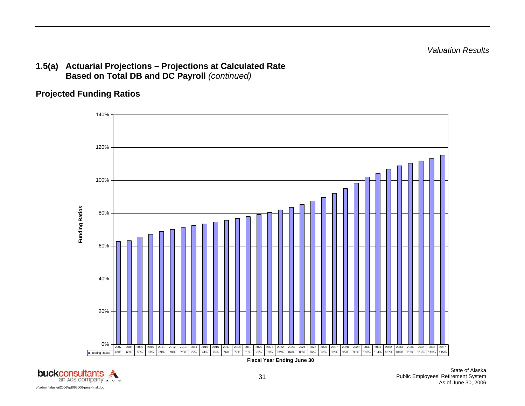*Valuation Results* 

## **1.5(a) Actuarial Projections – Projections at Calculated Rate Based on Total DB and DC Payroll** *(continued)*

# **Projected Funding Ratios**



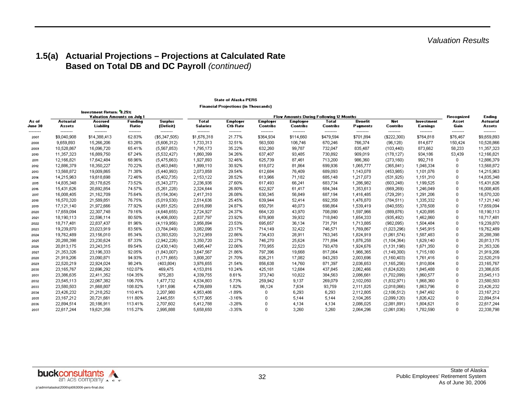# **1.5(a) Actuarial Projections – Projections at Calculated Rate Based on Total DB and DC Payroll** *(continued)*

#### **State of Alaska PERS**

|  | <b>Financial Projections (in Thousands)</b> |  |  |
|--|---------------------------------------------|--|--|
|--|---------------------------------------------|--|--|

|                   |                          | Investment Return: '8.25%<br><b>Valuation Amounts on July 1</b> |                    |                             | <b>Flow Amounts During Following 12 Months</b> |                                    |                                    |                             |                          |                       |                          |                        |                      | Endina                  |
|-------------------|--------------------------|-----------------------------------------------------------------|--------------------|-----------------------------|------------------------------------------------|------------------------------------|------------------------------------|-----------------------------|--------------------------|-----------------------|--------------------------|------------------------|----------------------|-------------------------|
| As of<br>June 30  | Actuarial<br>Assets      | Accrued<br>Liability                                            | Funding<br>Ratio   | <b>Surplus</b><br>(Deficit) | <b>Total</b><br><b>Salaries</b>                | <b>Employer</b><br><b>Ctb Rate</b> | <b>Employer</b><br><b>Contribs</b> | Employee<br><b>Contribs</b> | Total<br><b>Contribs</b> | Benefit<br>Payments   | Net<br><b>Contribs</b>   | Investment<br>Earnings | Asset<br>Gain        | Actuarial<br>Assets     |
| ---------<br>2007 | ---------<br>\$9,040,908 | --------<br>\$14,388,413                                        | --------<br>62.83% | --------<br>(\$5,347,505)   | --------<br>\$1,676,318                        | --------<br>21.77%                 | ---------<br>\$364,934             | --------<br>\$114,660       | ---------<br>\$479,594   | --------<br>\$701,894 | ---------<br>(\$222,300) | --------<br>\$764,818  | --------<br>\$76,467 | --------<br>\$9,659,893 |
| 2008              | 9,659,893                | 15,266,206                                                      | 63.28%             | (5,606,312)                 | 1,733,313                                      | 32.51%                             | 563,500                            | 106,746                     | 670,246                  | 766,374               | (96, 128)                | 814,677                | 150,424              | 10,528,866              |
| 2009              | 10,528,867               | 16,096,720                                                      | 65.41%             | (5,567,853)                 | 1,795,173                                      | 35.22%                             | 632,260                            | 99,787                      | 732,047                  | 835,487               | (103, 440)               | 873,662                | 58,233               | 11,357,323              |
| 2010              | 11,357,323               | 16,889,750                                                      | 67.24%             | (5,532,427)                 | 1,860,399                                      | 34.26%                             | 637,407                            | 93,485                      | 730,892                  | 909,019               | (178, 127)               | 934,186                | 53,439               | 12,166,821              |
| 2011              | 12,166,821               | 17,642,484                                                      | 68.96%             | (5,475,663)                 | 1,927,893                                      | 32.46%                             | 625,739                            | 87,461                      | 713,200                  | 986,360               | (273, 160)               | 992,718                |                      | 12,886,379              |
| 2012              | 12,886,379               | 18,350,227                                                      | 70.22%             | (5,463,848)                 | 1,999,110                                      | 30.92%                             | 618,072                            | 81,864                      | 699,936                  | 1,065,777             | (365, 841)               | 1,048,334              | 0                    | 13,568,872              |
| 2013              | 13,568,872               | 19,009,865                                                      | 71.38%             | (5,440,993)                 | 2,073,858                                      | 29.54%                             | 612,684                            | 76,409                      | 689,093                  | 1,143,078             | (453,985)                | 1,101,076              | 0                    | 14,215,963              |
| 2014              | 14,215,963               | 19,618,698                                                      | 72.46%             | (5,402,735)                 | 2,153,122                                      | 28.52%                             | 613,966                            | 71,182                      | 685,148                  | 1,217,073             | (531, 925)               | 1,151,310              | n                    | 14,835,348              |
| 2015              | 14,835,348               | 20,178,625                                                      | 73.52%             | (5,343,277)                 | 2,236,936                                      | 27.60%                             | 617,493                            | 66,241                      | 683,734                  | 1,286,982             | (603, 248)               | 1,199,525              | n                    | 15,431,626              |
| 2016              | 15,431,626               | 20,692,854                                                      | 74.57%             | (5,261,228)                 | 2,324,644                                      | 26.80%                             | 622,927                            | 61,417                      | 684,344                  | 1,353,613             | (669, 269)               | 1,246,049              |                      | 16,008,405              |
| 2017              | 16,008,405               | 21,162,709                                                      | 75.64%             | (5,154,304)                 | 2,417,310                                      | 26.08%                             | 630,345                            | 56,849                      | 687,194                  | 1,416,485             | (729, 291)               | 1,291,206              |                      | 16,570,320              |
| 2018              | 16,570,320               | 21,589,851                                                      | 76.75%             | (5,019,530)                 | 2,514,636                                      | 25.45%                             | 639,944                            | 52,414                      | 692,358                  | 1,476,870             | (784, 511)               | 1,335,332              |                      | 17,121,140              |
| 2019              | 17,121,140               | 21,972,666                                                      | 77.92%             | (4,851,525)                 | 2,616,898                                      | 24.87%                             | 650,791                            | 48,073                      | 698,864                  | 1,539,419             | (840, 555)               | 1,378,508              | 0                    | 17,659,094              |
| 2020              | 17,659,094               | 22,307,748                                                      | 79.16%             | (4,648,655)                 | 2,724,927                                      | 24.37%                             | 664,120                            | 43,970                      | 708,090                  | 1,597,966             | (889, 876)               | 1,420,895              |                      | 18,190,113              |
| 2021              | 18,190,113               | 22,596,114                                                      | 80.50%             | (4,406,000)                 | 2,837,797                                      | 23.92%                             | 678,908                            | 39,932                      | 718,840                  | 1,654,333             | (935, 492)               | 1,462,860              | Ω                    | 18,717,481              |
| 2022              | 18,717,481               | 22,837,437                                                      | 81.96%             | (4,119,956)                 | 2,956,894                                      | 23.53%                             | 695,657                            | 36,134                      | 731,791                  | 1,713,885             | (982,095)                | 1,504,484              | n.                   | 19,239,870              |
| 2023              | 19,239,870               | 23,023,919                                                      | 83.56%             | (3,784,049)                 | 3,082,096                                      | 23.17%                             | 714,149                            | 32,422                      | 746,571                  | 1,769,867             | (1,023,296)              | 1,545,915              | n                    | 19,762,489              |
| 2024              | 19,762,489               | 23,156,010                                                      | 85.34%             | (3,393,520)                 | 3,212,959                                      | 22.86%                             | 734,433                            | 28,911                      | 763,345                  | 1,824,919             | (1,061,574)              | 1,587,483              | n                    | 20,288,398              |
| 2025              | 20,288,398               | 23,230,624                                                      | 87.33%             | (2,942,226)                 | 3,350,720                                      | 22.27%                             | 746,270                            | 25,624                      | 771,894                  | 1,876,258             | (1, 104, 364)            | 1,629,140              |                      | 20,813,175              |
| 2026              | 20,813,175               | 23,243,315                                                      | 89.54%             | (2,430,140)                 | 3,495,447                                      | 22.06%                             | 770,955                            | 22,523                      | 793,478                  | 1,924,676             | (1,131,198)              | 1,671,350              |                      | 21,353,326              |
| 2027              | 21,353,326               | 23,196,333                                                      | 92.05%             | (1,843,007)                 | 3,647,567                                      | 21.86%                             | 797,396                            | 19,668                      | 817,064                  | 1,966,365             | (1,149,300)              | 1,715,180              | 0                    | 21,919,206              |
| 2028              | 21,919,206               | 23,090,871                                                      | 94.93%             | (1,171,665)                 | 3,808,207                                      | 21.70%                             | 826,211                            | 17,082                      | 843,293                  | 2,003,696             | (1,160,403)              | 1,761,416              | n                    | 22,520,219              |
| 2029              | 22,520,219               | 22,924,024                                                      | 98.24%             | (403, 804)                  | 3,976,655                                      | 21.54%                             | 856,638                            | 14,760                      | 871,397                  | 2,036,653             | (1,165,256)              | 1,810,804              |                      | 23,165,767              |
| 2030              | 23,165,767               | 22,696,292                                                      | 102.07%            | 469,475                     | 4,153,816                                      | 10.24%                             | 425,161                            | 12,684                      | 437,845                  | 2,062,466             | (1,624,620)              | 1,845,488              |                      | 23,386,635              |
| 2031              | 23,386,635               | 22,411,352                                                      | 104.35%            | 975,283                     | 4,339,755                                      | 8.61%                              | 373,740                            | 10,822                      | 384,563                  | 2,086,661             | (1,702,099)              | 1,860,577              | n                    | 23,545,113              |
| 2032              | 23,545,113               | 22,067,382                                                      | 106.70%            | 1,477,732                   | 4,534,803                                      | 5.73%                              | 259,942                            | 9,137                       | 269,079                  | 2,102,050             | (1,832,971)              | 1,868,360              | n                    | 23,580,503              |
| 2033              | 23,580,503               | 21,668,807                                                      | 108.82%            | 1,911,696                   | 4,739,689                                      | 1.82%                              | 86,124                             | 7,634                       | 93,759                   | 2,111,825             | (2,018,066)              | 1,863,796              | n                    | 23,426,232              |
| 2034              | 23,426,232               | 21,218,252                                                      | 110.41%            | 2,207,980                   | 4,953,486                                      | $-1.89%$                           | 0                                  | 6,293                       | 6,293                    | 2,112,805             | (2,106,512)              | 1,847,492              |                      | 23,167,212              |
| 2035              | 23,167,212               | 20,721,661                                                      | 111.80%            | 2,445,551                   | 5,177,905                                      | $-3.16%$                           | 0                                  | 5,144                       | 5,144                    | 2,104,265             | (2,099,120)              | 1,826,422              |                      | 22,894,514              |
| 2036              | 22,894,514               | 20,186,911                                                      | 113.41%            | 2,707,602                   | 5,412,788                                      | $-3.28%$                           | 0                                  | 4,134                       | 4,134                    | 2,086,025             | (2,081,891)              | 1,804,621              |                      | 22,617,244              |
| 2037              | 22,617,244               | 19,621,356                                                      | 115.27%            | 2,995,888                   | 5,658,650                                      | $-3.35%$                           | $\Omega$                           | 3,260                       | 3,260                    | 2,064,296             | (2,061,036)              | 1,782,590              | n.                   | 22,338,798              |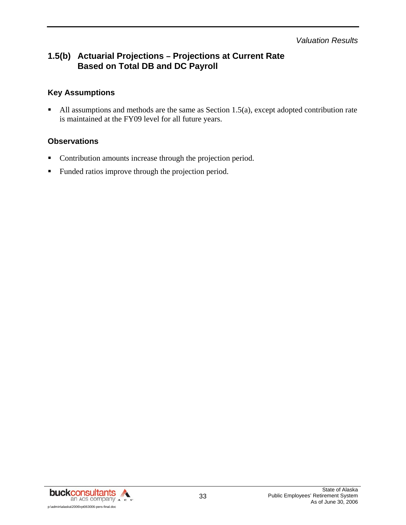*Valuation Results* 

# **1.5(b) Actuarial Projections – Projections at Current Rate Based on Total DB and DC Payroll**

## **Key Assumptions**

All assumptions and methods are the same as Section 1.5(a), except adopted contribution rate is maintained at the FY09 level for all future years.

#### **Observations**

- **•** Contribution amounts increase through the projection period.
- **Funded ratios improve through the projection period.**

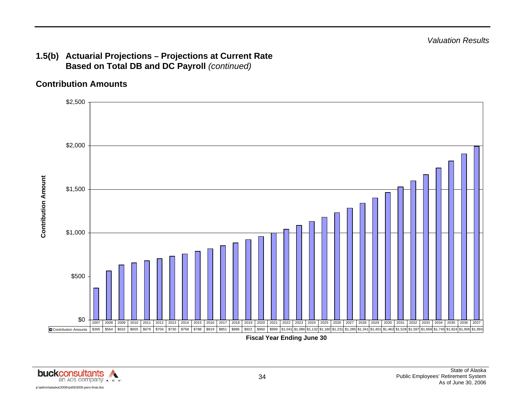# **1.5(b) Actuarial Projections – Projections at Current Rate Based on Total DB and DC Payroll** *(continued)*

# **Contribution Amounts**



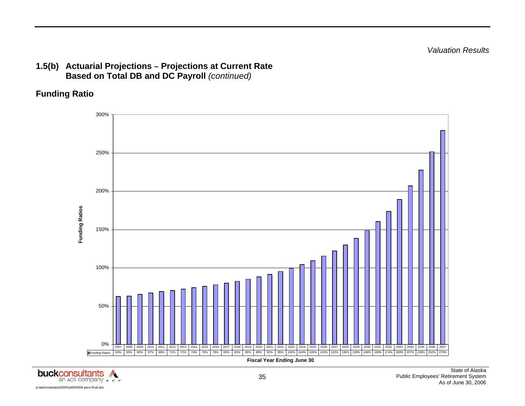*Valuation Results* 

## **1.5(b) Actuarial Projections – Projections at Current Rate Based on Total DB and DC Payroll** *(continued)*

# **Funding Ratio**



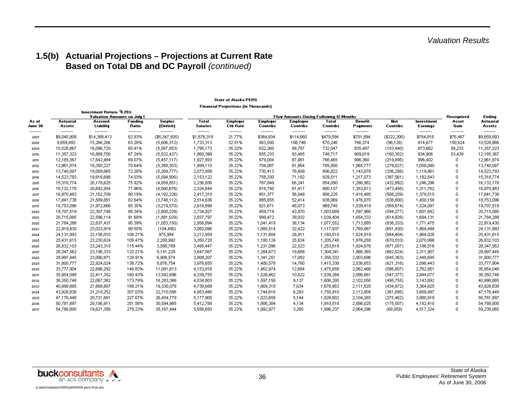# **1.5(b) Actuarial Projections – Projections at Current Rate Based on Total DB and DC Payroll** *(continued)*

#### **State of Alaska PERS**

**Financial Projections (in Thousands)** 

|                   |                         | Investment Return: '8.25%<br><b>Valuation Amounts on July 1</b> |                         |                             | , manoia, , rejevolons (m. rueasanas)<br><b>Flow Amounts During Following 12 Months</b> |                                    |                                    |                                    |                       |                       |                         |                        |                      | Ending                  |
|-------------------|-------------------------|-----------------------------------------------------------------|-------------------------|-----------------------------|-----------------------------------------------------------------------------------------|------------------------------------|------------------------------------|------------------------------------|-----------------------|-----------------------|-------------------------|------------------------|----------------------|-------------------------|
| As of<br>June 30  | Actuarial<br>Assets     | Accrued<br>Liability                                            | <b>Funding</b><br>Ratio | <b>Surplus</b><br>(Deficit) | <b>Total</b><br><b>Salaries</b>                                                         | <b>Employer</b><br><b>Ctb Rate</b> | <b>Employer</b><br><b>Contribs</b> | <b>Employee</b><br><b>Contribs</b> | Total<br>Contribs     | Benefit<br>Payments   | Net<br><b>Contribs</b>  | Investment<br>Earnings | Asset<br>Gain        | Actuarial<br>Assets     |
| ---------<br>2007 | --------<br>\$9,040,908 | --------<br>\$14,388,413                                        | --------<br>62.83%      | --------<br>(\$5,347,505)   | --------<br>\$1,676,318                                                                 | --------<br>21.77%                 | --------<br>\$364,934              | --------<br>\$114,660              | --------<br>\$479,594 | --------<br>\$701,894 | --------<br>(\$222,300) | --------<br>\$764,818  | --------<br>\$76,467 | --------<br>\$9,659,893 |
| 2008              | 9,659,893               | 15,266,206                                                      | 63.28%                  | (5,606,312)                 | 1,733,313                                                                               | 32.51%                             | 563,500                            | 106,746                            | 670,246               | 766,374               | (96, 128)               | 814,677                | 150,424              | 10,528,866              |
| 2009              | 10,528,867              | 16,096,720                                                      | 65.41%                  | (5,567,853)                 | 1,795,173                                                                               | 35.22%                             | 632,260                            | 99,787                             | 732,047               | 835,487               | (103, 440)              | 873,662                | 58,233               | 11,357,323              |
| 2010              | 11,357,323              | 16,889,750                                                      | 67.24%                  | (5,532,427)                 | 1,860,399                                                                               | 35.22%                             | 655,233                            | 93,485                             | 748,717               | 909,019               | (160, 302)              | 934,906                | 53,439               | 12,185,367              |
| 2011              | 12,185,367              | 17,642,484                                                      | 69.07%                  | (5,457,117)                 | 1,927,893                                                                               | 35.22%                             | 679,004                            | 87,461                             | 766,465               | 986,360               | (219, 895)              | 996,402                | n                    | 12,961,874              |
| 2012              | 12,961,874              | 18,350,227                                                      | 70.64%                  | (5,388,353)                 | 1,999,110                                                                               | 35.22%                             | 704,087                            | 81,864                             | 785,950               | 1,065,777             | (279, 827)              | 1,058,040              | n                    | 13,740,087              |
| 2013              | 13,740,087              | 19,009,865                                                      | 72.28%                  | (5,269,777)                 | 2,073,858                                                                               | 35.22%                             | 730,413                            | 76,409                             | 806,822               | 1,143,078             | (336, 256)              | 1,119,961              | n                    | 14,523,793              |
| 2014              | 14,523,793              | 19,618,698                                                      | 74.03%                  | (5,094,906)                 | 2,153,122                                                                               | 35.22%                             | 758,330                            | 71,182                             | 829,511               | 1,217,073             | (387, 561)              | 1,182,543              |                      | 15,318,774              |
| 2015              | 15,318,774              | 20,178,625                                                      | 75.92%                  | (4,859,851)                 | 2,236,936                                                                               | 35.22%                             | 787,849                            | 66,241                             | 854,090               | 1,286,982             | (432, 892)              | 1,246,296              |                      | 16,132,178              |
| 2016              | 16,132,178              | 20,692,854                                                      | 77.96%                  | (4,560,676)                 | 2,324,644                                                                               | 35.22%                             | 818,740                            | 61,417                             | 880,157               | 1,353,613             | (473, 456)              | 1,311,762              |                      | 16,970,483              |
| 2017              | 16,970,483              | 21,162,709                                                      | 80.19%                  | (4,192,226)                 | 2,417,310                                                                               | 35.22%                             | 851,377                            | 56,849                             | 908,225               | 1,416,485             | (508, 259)              | 1,379,515              | Ω                    | 17,841,738              |
| 2018              | 17,841,738              | 21,589,851                                                      | 82.64%                  | (3,748,112)                 | 2,514,636                                                                               | 35.22%                             | 885,655                            | 52,414                             | 938,069               | 1,476,870             | (538,800)               | 1,450,158              |                      | 18,753,096              |
| 2013              | 18,753,096              | 21,972,666                                                      | 85.35%                  | (3,219,570)                 | 2,616,898                                                                               | 35.22%                             | 921,671                            | 48,073                             | 969,745               | 1,539,419             | (569, 674)              | 1,524,097              |                      | 19,707,519              |
| 2020              | 19,707,519              | 22,307,748                                                      | 88.34%                  | (2,600,229)                 | 2,724,927                                                                               | 35.22%                             | 959,719                            | 43,970                             | 1,003,689             | 1,597,966             | (594, 277)              | 1,601,842              |                      | 20,715,085              |
| 2021              | 20,715,085              | 22,596,114                                                      | 91.68%                  | (1,881,029)                 | 2,837,797                                                                               | 35.22%                             | 999,472                            | 39,932                             | 1,039,404             | 1,654,333             | (614, 928)              | 1,684,131              | 0                    | 21,784,288              |
| 2022              | 21,784,288              | 22,837,437                                                      | 95.39%                  | (1,053,150)                 | 2,956,894                                                                               | 35.22%                             | 1,041,418                          | 36,134                             | 1,077,552             | 1,713,885             | (636, 333)              | 1,771,475              | n                    | 22,919,430              |
| 2023              | 22,919,430              | 23,023,919                                                      | 99.55%                  | (104, 490)                  | 3,082,096                                                                               | 35.22%                             | 1,085,514                          | 32,422                             | 1,117,937             | 1,769,867             | (651, 930)              | 1,864,494              | n                    | 24,131,993              |
| 2024              | 24,131,993              | 23,156,010                                                      | 104.21%                 | 975,984                     | 3,212,959                                                                               | 35.22%                             | 1,131,604                          | 28,911                             | 1,160,515             | 1,824,919             | (664, 404)              | 1,964,026              |                      | 25,431,615              |
| 2025              | 25,431,615              | 23,230,624                                                      | 109.47%                 | 2,200,992                   | 3,350,720                                                                               | 35.22%                             | 1,180,124                          | 25,624                             | 1,205,748             | 1,876,258             | (670, 510)              | 2,070,998              |                      | 26,832,103              |
| 2026              | 26,832,103              | 23,243,315                                                      | 115.44%                 | 3,588,789                   | 3,495,447                                                                               | 35.22%                             | 1,231,096                          | 22,523                             | 1,253,619             | 1,924,676             | (671, 057)              | 2,186,516              |                      | 28,347,562              |
| 2027              | 28,347,562              | 23,196,333                                                      | 122.21%                 | 5,151,229                   | 3,647,567                                                                               | 35.22%                             | 1,284,673                          | 19,668                             | 1,304,341             | 1,966,365             | (662,024)               | 2,311,907              | Ω                    | 29,997,445              |
| 2028              | 29,997,445              | 23,090,871                                                      | 129.91%                 | 6,906,574                   | 3,808,207                                                                               | 35.22%                             | 1,341,251                          | 17,082                             | 1,358,332             | 2,003,696             | (645, 363)              | 2,448,695              | n                    | 31,800,777              |
| 2029              | 31,800,777              | 22,924,024                                                      | 138.72%                 | 8,876,754                   | 3,976,655                                                                               | 35.22%                             | 1,400,578                          | 14,760                             | 1,415,338             | 2,036,653             | (621, 316)              | 2,598,443              | n                    | 33,777,904              |
| 2030              | 33,777,904              | 22,696,292                                                      | 148.83%                 | 11,081,613                  | 4,153,816                                                                               | 35.22%                             | 1,462,974                          | 12,684                             | 1,475,658             | 2,062,466             | (586, 807)              | 2,762,951              |                      | 35,954,048              |
| 2031              | 35,954,048              | 22,411,352                                                      | 160.43%                 | 13,542,696                  | 4,339,755                                                                               | 35.22%                             | 1,528,462                          | 10,822                             | 1,539,284             | 2,086,661             | (547, 377)              | 2,944,077              |                      | 38,350,748              |
| 2032              | 38,350,748              | 22,067,382                                                      | 173.79%                 | 16,283,366                  | 4,534,803                                                                               | 35.22%                             | 1,597,158                          | 9,137                              | 1,606,295             | 2,102,050             | (495, 755)              | 3,143,892              |                      | 40,998,885              |
| 2033              | 40,998,885              | 21,668,807                                                      | 189.21%                 | 19,330,078                  | 4,739,689                                                                               | 35.22%                             | 1,669,318                          | 7,634                              | 1,676,953             | 2,111,825             | (434, 872)              | 3,364,825              | n                    | 43,928,838              |
| 2034              | 43,928,838              | 21,218,252                                                      | 207.03%                 | 22,710,586                  | 4,953,486                                                                               | 35.22%                             | 1,744,618                          | 6,293                              | 1,750,910             | 2,112,805             | (361, 895)              | 3,609,497              |                      | 47,176,440              |
| 2035              | 47,176,440              | 20,721,661                                                      | 227.67%                 | 26,454,779                  | 5,177,905                                                                               | 35.22%                             | 1,823,658                          | 5,144                              | 1,828,802             | 2,104,265             | (275, 462)              | 3,880,919              |                      | 50,781,897              |
| 2036              | 50,781,897              | 20,186,911                                                      | 251.56%                 | 30,594,985                  | 5,412,788                                                                               | 35.22%                             | 1,906,384                          | 4,134                              | 1,910,518             | 2,086,025             | (175, 507)              | 4,182,410              |                      | 54,788,800              |
| 2037              | 54,788,800              | 19,621,356                                                      | 279.23%                 | 35,167,444                  | 5,658,650                                                                               | 35.22%                             | 1,992,977                          | 3,260                              | 1,996,237             | 2,064,296             | (68,059)                | 4,517,324              | n.                   | 59,238,065              |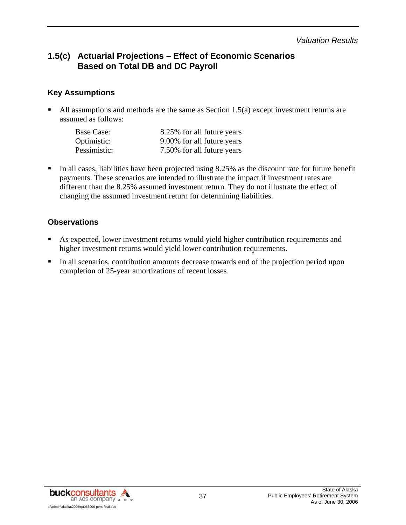*Valuation Results* 

# **1.5(c) Actuarial Projections – Effect of Economic Scenarios Based on Total DB and DC Payroll**

### **Key Assumptions**

 All assumptions and methods are the same as Section 1.5(a) except investment returns are assumed as follows:

| Base Case:   | 8.25% for all future years |
|--------------|----------------------------|
| Optimistic:  | 9.00% for all future years |
| Pessimistic: | 7.50% for all future years |

In all cases, liabilities have been projected using  $8.25\%$  as the discount rate for future benefit payments. These scenarios are intended to illustrate the impact if investment rates are different than the 8.25% assumed investment return. They do not illustrate the effect of changing the assumed investment return for determining liabilities.

### **Observations**

- As expected, lower investment returns would yield higher contribution requirements and higher investment returns would yield lower contribution requirements.
- In all scenarios, contribution amounts decrease towards end of the projection period upon completion of 25-year amortizations of recent losses.

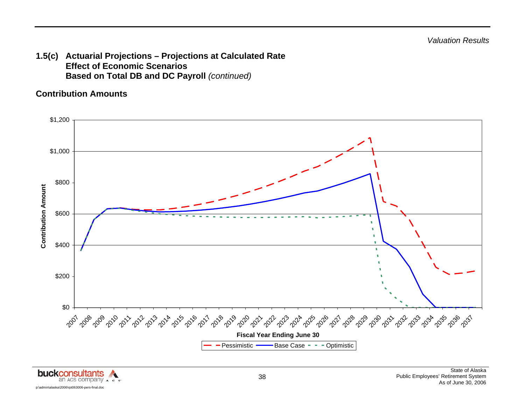**1.5(c) Actuarial Projections – Projections at Calculated Rate Effect of Economic Scenarios Based on Total DB and DC Payroll** *(continued)*

## **Contribution Amounts**



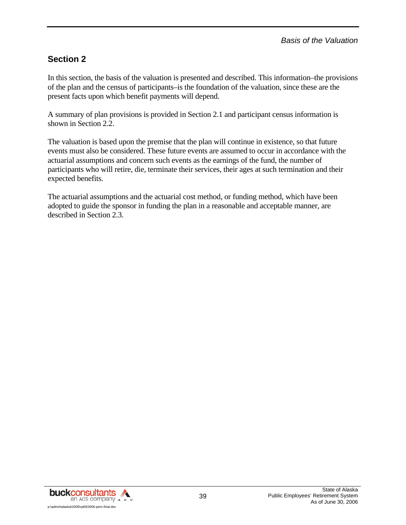# **Section 2**

In this section, the basis of the valuation is presented and described. This information–the provisions of the plan and the census of participants–is the foundation of the valuation, since these are the present facts upon which benefit payments will depend.

A summary of plan provisions is provided in Section 2.1 and participant census information is shown in Section 2.2.

The valuation is based upon the premise that the plan will continue in existence, so that future events must also be considered. These future events are assumed to occur in accordance with the actuarial assumptions and concern such events as the earnings of the fund, the number of participants who will retire, die, terminate their services, their ages at such termination and their expected benefits.

The actuarial assumptions and the actuarial cost method, or funding method, which have been adopted to guide the sponsor in funding the plan in a reasonable and acceptable manner, are described in Section 2.3.

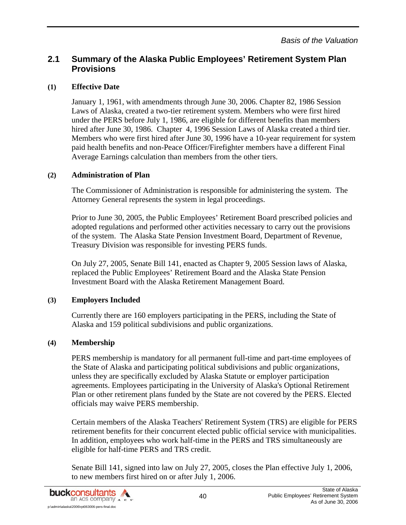### **(1) Effective Date**

January 1, 1961, with amendments through June 30, 2006. Chapter 82, 1986 Session Laws of Alaska, created a two-tier retirement system. Members who were first hired under the PERS before July 1, 1986, are eligible for different benefits than members hired after June 30, 1986. Chapter 4, 1996 Session Laws of Alaska created a third tier. Members who were first hired after June 30, 1996 have a 10-year requirement for system paid health benefits and non-Peace Officer/Firefighter members have a different Final Average Earnings calculation than members from the other tiers.

#### **(2) Administration of Plan**

The Commissioner of Administration is responsible for administering the system. The Attorney General represents the system in legal proceedings.

Prior to June 30, 2005, the Public Employees' Retirement Board prescribed policies and adopted regulations and performed other activities necessary to carry out the provisions of the system. The Alaska State Pension Investment Board, Department of Revenue, Treasury Division was responsible for investing PERS funds.

On July 27, 2005, Senate Bill 141, enacted as Chapter 9, 2005 Session laws of Alaska, replaced the Public Employees' Retirement Board and the Alaska State Pension Investment Board with the Alaska Retirement Management Board.

## **(3) Employers Included**

Currently there are 160 employers participating in the PERS, including the State of Alaska and 159 political subdivisions and public organizations.

## **(4) Membership**

PERS membership is mandatory for all permanent full-time and part-time employees of the State of Alaska and participating political subdivisions and public organizations, unless they are specifically excluded by Alaska Statute or employer participation agreements. Employees participating in the University of Alaska's Optional Retirement Plan or other retirement plans funded by the State are not covered by the PERS. Elected officials may waive PERS membership.

Certain members of the Alaska Teachers' Retirement System (TRS) are eligible for PERS retirement benefits for their concurrent elected public official service with municipalities. In addition, employees who work half-time in the PERS and TRS simultaneously are eligible for half-time PERS and TRS credit.

Senate Bill 141, signed into law on July 27, 2005, closes the Plan effective July 1, 2006, to new members first hired on or after July 1, 2006.

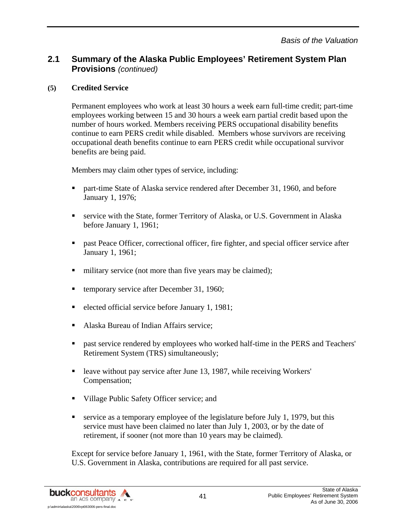### **(5) Credited Service**

Permanent employees who work at least 30 hours a week earn full-time credit; part-time employees working between 15 and 30 hours a week earn partial credit based upon the number of hours worked. Members receiving PERS occupational disability benefits continue to earn PERS credit while disabled. Members whose survivors are receiving occupational death benefits continue to earn PERS credit while occupational survivor benefits are being paid.

Members may claim other types of service, including:

- part-time State of Alaska service rendered after December 31, 1960, and before January 1, 1976;
- service with the State, former Territory of Alaska, or U.S. Government in Alaska before January 1, 1961;
- **Example 3** past Peace Officer, correctional officer, fire fighter, and special officer service after January 1, 1961;
- military service (not more than five years may be claimed);
- temporary service after December 31, 1960;
- elected official service before January 1, 1981;
- Alaska Bureau of Indian Affairs service;
- **Past service rendered by employees who worked half-time in the PERS and Teachers'** Retirement System (TRS) simultaneously;
- leave without pay service after June 13, 1987, while receiving Workers' Compensation;
- Village Public Safety Officer service; and
- service as a temporary employee of the legislature before July 1, 1979, but this service must have been claimed no later than July 1, 2003, or by the date of retirement, if sooner (not more than 10 years may be claimed).

Except for service before January 1, 1961, with the State, former Territory of Alaska, or U.S. Government in Alaska, contributions are required for all past service.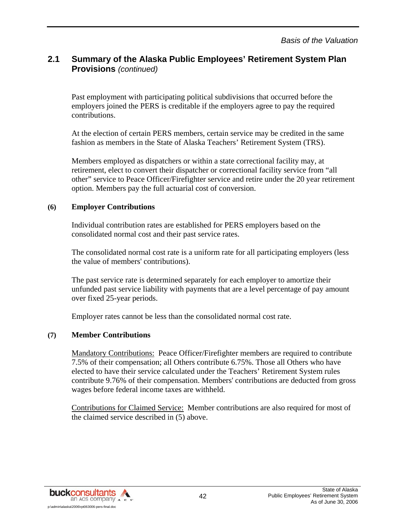Past employment with participating political subdivisions that occurred before the employers joined the PERS is creditable if the employers agree to pay the required contributions.

At the election of certain PERS members, certain service may be credited in the same fashion as members in the State of Alaska Teachers' Retirement System (TRS).

Members employed as dispatchers or within a state correctional facility may, at retirement, elect to convert their dispatcher or correctional facility service from "all other" service to Peace Officer/Firefighter service and retire under the 20 year retirement option. Members pay the full actuarial cost of conversion.

#### **(6) Employer Contributions**

Individual contribution rates are established for PERS employers based on the consolidated normal cost and their past service rates.

The consolidated normal cost rate is a uniform rate for all participating employers (less the value of members' contributions).

The past service rate is determined separately for each employer to amortize their unfunded past service liability with payments that are a level percentage of pay amount over fixed 25-year periods.

Employer rates cannot be less than the consolidated normal cost rate.

#### **(7) Member Contributions**

Mandatory Contributions: Peace Officer/Firefighter members are required to contribute 7.5% of their compensation; all Others contribute 6.75%. Those all Others who have elected to have their service calculated under the Teachers' Retirement System rules contribute 9.76% of their compensation. Members' contributions are deducted from gross wages before federal income taxes are withheld.

Contributions for Claimed Service: Member contributions are also required for most of the claimed service described in (5) above.

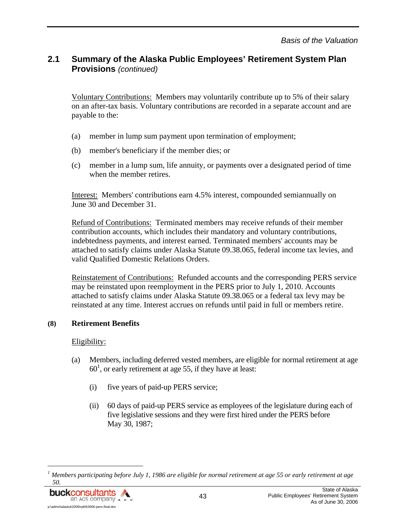Voluntary Contributions: Members may voluntarily contribute up to 5% of their salary on an after-tax basis. Voluntary contributions are recorded in a separate account and are payable to the:

- (a) member in lump sum payment upon termination of employment;
- (b) member's beneficiary if the member dies; or
- (c) member in a lump sum, life annuity, or payments over a designated period of time when the member retires.

Interest: Members' contributions earn 4.5% interest, compounded semiannually on June 30 and December 31.

Refund of Contributions: Terminated members may receive refunds of their member contribution accounts, which includes their mandatory and voluntary contributions, indebtedness payments, and interest earned. Terminated members' accounts may be attached to satisfy claims under Alaska Statute 09.38.065, federal income tax levies, and valid Qualified Domestic Relations Orders.

Reinstatement of Contributions: Refunded accounts and the corresponding PERS service may be reinstated upon reemployment in the PERS prior to July 1, 2010. Accounts attached to satisfy claims under Alaska Statute 09.38.065 or a federal tax levy may be reinstated at any time. Interest accrues on refunds until paid in full or members retire.

#### **(8) Retirement Benefits**

#### Eligibility:

- (a) Members, including deferred vested members, are eligible for normal retirement at age  $60<sup>1</sup>$ , or early retirement at age 55, if they have at least:
	- (i) five years of paid-up PERS service;
	- (ii) 60 days of paid-up PERS service as employees of the legislature during each of five legislative sessions and they were first hired under the PERS before May 30, 1987;

*<sup>1</sup> Members participating before July 1, 1986 are eligible for normal retirement at age 55 or early retirement at age 50.* 



l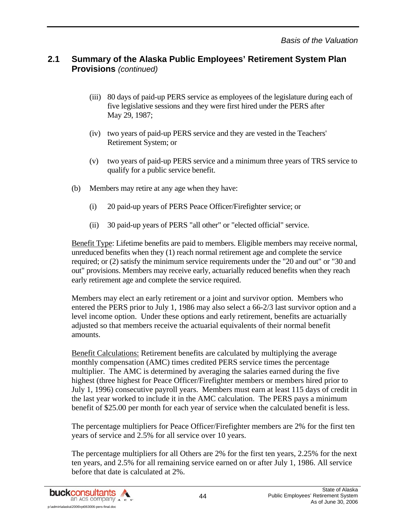- (iii) 80 days of paid-up PERS service as employees of the legislature during each of five legislative sessions and they were first hired under the PERS after May 29, 1987;
- (iv) two years of paid-up PERS service and they are vested in the Teachers' Retirement System; or
- (v) two years of paid-up PERS service and a minimum three years of TRS service to qualify for a public service benefit.
- (b) Members may retire at any age when they have:
	- (i) 20 paid-up years of PERS Peace Officer/Firefighter service; or
	- (ii) 30 paid-up years of PERS "all other" or "elected official" service.

Benefit Type: Lifetime benefits are paid to members. Eligible members may receive normal, unreduced benefits when they (1) reach normal retirement age and complete the service required; or (2) satisfy the minimum service requirements under the "20 and out" or "30 and out" provisions. Members may receive early, actuarially reduced benefits when they reach early retirement age and complete the service required.

Members may elect an early retirement or a joint and survivor option. Members who entered the PERS prior to July 1, 1986 may also select a 66-2/3 last survivor option and a level income option. Under these options and early retirement, benefits are actuarially adjusted so that members receive the actuarial equivalents of their normal benefit amounts.

Benefit Calculations: Retirement benefits are calculated by multiplying the average monthly compensation (AMC) times credited PERS service times the percentage multiplier. The AMC is determined by averaging the salaries earned during the five highest (three highest for Peace Officer/Firefighter members or members hired prior to July 1, 1996) consecutive payroll years. Members must earn at least 115 days of credit in the last year worked to include it in the AMC calculation. The PERS pays a minimum benefit of \$25.00 per month for each year of service when the calculated benefit is less.

The percentage multipliers for Peace Officer/Firefighter members are 2% for the first ten years of service and 2.5% for all service over 10 years.

The percentage multipliers for all Others are 2% for the first ten years, 2.25% for the next ten years, and 2.5% for all remaining service earned on or after July 1, 1986. All service before that date is calculated at 2%.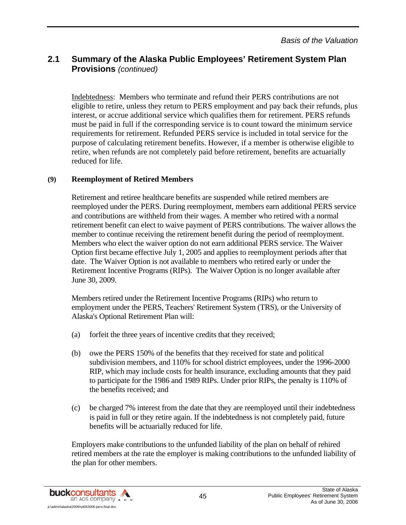Indebtedness: Members who terminate and refund their PERS contributions are not eligible to retire, unless they return to PERS employment and pay back their refunds, plus interest, or accrue additional service which qualifies them for retirement. PERS refunds must be paid in full if the corresponding service is to count toward the minimum service requirements for retirement. Refunded PERS service is included in total service for the purpose of calculating retirement benefits. However, if a member is otherwise eligible to retire, when refunds are not completely paid before retirement, benefits are actuarially reduced for life.

#### **(9) Reemployment of Retired Members**

Retirement and retiree healthcare benefits are suspended while retired members are reemployed under the PERS. During reemployment, members earn additional PERS service and contributions are withheld from their wages. A member who retired with a normal retirement benefit can elect to waive payment of PERS contributions. The waiver allows the member to continue receiving the retirement benefit during the period of reemployment. Members who elect the waiver option do not earn additional PERS service. The Waiver Option first became effective July 1, 2005 and applies to reemployment periods after that date. The Waiver Option is not available to members who retired early or under the Retirement Incentive Programs (RIPs). The Waiver Option is no longer available after June 30, 2009.

Members retired under the Retirement Incentive Programs (RIPs) who return to employment under the PERS, Teachers' Retirement System (TRS), or the University of Alaska's Optional Retirement Plan will:

- (a) forfeit the three years of incentive credits that they received;
- (b) owe the PERS 150% of the benefits that they received for state and political subdivision members, and 110% for school district employees, under the 1996-2000 RIP, which may include costs for health insurance, excluding amounts that they paid to participate for the 1986 and 1989 RIPs. Under prior RIPs, the penalty is 110% of the benefits received; and
- (c) be charged 7% interest from the date that they are reemployed until their indebtedness is paid in full or they retire again. If the indebtedness is not completely paid, future benefits will be actuarially reduced for life.

Employers make contributions to the unfunded liability of the plan on behalf of rehired retired members at the rate the employer is making contributions to the unfunded liability of the plan for other members.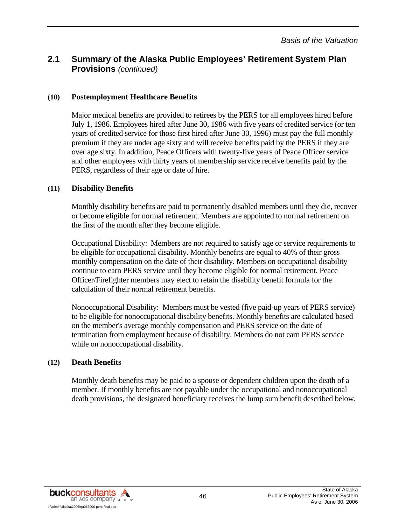#### **(10) Postemployment Healthcare Benefits**

Major medical benefits are provided to retirees by the PERS for all employees hired before July 1, 1986. Employees hired after June 30, 1986 with five years of credited service (or ten years of credited service for those first hired after June 30, 1996) must pay the full monthly premium if they are under age sixty and will receive benefits paid by the PERS if they are over age sixty. In addition, Peace Officers with twenty-five years of Peace Officer service and other employees with thirty years of membership service receive benefits paid by the PERS, regardless of their age or date of hire.

#### **(11) Disability Benefits**

Monthly disability benefits are paid to permanently disabled members until they die, recover or become eligible for normal retirement. Members are appointed to normal retirement on the first of the month after they become eligible.

Occupational Disability: Members are not required to satisfy age or service requirements to be eligible for occupational disability. Monthly benefits are equal to 40% of their gross monthly compensation on the date of their disability. Members on occupational disability continue to earn PERS service until they become eligible for normal retirement. Peace Officer/Firefighter members may elect to retain the disability benefit formula for the calculation of their normal retirement benefits.

Nonoccupational Disability: Members must be vested (five paid-up years of PERS service) to be eligible for nonoccupational disability benefits. Monthly benefits are calculated based on the member's average monthly compensation and PERS service on the date of termination from employment because of disability. Members do not earn PERS service while on nonoccupational disability.

#### **(12) Death Benefits**

Monthly death benefits may be paid to a spouse or dependent children upon the death of a member. If monthly benefits are not payable under the occupational and nonoccupational death provisions, the designated beneficiary receives the lump sum benefit described below.

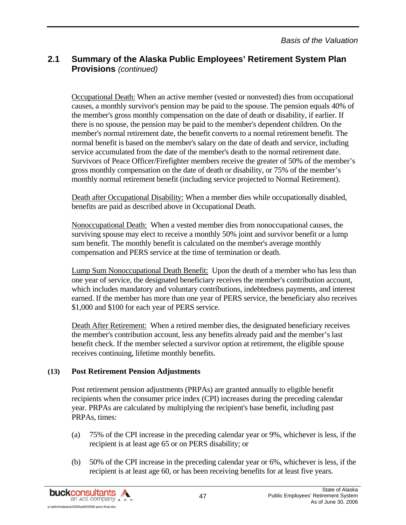Occupational Death: When an active member (vested or nonvested) dies from occupational causes, a monthly survivor's pension may be paid to the spouse. The pension equals 40% of the member's gross monthly compensation on the date of death or disability, if earlier. If there is no spouse, the pension may be paid to the member's dependent children. On the member's normal retirement date, the benefit converts to a normal retirement benefit. The normal benefit is based on the member's salary on the date of death and service, including service accumulated from the date of the member's death to the normal retirement date. Survivors of Peace Officer/Firefighter members receive the greater of 50% of the member's gross monthly compensation on the date of death or disability, or 75% of the member's monthly normal retirement benefit (including service projected to Normal Retirement).

Death after Occupational Disability: When a member dies while occupationally disabled, benefits are paid as described above in Occupational Death.

Nonoccupational Death: When a vested member dies from nonoccupational causes, the surviving spouse may elect to receive a monthly 50% joint and survivor benefit or a lump sum benefit. The monthly benefit is calculated on the member's average monthly compensation and PERS service at the time of termination or death.

Lump Sum Nonoccupational Death Benefit: Upon the death of a member who has less than one year of service, the designated beneficiary receives the member's contribution account, which includes mandatory and voluntary contributions, indebtedness payments, and interest earned. If the member has more than one year of PERS service, the beneficiary also receives \$1,000 and \$100 for each year of PERS service.

Death After Retirement: When a retired member dies, the designated beneficiary receives the member's contribution account, less any benefits already paid and the member's last benefit check. If the member selected a survivor option at retirement, the eligible spouse receives continuing, lifetime monthly benefits.

#### **(13) Post Retirement Pension Adjustments**

Post retirement pension adjustments (PRPAs) are granted annually to eligible benefit recipients when the consumer price index (CPI) increases during the preceding calendar year. PRPAs are calculated by multiplying the recipient's base benefit, including past PRPAs, times:

- (a) 75% of the CPI increase in the preceding calendar year or 9%, whichever is less, if the recipient is at least age 65 or on PERS disability; or
- (b) 50% of the CPI increase in the preceding calendar year or 6%, whichever is less, if the recipient is at least age 60, or has been receiving benefits for at least five years.

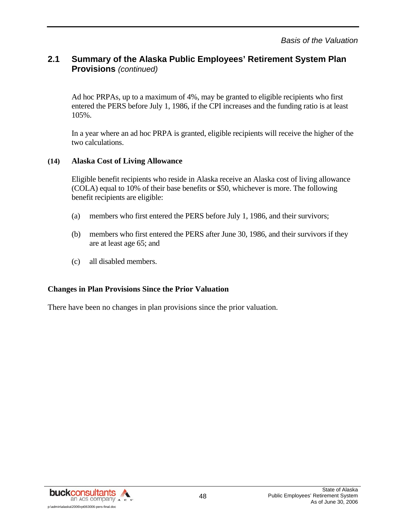Ad hoc PRPAs, up to a maximum of 4%, may be granted to eligible recipients who first entered the PERS before July 1, 1986, if the CPI increases and the funding ratio is at least 105%.

In a year where an ad hoc PRPA is granted, eligible recipients will receive the higher of the two calculations.

#### **(14) Alaska Cost of Living Allowance**

Eligible benefit recipients who reside in Alaska receive an Alaska cost of living allowance (COLA) equal to 10% of their base benefits or \$50, whichever is more. The following benefit recipients are eligible:

- (a) members who first entered the PERS before July 1, 1986, and their survivors;
- (b) members who first entered the PERS after June 30, 1986, and their survivors if they are at least age 65; and
- (c) all disabled members.

#### **Changes in Plan Provisions Since the Prior Valuation**

There have been no changes in plan provisions since the prior valuation.

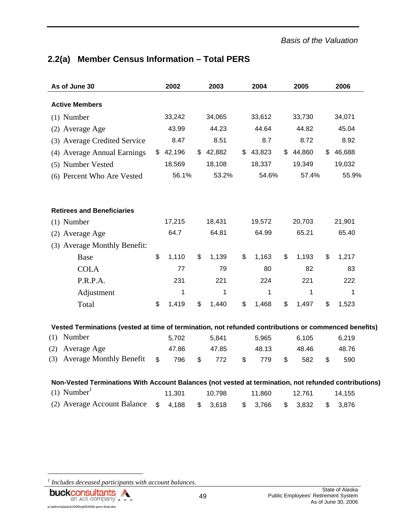# **2.2(a) Member Census Information – Total PERS**

| As of June 30                                                                                         | 2002        | 2003        | 2004         |              | 2005   | 2006         |
|-------------------------------------------------------------------------------------------------------|-------------|-------------|--------------|--------------|--------|--------------|
| <b>Active Members</b>                                                                                 |             |             |              |              |        |              |
| $(1)$ Number                                                                                          | 33,242      | 34,065      | 33,612       |              | 33,730 | 34,071       |
| (2) Average Age                                                                                       | 43.99       | 44.23       | 44.64        |              | 44.82  | 45.04        |
| (3) Average Credited Service                                                                          | 8.47        | 8.51        | 8.7          |              | 8.72   | 8.92         |
| (4) Average Annual Earnings                                                                           | \$42,196    | \$42,882    | \$<br>43,823 | $\mathbb{S}$ | 44,860 | \$<br>46,688 |
| (5) Number Vested                                                                                     | 18,569      | 18,108      | 18,337       |              | 19,349 | 19,032       |
| (6) Percent Who Are Vested                                                                            | 56.1%       | 53.2%       | 54.6%        |              | 57.4%  | 55.9%        |
| <b>Retirees and Beneficiaries</b>                                                                     |             |             |              |              |        |              |
| $(1)$ Number                                                                                          | 17,215      | 18,431      | 19,572       |              | 20,703 | 21,901       |
| (2) Average Age                                                                                       | 64.7        | 64.81       | 64.99        |              | 65.21  | 65.40        |
| (3) Average Monthly Benefit:                                                                          |             |             |              |              |        |              |
| Base                                                                                                  | \$<br>1,110 | \$<br>1,139 | \$<br>1,163  | \$           | 1,193  | \$<br>1,217  |
| <b>COLA</b>                                                                                           | 77          | 79          | 80           |              | 82     | 83           |
| P.R.P.A.                                                                                              | 231         | 221         | 224          |              | 221    | 222          |
| Adjustment                                                                                            | 1           | 1           | 1            |              | 1      | 1            |
| Total                                                                                                 | \$<br>1,419 | \$<br>1,440 | \$<br>1,468  | \$           | 1,497  | \$<br>1,523  |
| Vested Terminations (vested at time of termination, not refunded contributions or commenced benefits) |             |             |              |              |        |              |
| Number<br>(1)                                                                                         | 5,702       | 5,841       | 5,965        |              | 6,105  | 6,219        |
| Average Age<br>(2)                                                                                    | 47.86       | 47.85       | 48.13        |              | 48.46  | 48.76        |
| <b>Average Monthly Benefit</b><br>(3)                                                                 | \$<br>796   | \$<br>772   | \$<br>779    | \$           | 582    | \$<br>590    |
| Non-Vested Terminations With Account Balances (not vested at termination, not refunded contributions) |             |             |              |              |        |              |
| $(1)$ Number <sup>1</sup>                                                                             | 11,301      | 10,798      | 11,860       |              | 12,761 | 14,155       |
| (2) Average Account Balance                                                                           | \$<br>4,188 | \$<br>3,618 | \$<br>3,766  | \$           | 3,832  | \$<br>3,876  |

*1 Includes deceased participants with account balances.* 



l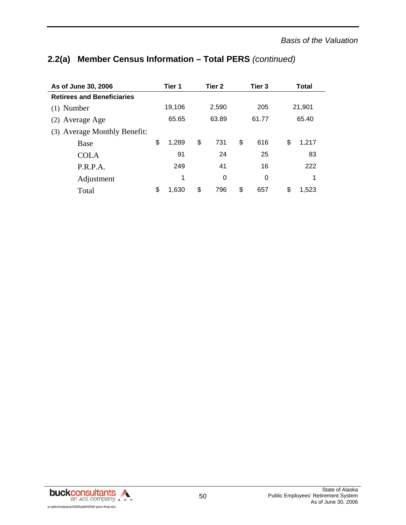# **As of June 30, 2006 Tier 1 Tier 2 Tier 3 Total Retirees and Beneficiaries**  (1) Number 19,106 2,590 205 21,901 (2) Average Age 65.65 63.89 61.77 65.40 (3) Average Monthly Benefit: Base 5 1,289 \$ 731 \$ 616 \$ 1,217 COLA 91 24 25 83 P.R.P.A. 249 41 16 222 Adjustment 1 0 0 1 Total \$ 1,630 \$ 796 \$ 657 \$ 1,523

# **2.2(a) Member Census Information – Total PERS** *(continued)*

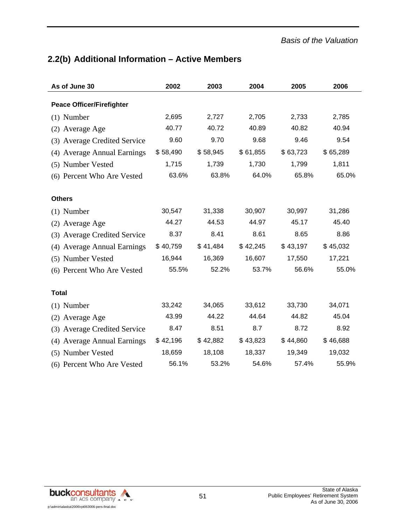# **2.2(b) Additional Information – Active Members**

| As of June 30                    | 2002     | 2003     | 2004     | 2005     | 2006     |
|----------------------------------|----------|----------|----------|----------|----------|
| <b>Peace Officer/Firefighter</b> |          |          |          |          |          |
| $(1)$ Number                     | 2,695    | 2,727    | 2,705    | 2,733    | 2,785    |
|                                  | 40.77    | 40.72    | 40.89    | 40.82    | 40.94    |
| (2) Average Age                  |          |          |          |          |          |
| (3) Average Credited Service     | 9.60     | 9.70     | 9.68     | 9.46     | 9.54     |
| (4) Average Annual Earnings      | \$58,490 | \$58,945 | \$61,855 | \$63,723 | \$65,289 |
| (5) Number Vested                | 1,715    | 1,739    | 1,730    | 1,799    | 1,811    |
| (6) Percent Who Are Vested       | 63.6%    | 63.8%    | 64.0%    | 65.8%    | 65.0%    |
|                                  |          |          |          |          |          |
| <b>Others</b>                    |          |          |          |          |          |
| $(1)$ Number                     | 30,547   | 31,338   | 30,907   | 30,997   | 31,286   |
| (2) Average Age                  | 44.27    | 44.53    | 44.97    | 45.17    | 45.40    |
| (3) Average Credited Service     | 8.37     | 8.41     | 8.61     | 8.65     | 8.86     |
| (4) Average Annual Earnings      | \$40,759 | \$41,484 | \$42,245 | \$43,197 | \$45,032 |
| (5) Number Vested                | 16,944   | 16,369   | 16,607   | 17,550   | 17,221   |
| (6) Percent Who Are Vested       | 55.5%    | 52.2%    | 53.7%    | 56.6%    | 55.0%    |
|                                  |          |          |          |          |          |
| <b>Total</b>                     |          |          |          |          |          |
| $(1)$ Number                     | 33,242   | 34,065   | 33,612   | 33,730   | 34,071   |
| (2) Average Age                  | 43.99    | 44.22    | 44.64    | 44.82    | 45.04    |
| (3) Average Credited Service     | 8.47     | 8.51     | 8.7      | 8.72     | 8.92     |
| (4) Average Annual Earnings      | \$42,196 | \$42,882 | \$43,823 | \$44,860 | \$46,688 |
| (5) Number Vested                | 18,659   | 18,108   | 18,337   | 19,349   | 19,032   |
| (6) Percent Who Are Vested       | 56.1%    | 53.2%    | 54.6%    | 57.4%    | 55.9%    |

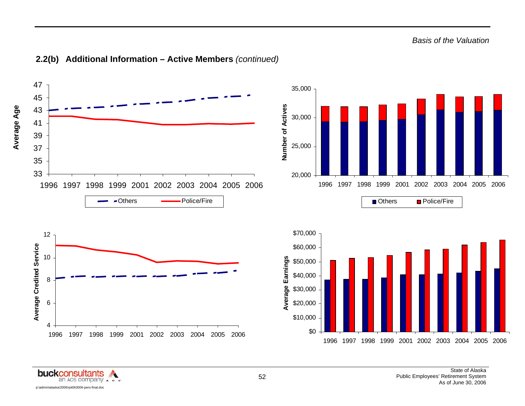

#### **2.2(b) Additional Information – Active Members** *(continued)*

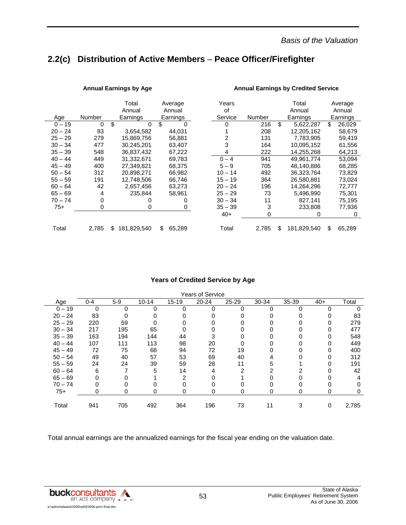# **2.2(c) Distribution of Active Members** – **Peace Officer/Firefighter**

|           |               | Total             | Average      | Years     |        | Total             | Average      |
|-----------|---------------|-------------------|--------------|-----------|--------|-------------------|--------------|
|           |               | Annual            | Annual       | οf        |        | Annual            | Annual       |
| Age       | <b>Number</b> | Earnings          | Earnings     | Service   | Number | Earnings          | Earnings     |
| $0 - 19$  | 0             | \$<br>0           | \$<br>0      | 0         | 216    | \$<br>5,622,287   | \$<br>26,029 |
| $20 - 24$ | 83            | 3.654.582         | 44.031       |           | 208    | 12.205.162        | 58.679       |
| $25 - 29$ | 279           | 15,869,756        | 56,881       | 2         | 131    | 7,783,905         | 59,419       |
| $30 - 34$ | 477           | 30,245,201        | 63,407       | 3         | 164    | 10,095,152        | 61,556       |
| $35 - 39$ | 548           | 36,837,432        | 67,222       | 4         | 222    | 14,255,268        | 64,213       |
| $40 - 44$ | 449           | 31,332,671        | 69,783       | $0 - 4$   | 941    | 49,961,774        | 53,094       |
| $45 - 49$ | 400           | 27.349.821        | 68.375       | $5 - 9$   | 705    | 48.140.886        | 68.285       |
| $50 - 54$ | 312           | 20.898.271        | 66.982       | $10 - 14$ | 492    | 36.323.764        | 73.829       |
| $55 - 59$ | 191           | 12,748,506        | 66,746       | $15 - 19$ | 364    | 26,580,881        | 73,024       |
| $60 - 64$ | 42            | 2,657,456         | 63,273       | $20 - 24$ | 196    | 14.264.296        | 72.777       |
| $65 - 69$ | 4             | 235,844           | 58,961       | $25 - 29$ | 73     | 5,496,990         | 75,301       |
| 70 – 74   | 0             | 0                 | 0            | $30 - 34$ | 11     | 827,141           | 75,195       |
| $75+$     | 0             | 0                 | 0            | $35 - 39$ | 3      | 233.808           | 77.936       |
|           |               |                   |              | $40+$     | 0      | 0                 | 0            |
| Total     | 2,785         | 181,829,540<br>\$ | 65,289<br>\$ | Total     | 2,785  | \$<br>181,829,540 | \$<br>65,289 |

#### Annual Earnings by Age **Annual Earnings by Credited Service Annual Earnings by Credited Service**

#### **Years of Credited Service by Age**

| <b>Years of Service</b> |         |       |           |           |           |       |       |       |       |       |  |
|-------------------------|---------|-------|-----------|-----------|-----------|-------|-------|-------|-------|-------|--|
| Age                     | $0 - 4$ | $5-9$ | $10 - 14$ | $15 - 19$ | $20 - 24$ | 25-29 | 30-34 | 35-39 | $40+$ | Total |  |
| $0 - 19$                | 0       | 0     |           | O         | 0         | 0     |       |       |       |       |  |
| $20 - 24$               | 83      | 0     |           |           |           |       |       |       |       | 83    |  |
| $25 - 29$               | 220     | 59    |           |           |           |       |       |       |       | 279   |  |
| $30 - 34$               | 217     | 195   | 65        |           |           |       |       |       |       | 477   |  |
| $35 - 39$               | 163     | 194   | 144       | 44        |           |       |       |       |       | 548   |  |
| $40 - 44$               | 107     | 111   | 113       | 98        | 20        |       |       |       |       | 449   |  |
| $45 - 49$               | 72      | 75    | 68        | 94        | 72        | 19    |       |       |       | 400   |  |
| $50 - 54$               | 49      | 40    | 57        | 53        | 69        | 40    | 4     |       |       | 312   |  |
| $55 - 59$               | 24      | 24    | 39        | 59        | 28        | 11    | 5     |       |       | 191   |  |
| $60 - 64$               | 6       |       | 5         | 14        | 4         | 2     | ົ     |       |       | 42    |  |
| $65 - 69$               |         |       |           | 2         |           |       |       |       |       | 4     |  |
| $70 - 74$               |         |       |           |           |           |       |       |       |       |       |  |
| $75+$                   | 0       | 0     | 0         | 0         | 0         | 0     | 0     | 0     | 0     | 0     |  |
| Total                   | 941     | 705   | 492       | 364       | 196       | 73    | 11    | 3     | 0     | 2,785 |  |
|                         |         |       |           |           |           |       |       |       |       |       |  |

Total annual earnings are the annualized earnings for the fiscal year ending on the valuation date.

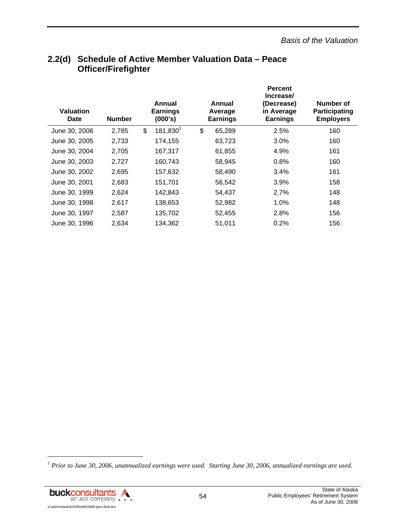| <b>Valuation</b><br><b>Date</b> | <b>Number</b> | Annual<br><b>Earnings</b><br>(000's) | Annual<br>Average<br><b>Earnings</b> | <b>Percent</b><br>Increase/<br>(Decrease)<br>in Average<br><b>Earnings</b> | Number of<br><b>Participating</b><br><b>Employers</b> |
|---------------------------------|---------------|--------------------------------------|--------------------------------------|----------------------------------------------------------------------------|-------------------------------------------------------|
| June 30, 2006                   | 2,785         | 181,830 <sup>1</sup><br>\$           | \$<br>65,289                         | 2.5%                                                                       | 160                                                   |
| June 30, 2005                   | 2,733         | 174,155                              | 63,723                               | 3.0%                                                                       | 160                                                   |
| June 30, 2004                   | 2,705         | 167,317                              | 61,855                               | 4.9%                                                                       | 161                                                   |
| June 30, 2003                   | 2,727         | 160,743                              | 58,945                               | 0.8%                                                                       | 160                                                   |
| June 30, 2002                   | 2,695         | 157,632                              | 58,490                               | 3.4%                                                                       | 161                                                   |
| June 30, 2001                   | 2,683         | 151,701                              | 56,542                               | 3.9%                                                                       | 158                                                   |
| June 30, 1999                   | 2,624         | 142,843                              | 54,437                               | 2.7%                                                                       | 148                                                   |
| June 30, 1998                   | 2,617         | 138,653                              | 52,982                               | 1.0%                                                                       | 148                                                   |
| June 30, 1997                   | 2,587         | 135,702                              | 52,455                               | 2.8%                                                                       | 156                                                   |
| June 30, 1996                   | 2,634         | 134,362                              | 51,011                               | 0.2%                                                                       | 156                                                   |

# **2.2(d) Schedule of Active Member Valuation Data – Peace Officer/Firefighter**

<sup>&</sup>lt;sup>1</sup> Prior to June 30, 2006, unannualized earnings were used. Starting June 30, 2006, annualized earnings are used.



l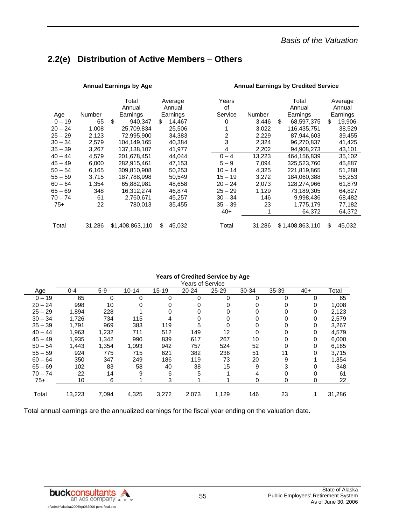# **2.2(e) Distribution of Active Members** – **Others**

|           |        | Total<br>Annual | Average<br>Annual | Years<br>οf |        | Total<br>Annual  | Average<br>Annual |
|-----------|--------|-----------------|-------------------|-------------|--------|------------------|-------------------|
| Age       | Number | Earnings        | Earnings          | Service     | Number | Earnings         | Earnings          |
| $0 - 19$  | 65     | \$<br>940,347   | \$<br>14,467      | 0           | 3,446  | \$<br>68,597,375 | \$<br>19,906      |
| $20 - 24$ | 1.008  | 25.709.834      | 25,506            |             | 3.022  | 116.435.751      | 38.529            |
| $25 - 29$ | 2.123  | 72,995,900      | 34,383            | 2           | 2,229  | 87,944,603       | 39,455            |
| $30 - 34$ | 2,579  | 104,149,165     | 40,384            | 3           | 2,324  | 96,270,837       | 41,425            |
| $35 - 39$ | 3.267  | 137,138,107     | 41.977            | 4           | 2,202  | 94,908,273       | 43,101            |
| $40 - 44$ | 4.579  | 201.678.451     | 44.044            | $0 - 4$     | 13,223 | 464,156,839      | 35,102            |
| $45 - 49$ | 6,000  | 282,915,461     | 47,153            | $5 - 9$     | 7,094  | 325,523,760      | 45,887            |
| $50 - 54$ | 6.165  | 309,810,908     | 50,253            | $10 - 14$   | 4,325  | 221,819,865      | 51,288            |
| $55 - 59$ | 3.715  | 187,788,998     | 50.549            | $15 - 19$   | 3.272  | 184,060,388      | 56,253            |
| $60 - 64$ | 1,354  | 65,882,981      | 48,658            | $20 - 24$   | 2,073  | 128,274,966      | 61,879            |
| $65 - 69$ | 348    | 16,312,274      | 46.874            | $25 - 29$   | 1.129  | 73.189.305       | 64.827            |
| 70 – 74   | 61     | 2,760,671       | 45,257            | $30 - 34$   | 146    | 9,998,436        | 68,482            |
| $75+$     | 22     | 780,013         | 35,455            | $35 - 39$   | 23     | 1,775,179        | 77,182            |
|           |        |                 |                   | $40+$       |        | 64.372           | 64,372            |
| Total     | 31,286 | \$1,408,863,110 | \$<br>45,032      | Total       | 31,286 | \$1,408,863,110  | \$<br>45,032      |

#### **Annual Earnings by Age Annual Earnings by Credited Service**

#### **Years of Credited Service by Age**

|           | Years of Service |       |           |           |           |           |       |       |       |        |  |
|-----------|------------------|-------|-----------|-----------|-----------|-----------|-------|-------|-------|--------|--|
| Age       | $0 - 4$          | $5-9$ | $10 - 14$ | $15 - 19$ | $20 - 24$ | $25 - 29$ | 30-34 | 35-39 | $40+$ | Total  |  |
| $0 - 19$  | 65               | 0     | 0         | 0         | 0         | 0         | 0     | 0     | 0     | 65     |  |
| $20 - 24$ | 998              | 10    | 0         | 0         | 0         | 0         | 0     | 0     | 0     | 1,008  |  |
| $25 - 29$ | 1,894            | 228   |           |           | 0         | 0         | 0     | 0     | 0     | 2,123  |  |
| $30 - 34$ | 1,726            | 734   | 115       |           | 0         |           | 0     | 0     | 0     | 2,579  |  |
| $35 - 39$ | 1,791            | 969   | 383       | 119       | 5         | 0         | 0     | 0     | 0     | 3,267  |  |
| $40 - 44$ | 1,963            | 1,232 | 711       | 512       | 149       | 12        | 0     | 0     | 0     | 4,579  |  |
| $45 - 49$ | 1,935            | 1,342 | 990       | 839       | 617       | 267       | 10    | 0     | 0     | 6,000  |  |
| $50 - 54$ | 1,443            | 1,354 | 1,093     | 942       | 757       | 524       | 52    | 0     | 0     | 6,165  |  |
| $55 - 59$ | 924              | 775   | 715       | 621       | 382       | 236       | 51    | 11    | 0     | 3,715  |  |
| $60 - 64$ | 350              | 347   | 249       | 186       | 119       | 73        | 20    | 9     |       | 1,354  |  |
| $65 - 69$ | 102              | 83    | 58        | 40        | 38        | 15        | 9     | 3     | 0     | 348    |  |
| $70 - 74$ | 22               | 14    | 9         | 6         | 5         |           | 4     | 0     | 0     | 61     |  |
| $75+$     | 10               | 6     |           | 3         |           |           | 0     | 0     | 0     | 22     |  |
|           |                  |       |           |           |           |           |       |       |       |        |  |
| Total     | 13,223           | 7,094 | 4,325     | 3,272     | 2,073     | 1,129     | 146   | 23    |       | 31,286 |  |

Total annual earnings are the annualized earnings for the fiscal year ending on the valuation date.

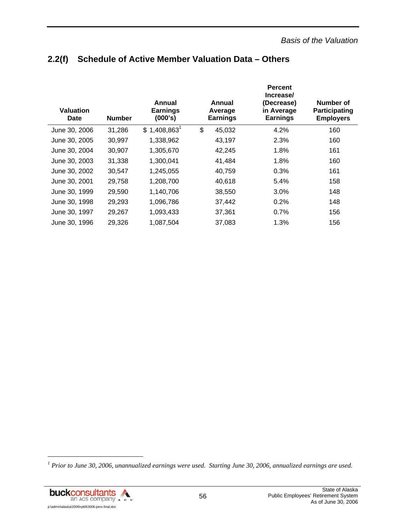# **2.2(f) Schedule of Active Member Valuation Data – Others**

| Valuation<br>Date | <b>Number</b> | Annual<br><b>Earnings</b><br>(000's) | Annual<br>Average<br><b>Earnings</b> | <b>Percent</b><br>Increase/<br>(Decrease)<br>in Average<br><b>Earnings</b> | Number of<br>Participating<br><b>Employers</b> |
|-------------------|---------------|--------------------------------------|--------------------------------------|----------------------------------------------------------------------------|------------------------------------------------|
| June 30, 2006     | 31,286        | $$1,408,863$ <sup>1</sup>            | \$<br>45,032                         | 4.2%                                                                       | 160                                            |
| June 30, 2005     | 30,997        | 1,338,962                            | 43,197                               | 2.3%                                                                       | 160                                            |
| June 30, 2004     | 30,907        | 1,305,670                            | 42,245                               | 1.8%                                                                       | 161                                            |
| June 30, 2003     | 31,338        | 1,300,041                            | 41,484                               | 1.8%                                                                       | 160                                            |
| June 30, 2002     | 30,547        | 1,245,055                            | 40,759                               | 0.3%                                                                       | 161                                            |
| June 30, 2001     | 29,758        | 1,208,700                            | 40,618                               | 5.4%                                                                       | 158                                            |
| June 30, 1999     | 29,590        | 1,140,706                            | 38,550                               | 3.0%                                                                       | 148                                            |
| June 30, 1998     | 29,293        | 1,096,786                            | 37,442                               | 0.2%                                                                       | 148                                            |
| June 30, 1997     | 29,267        | 1,093,433                            | 37,361                               | 0.7%                                                                       | 156                                            |
| June 30, 1996     | 29,326        | 1,087,504                            | 37,083                               | 1.3%                                                                       | 156                                            |

<sup>&</sup>lt;sup>1</sup> Prior to June 30, 2006, unannualized earnings were used. Starting June 30, 2006, annualized earnings are used.



l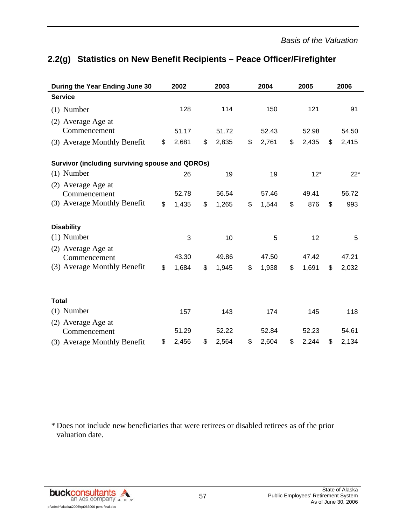# **2.2(g) Statistics on New Benefit Recipients – Peace Officer/Firefighter**

| During the Year Ending June 30                         | 2002        | 2003        | 2004        | 2005        | 2006 |       |
|--------------------------------------------------------|-------------|-------------|-------------|-------------|------|-------|
| <b>Service</b>                                         |             |             |             |             |      |       |
| $(1)$ Number                                           | 128         | 114         | 150         | 121         |      | 91    |
| (2) Average Age at                                     |             |             |             |             |      |       |
| Commencement                                           | 51.17       | 51.72       | 52.43       | 52.98       |      | 54.50 |
| (3) Average Monthly Benefit                            | \$<br>2,681 | \$<br>2,835 | \$<br>2,761 | \$<br>2,435 | \$   | 2,415 |
| <b>Survivor (including surviving spouse and QDROs)</b> |             |             |             |             |      |       |
| $(1)$ Number                                           | 26          | 19          | 19          | $12*$       |      | $22*$ |
| (2) Average Age at                                     |             |             |             |             |      |       |
| Commencement                                           | 52.78       | 56.54       | 57.46       | 49.41       |      | 56.72 |
| (3) Average Monthly Benefit                            | \$<br>1,435 | \$<br>1,265 | \$<br>1,544 | \$<br>876   | \$   | 993   |
| <b>Disability</b>                                      |             |             |             |             |      |       |
| $(1)$ Number                                           | 3           | 10          | 5           | 12          |      | 5     |
| (2) Average Age at                                     | 43.30       | 49.86       | 47.50       | 47.42       |      | 47.21 |
| Commencement                                           |             |             |             |             |      |       |
| (3) Average Monthly Benefit                            | \$<br>1,684 | \$<br>1,945 | \$<br>1,938 | \$<br>1,691 | \$   | 2,032 |
| <b>Total</b>                                           |             |             |             |             |      |       |
| $(1)$ Number                                           | 157         | 143         | 174         | 145         |      | 118   |
| (2) Average Age at                                     |             |             |             |             |      |       |
| Commencement                                           | 51.29       | 52.22       | 52.84       | 52.23       |      | 54.61 |
| (3) Average Monthly Benefit                            | \$<br>2,456 | \$<br>2,564 | \$<br>2,604 | \$<br>2,244 | \$   | 2,134 |

\* Does not include new beneficiaries that were retirees or disabled retirees as of the prior valuation date.

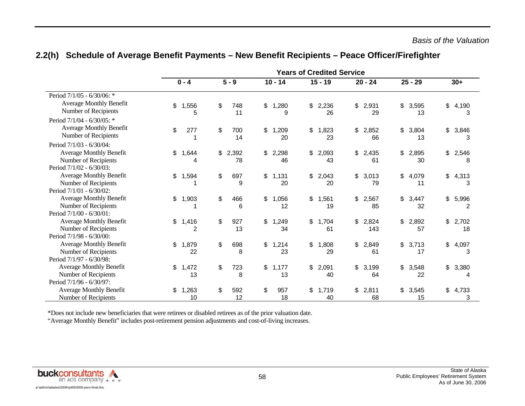|                                                                                                                    | Years of Credited Service |             |    |             |                        |             |           |             |           |              |    |             |    |             |
|--------------------------------------------------------------------------------------------------------------------|---------------------------|-------------|----|-------------|------------------------|-------------|-----------|-------------|-----------|--------------|----|-------------|----|-------------|
|                                                                                                                    | $5 - 9$<br>$0 - 4$        |             |    |             | $15 - 19$<br>$10 - 14$ |             | $20 - 24$ |             | $25 - 29$ |              |    | $30+$       |    |             |
| Period 7/1/05 - 6/30/06: *<br><b>Average Monthly Benefit</b><br>Number of Recipients<br>Period 7/1/04 - 6/30/05: * | \$                        | 1,556<br>5  | \$ | 748<br>11   | \$                     | 1,280<br>9  | \$        | 2,236<br>26 | \$        | 2,931<br>29  | \$ | 3,595<br>13 | \$ | 4,190<br>3  |
| <b>Average Monthly Benefit</b><br>Number of Recipients                                                             | \$                        | 277         | \$ | 700<br>14   | \$                     | 1,209<br>20 | \$        | 1,823<br>23 | \$        | 2,852<br>66  | \$ | 3,804<br>13 | \$ | 3,846<br>3  |
| Period 7/1/03 - 6/30/04:<br><b>Average Monthly Benefit</b><br>Number of Recipients<br>Period 7/1/02 - 6/30/03:     | \$                        | 1,644<br>4  | \$ | 2,392<br>78 | \$                     | 2,298<br>46 | \$        | 2,093<br>43 | \$        | 2,435<br>61  | \$ | 2,895<br>30 | \$ | 2,546<br>8  |
| Average Monthly Benefit<br>Number of Recipients<br>Period 7/1/01 - 6/30/02:                                        | \$                        | 1,594       | \$ | 697<br>9    | \$                     | 1,131<br>20 | \$        | 2,043<br>20 | \$        | 3,013<br>79  | \$ | 4,079<br>11 | \$ | 4,313<br>3  |
| <b>Average Monthly Benefit</b><br>Number of Recipients<br>Period 7/1/00 - 6/30/01:                                 | \$                        | 1,903       | \$ | 466<br>6    | \$                     | 1,056<br>12 | \$        | 1,561<br>19 | \$        | 2,567<br>85  | \$ | 3,447<br>32 | \$ | 5,996<br>2  |
| <b>Average Monthly Benefit</b><br>Number of Recipients<br>Period 7/1/98 - 6/30/00:                                 | \$                        | 1,416<br>2  | \$ | 927<br>13   | \$                     | 1,249<br>34 | \$        | 1,704<br>61 | \$        | 2,824<br>143 | \$ | 2,892<br>57 | \$ | 2,702<br>18 |
| <b>Average Monthly Benefit</b><br>Number of Recipients<br>Period 7/1/97 - 6/30/98:                                 | \$                        | 1,879<br>22 | \$ | 698<br>8    | \$                     | 1,214<br>23 | \$        | 1,808<br>29 | \$        | 2,849<br>61  | \$ | 3,713<br>17 | \$ | 4,097<br>3  |
| <b>Average Monthly Benefit</b><br>Number of Recipients<br>Period 7/1/96 - 6/30/97:                                 | \$                        | 1,472<br>13 | \$ | 723<br>8    | \$                     | 1,177<br>13 | \$        | 2,091<br>40 | \$        | 3,199<br>64  | \$ | 3,548<br>22 | \$ | 3,380<br>4  |
| <b>Average Monthly Benefit</b><br>Number of Recipients                                                             | \$                        | 1,263<br>10 | \$ | 592<br>12   | \$                     | 957<br>18   | \$        | 1,719<br>40 | \$        | 2,811<br>68  | \$ | 3,545<br>15 | \$ | 4,733<br>3  |

### **2.2(h) Schedule of Average Benefit Payments – New Benefit Recipients – Peace Officer/Firefighter**

\*Does not include new beneficiaries that were retirees or disabled retirees as of the prior valuation date.

"Average Monthly Benefit" includes post-retirement pension adjustments and cost-of-living increases.

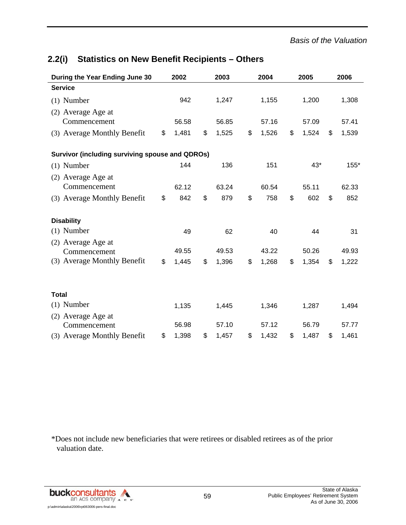# **During the Year Ending June 30 2002 2003 2004 2005 2006 Service**  (1) Number 942 1,247 1,155 1,200 1,308 (2) Average Age at Commencement 56.58 56.85 57.16 57.09 57.41 (3) Average Monthly Benefit \$ 1,481 \$ 1,525 \$ 1,526 \$ 1,524 \$ 1,539 **Survivor (including surviving spouse and QDROs)**  (1) Number 144 136 151 43\* 155\* (2) Average Age at Commencement 62.12 63.24 60.54 55.11 62.33 (3) Average Monthly Benefit \$ 842 \$ 879 \$ 758 \$ 602 \$ 852 **Disability**  (1) Number 49 62 40 44 31 (2) Average Age at Commencement 49.55 49.53 43.22 50.26 49.93 (3) Average Monthly Benefit \$ 1,445 \$ 1,396 \$ 1,268 \$ 1,354 \$ 1,222 **Total**  (1) Number 1,135 1,445 1,346 1,287 1,494 (2) Average Age at Commencement 56.98 57.10 57.12 56.79 57.77 (3) Average Monthly Benefit \$ 1,398 \$ 1,457 \$ 1,432 \$ 1,487 \$ 1,461

# **2.2(i) Statistics on New Benefit Recipients – Others**

\*Does not include new beneficiaries that were retirees or disabled retirees as of the prior valuation date.

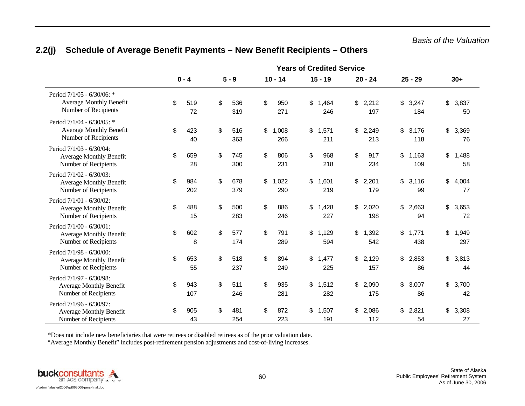|                                                                                      | <b>Years of Credited Service</b> |            |    |            |    |              |    |              |    |              |                    |                    |
|--------------------------------------------------------------------------------------|----------------------------------|------------|----|------------|----|--------------|----|--------------|----|--------------|--------------------|--------------------|
|                                                                                      |                                  | $0 - 4$    |    | $5 - 9$    |    | $10 - 14$    |    | $15 - 19$    |    | $20 - 24$    | $25 - 29$          | $30+$              |
| Period 7/1/05 - 6/30/06: *<br><b>Average Monthly Benefit</b><br>Number of Recipients | \$                               | 519<br>72  | \$ | 536<br>319 | \$ | 950<br>271   | \$ | 1,464<br>246 | \$ | 2,212<br>197 | \$<br>3,247<br>184 | \$<br>3,837<br>50  |
| Period 7/1/04 - 6/30/05: *<br><b>Average Monthly Benefit</b><br>Number of Recipients | \$                               | 423<br>40  | \$ | 516<br>363 | \$ | 1,008<br>266 | \$ | 1,571<br>211 | \$ | 2,249<br>213 | \$<br>3,176<br>118 | \$<br>3,369<br>76  |
| Period 7/1/03 - 6/30/04:<br><b>Average Monthly Benefit</b><br>Number of Recipients   | \$                               | 659<br>28  | \$ | 745<br>300 | \$ | 806<br>231   | \$ | 968<br>218   | \$ | 917<br>234   | \$<br>1,163<br>109 | \$<br>1,488<br>58  |
| Period 7/1/02 - 6/30/03:<br><b>Average Monthly Benefit</b><br>Number of Recipients   | \$                               | 984<br>202 | \$ | 678<br>379 | \$ | 1,022<br>290 | \$ | 1,601<br>219 | \$ | 2,201<br>179 | \$<br>3,116<br>99  | \$<br>4,004<br>77  |
| Period 7/1/01 - 6/30/02:<br><b>Average Monthly Benefit</b><br>Number of Recipients   | \$                               | 488<br>15  | \$ | 500<br>283 | \$ | 886<br>246   | \$ | 1,428<br>227 | \$ | 2,020<br>198 | \$<br>2,663<br>94  | \$<br>3,653<br>72  |
| Period 7/1/00 - 6/30/01:<br><b>Average Monthly Benefit</b><br>Number of Recipients   | \$                               | 602<br>8   | \$ | 577<br>174 | \$ | 791<br>289   | \$ | 1,129<br>594 | \$ | 1,392<br>542 | \$<br>1,771<br>438 | \$<br>1,949<br>297 |
| Period 7/1/98 - 6/30/00:<br><b>Average Monthly Benefit</b><br>Number of Recipients   | \$                               | 653<br>55  | \$ | 518<br>237 | \$ | 894<br>249   | \$ | 1,477<br>225 | \$ | 2,129<br>157 | \$<br>2,853<br>86  | \$<br>3,813<br>44  |
| Period 7/1/97 - 6/30/98:<br><b>Average Monthly Benefit</b><br>Number of Recipients   | \$                               | 943<br>107 | \$ | 511<br>246 | \$ | 935<br>281   | \$ | 1,512<br>282 | \$ | 2,090<br>175 | \$<br>3,007<br>86  | \$<br>3,700<br>42  |
| Period 7/1/96 - 6/30/97:<br>Average Monthly Benefit<br>Number of Recipients          | \$                               | 905<br>43  | \$ | 481<br>254 | \$ | 872<br>223   | \$ | 1,507<br>191 | \$ | 2,086<br>112 | \$<br>2,821<br>54  | \$<br>3,308<br>27  |

# **2.2(j) Schedule of Average Benefit Payments – New Benefit Recipients – Others**

\*Does not include new beneficiaries that were retirees or disabled retirees as of the prior valuation date.

"Average Monthly Benefit" includes post-retirement pension adjustments and cost-of-living increases.

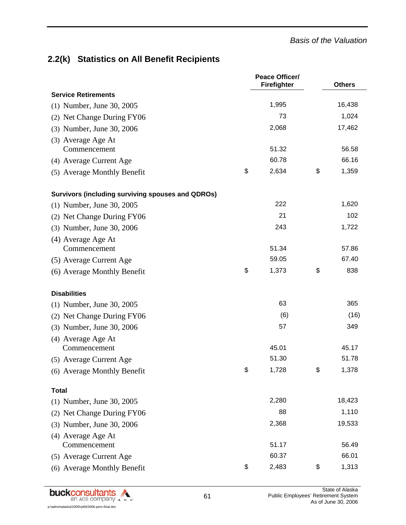# **2.2(k) Statistics on All Benefit Recipients**

|                                                          | <b>Peace Officer/</b><br>Firefighter | <b>Others</b> |
|----------------------------------------------------------|--------------------------------------|---------------|
| <b>Service Retirements</b>                               |                                      |               |
| (1) Number, June 30, 2005                                | 1,995                                | 16,438        |
| (2) Net Change During FY06                               | 73                                   | 1,024         |
| (3) Number, June 30, 2006                                | 2,068                                | 17,462        |
| (3) Average Age At                                       |                                      |               |
| Commencement                                             | 51.32                                | 56.58         |
| (4) Average Current Age                                  | 60.78                                | 66.16         |
| (5) Average Monthly Benefit                              | \$<br>2,634                          | \$<br>1,359   |
| <b>Survivors (including surviving spouses and QDROs)</b> |                                      |               |
| (1) Number, June 30, 2005                                | 222                                  | 1,620         |
| (2) Net Change During FY06                               | 21                                   | 102           |
| (3) Number, June 30, 2006                                | 243                                  | 1,722         |
| (4) Average Age At                                       |                                      |               |
| Commencement                                             | 51.34                                | 57.86         |
| (5) Average Current Age                                  | 59.05                                | 67.40         |
| (6) Average Monthly Benefit                              | \$<br>1,373                          | \$<br>838     |
| <b>Disabilities</b>                                      |                                      |               |
| (1) Number, June 30, 2005                                | 63                                   | 365           |
| (2) Net Change During FY06                               | (6)                                  | (16)          |
| (3) Number, June 30, 2006                                | 57                                   | 349           |
| (4) Average Age At<br>Commencement                       | 45.01                                | 45.17         |
| (5) Average Current Age                                  | 51.30                                | 51.78         |
| (6) Average Monthly Benefit                              | \$<br>1,728                          | \$<br>1,378   |
| <b>Total</b>                                             |                                      |               |
| (1) Number, June 30, 2005                                | 2,280                                | 18,423        |
| (2) Net Change During FY06                               | 88                                   | 1,110         |
| (3) Number, June 30, 2006                                | 2,368                                | 19,533        |
| (4) Average Age At                                       |                                      |               |
| Commencement                                             | 51.17                                | 56.49         |
| (5) Average Current Age                                  | 60.37                                | 66.01         |
| (6) Average Monthly Benefit                              | \$<br>2,483                          | \$<br>1,313   |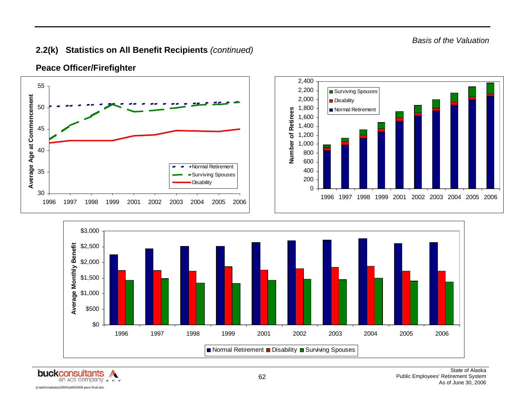*Basis of the Valuation* 

### **2.2(k) Statistics on All Benefit Recipients** *(continued)*



**Peace Officer/Firefighter** 



\$0

\$500

1996 1997 1998 1999 2001 2002 2003 2004 2005 2006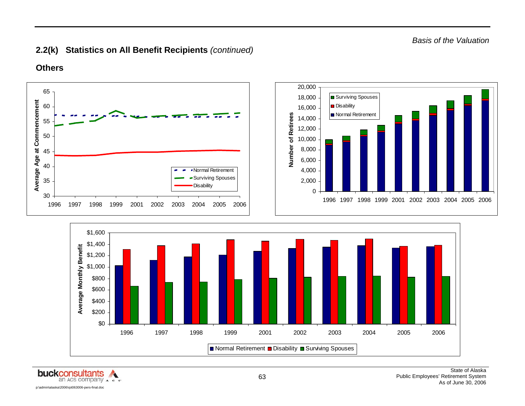# **2.2(k) Statistics on All Benefit Recipients** *(continued)*



**Others** 



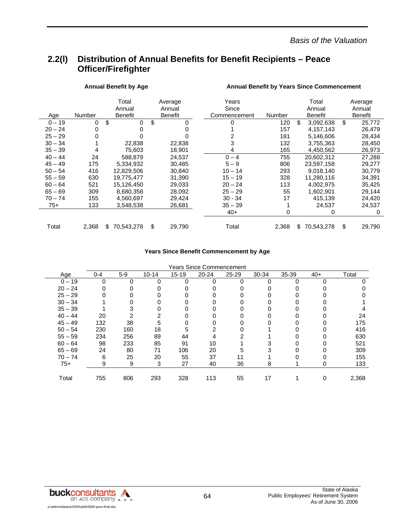*Basis of the Valuation* 

## **2.2(l) Distribution of Annual Benefits for Benefit Recipients – Peace Officer/Firefighter**

|           |        | <b>Annual Benefit by Age</b>      |                                     | <b>Annual Benefit by Years Since Commencement</b> |        |    |                                   |    |                              |  |  |  |
|-----------|--------|-----------------------------------|-------------------------------------|---------------------------------------------------|--------|----|-----------------------------------|----|------------------------------|--|--|--|
| Age       | Number | Total<br>Annual<br><b>Benefit</b> | Average<br>Annual<br><b>Benefit</b> | Years<br>Since<br>Commencement                    | Number |    | Total<br>Annual<br><b>Benefit</b> |    | Average<br>Annual<br>Benefit |  |  |  |
| $0 - 19$  | 0      | \$<br>0                           | \$                                  | 0                                                 | 120    | \$ | 3,092,638                         | \$ | 25,772                       |  |  |  |
| $20 - 24$ | 0      |                                   |                                     |                                                   | 157    |    | 4,157,143                         |    | 26,479                       |  |  |  |
| $25 - 29$ | 0      |                                   |                                     |                                                   | 181    |    | 5,146,606                         |    | 28,434                       |  |  |  |
| $30 - 34$ |        | 22,838                            | 22,838                              | 3                                                 | 132    |    | 3,755,363                         |    | 28,450                       |  |  |  |
| $35 - 39$ | 4      | 75,603                            | 18,901                              | 4                                                 | 165    |    | 4,450,562                         |    | 26,973                       |  |  |  |
| $40 - 44$ | 24     | 588,879                           | 24,537                              | $0 - 4$                                           | 755    |    | 20,602,312                        |    | 27,288                       |  |  |  |
| $45 - 49$ | 175    | 5,334,932                         | 30,485                              | $5 - 9$                                           | 806    |    | 23,597,158                        |    | 29,277                       |  |  |  |
| $50 - 54$ | 416    | 12,829,506                        | 30,840                              | $10 - 14$                                         | 293    |    | 9,018,140                         |    | 30,779                       |  |  |  |
| $55 - 59$ | 630    | 19,775,477                        | 31,390                              | $15 - 19$                                         | 328    |    | 11,280,116                        |    | 34,391                       |  |  |  |
| $60 - 64$ | 521    | 15,126,450                        | 29,033                              | $20 - 24$                                         | 113    |    | 4,002,975                         |    | 35,425                       |  |  |  |
| $65 - 69$ | 309    | 8,680,358                         | 28,092                              | $25 - 29$                                         | 55     |    | 1,602,901                         |    | 29,144                       |  |  |  |
| $70 - 74$ | 155    | 4,560,697                         | 29,424                              | $30 - 34$                                         | 17     |    | 415,139                           |    | 24,420                       |  |  |  |
| 75+       | 133    | 3,548,538                         | 26,681                              | $35 - 39$                                         |        |    | 24,537                            |    | 24,537                       |  |  |  |
|           |        |                                   |                                     | $40+$                                             | 0      |    | 0                                 |    | 0                            |  |  |  |
| Total     | 2,368  | 70,543,278<br>S.                  | \$<br>29,790                        | Total                                             | 2,368  | \$ | 70,543,278                        | \$ | 29,790                       |  |  |  |

#### **Years Since Benefit Commencement by Age**

|           | Years Since Commencement |       |           |           |           |           |       |       |       |       |  |  |  |  |
|-----------|--------------------------|-------|-----------|-----------|-----------|-----------|-------|-------|-------|-------|--|--|--|--|
| Age       | $0 - 4$                  | $5-9$ | $10 - 14$ | $15 - 19$ | $20 - 24$ | $25 - 29$ | 30-34 | 35-39 | $40+$ | Total |  |  |  |  |
| $0 - 19$  | 0                        | ∩     | O         | 0         | 0         | n         | 0     | ∩     |       |       |  |  |  |  |
| $20 - 24$ |                          |       |           |           |           |           |       |       |       |       |  |  |  |  |
| $25 - 29$ |                          |       |           |           |           |           |       |       |       |       |  |  |  |  |
| $30 - 34$ |                          |       |           |           |           |           |       |       |       |       |  |  |  |  |
| $35 - 39$ |                          |       |           |           |           |           |       |       |       |       |  |  |  |  |
| $40 - 44$ | 20                       |       |           |           |           |           |       |       |       | 24    |  |  |  |  |
| $45 - 49$ | 132                      | 38    | 5         |           |           |           |       |       |       | 175   |  |  |  |  |
| $50 - 54$ | 230                      | 160   | 18        | 5         |           |           |       |       |       | 416   |  |  |  |  |
| $55 - 59$ | 234                      | 256   | 89        | 44        |           |           |       |       |       | 630   |  |  |  |  |
| $60 - 64$ | 98                       | 233   | 85        | 91        | 10        |           |       |       |       | 521   |  |  |  |  |
| $65 - 69$ | 24                       | 80    | 71        | 106       | 20        | 5         |       |       |       | 309   |  |  |  |  |
| $70 - 74$ | 6                        | 25    | 20        | 55        | 37        |           |       |       |       | 155   |  |  |  |  |
| $75+$     | 9                        | 9     | 3         | 27        | 40        | 36        | 8     |       |       | 133   |  |  |  |  |
|           |                          |       |           |           |           |           |       |       |       |       |  |  |  |  |
| Total     | 755                      | 806   | 293       | 328       | 113       | 55        | 17    |       | 0     | 2,368 |  |  |  |  |

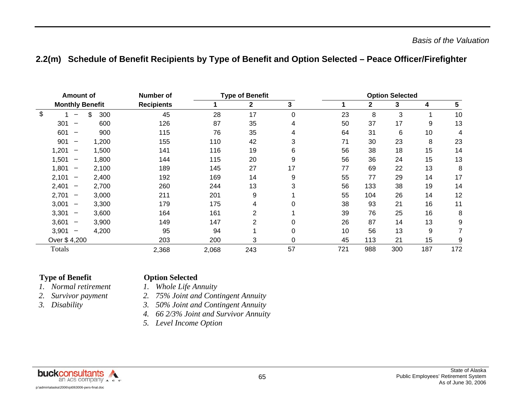## **2.2(m) Schedule of Benefit Recipients by Type of Benefit and Option Selected – Peace Officer/Firefighter**

| <b>Amount of</b> |                          |           | Number of         |       | <b>Type of Benefit</b> |    | <b>Option Selected</b> |              |     |     |     |  |  |
|------------------|--------------------------|-----------|-------------------|-------|------------------------|----|------------------------|--------------|-----|-----|-----|--|--|
|                  | <b>Monthly Benefit</b>   |           | <b>Recipients</b> |       | $\mathbf{2}$           | 3  |                        | $\mathbf{2}$ | 3   | 4   | 5   |  |  |
| \$               |                          | 300<br>\$ | 45                | 28    | 17                     | 0  | 23                     | 8            | 3   |     | 10  |  |  |
| 301              | $\overline{\phantom{m}}$ | 600       | 126               | 87    | 35                     | 4  | 50                     | 37           | 17  | 9   | 13  |  |  |
| 601              |                          | 900       | 115               | 76    | 35                     | 4  | 64                     | 31           | 6   | 10  | 4   |  |  |
| 901              | —                        | 1,200     | 155               | 110   | 42                     | 3  | 71                     | 30           | 23  | 8   | 23  |  |  |
| 1,201            | -                        | 1,500     | 141               | 116   | 19                     | 6  | 56                     | 38           | 18  | 15  | 14  |  |  |
| 1,501            | —                        | 1,800     | 144               | 115   | 20                     | 9  | 56                     | 36           | 24  | 15  | 13  |  |  |
| 1,801            | $\overline{\phantom{m}}$ | 2,100     | 189               | 145   | 27                     | 17 | 77                     | 69           | 22  | 13  | 8   |  |  |
| 2,101            | $\overline{\phantom{m}}$ | 2,400     | 192               | 169   | 14                     | 9  | 55                     | 77           | 29  | 14  | 17  |  |  |
| 2,401            | $\overline{\phantom{m}}$ | 2,700     | 260               | 244   | 13                     | 3  | 56                     | 133          | 38  | 19  | 14  |  |  |
| 2,701            | $\overline{\phantom{m}}$ | 3,000     | 211               | 201   | 9                      |    | 55                     | 104          | 26  | 14  | 12  |  |  |
| 3,001            | $\overline{\phantom{m}}$ | 3,300     | 179               | 175   | 4                      | 0  | 38                     | 93           | 21  | 16  | 11  |  |  |
| 3,301            | -                        | 3,600     | 164               | 161   | $\overline{2}$         |    | 39                     | 76           | 25  | 16  | 8   |  |  |
| 3,601            | —                        | 3,900     | 149               | 147   | $\overline{2}$         | 0  | 26                     | 87           | 14  | 13  | 9   |  |  |
| 3,901            | $\overline{\phantom{m}}$ | 4,200     | 95                | 94    |                        | 0  | 10                     | 56           | 13  | 9   |     |  |  |
|                  | Over \$4,200             |           | 203               | 200   | 3                      | 0  | 45                     | 113          | 21  | 15  | 9   |  |  |
| Totals           |                          |           | 2,368             | 2,068 | 243                    | 57 | 721                    | 988          | 300 | 187 | 172 |  |  |

#### **Type of Benefit Change Option Selected**

# *I. Whole Life Annuity*

- *1.*
- *2.*
- *3.*
- *Survivor payment 2. 75% Joint and Contingent Annuity* 
	- *Disability 3. 50% Joint and Contingent Annuity*
	- *4. 66 2/3% Joint and Survivor Annuity*
	- *5. Level Income Option*

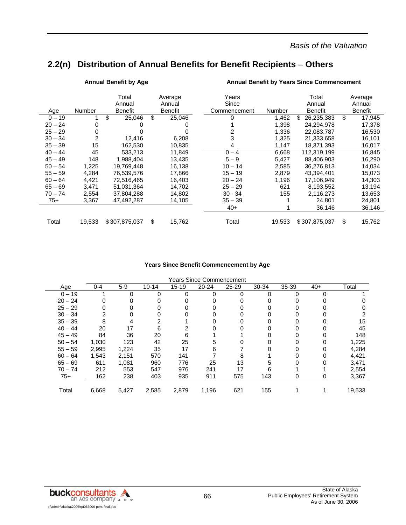### *Basis of the Valuation*

# **2.2(n) Distribution of Annual Benefits for Benefit Recipients** – **Others**

|           |        | <b>Annual Benefit by Age</b>      |                                     | <b>Annual Benefit by Years Since Commencement</b> |        |                   |    |                                     |  |  |  |  |
|-----------|--------|-----------------------------------|-------------------------------------|---------------------------------------------------|--------|-------------------|----|-------------------------------------|--|--|--|--|
| Age       | Number | Total<br>Annual<br><b>Benefit</b> | Average<br>Annual<br><b>Benefit</b> | Years<br>Since<br>Commencement                    | Number |                   |    | Average<br>Annual<br><b>Benefit</b> |  |  |  |  |
| $0 - 19$  |        | \$<br>25,046                      | \$<br>25,046                        | 0                                                 | 1,462  | 26,235,383<br>\$. | \$ | 17,945                              |  |  |  |  |
| $20 - 24$ | 0      | O                                 |                                     |                                                   | 1,398  | 24,294,978        |    | 17,378                              |  |  |  |  |
| $25 - 29$ | 0      |                                   |                                     |                                                   | 1,336  | 22,083,787        |    | 16,530                              |  |  |  |  |
| $30 - 34$ | 2      | 12.416                            | 6.208                               | 3                                                 | 1,325  | 21,333,658        |    | 16,101                              |  |  |  |  |
| $35 - 39$ | 15     | 162,530                           | 10,835                              | 4                                                 | 1,147  | 18,371,393        |    | 16,017                              |  |  |  |  |
| $40 - 44$ | 45     | 533,213                           | 11,849                              | $0 - 4$                                           | 6,668  | 112,319,199       |    | 16,845                              |  |  |  |  |
| $45 - 49$ | 148    | 1,988,404                         | 13,435                              | $5 - 9$                                           | 5,427  | 88,406,903        |    | 16,290                              |  |  |  |  |
| $50 - 54$ | 1,225  | 19,769,448                        | 16,138                              | $10 - 14$                                         | 2,585  | 36,276,813        |    | 14,034                              |  |  |  |  |
| $55 - 59$ | 4,284  | 76.539.576                        | 17.866                              | $15 - 19$                                         | 2,879  | 43.394.401        |    | 15,073                              |  |  |  |  |
| $60 - 64$ | 4,421  | 72,516,465                        | 16,403                              | $20 - 24$                                         | 1,196  | 17,106,949        |    | 14,303                              |  |  |  |  |
| $65 - 69$ | 3,471  | 51,031,364                        | 14,702                              | $25 - 29$                                         | 621    | 8,193,552         |    | 13,194                              |  |  |  |  |
| $70 - 74$ | 2,554  | 37,804,288                        | 14,802                              | $30 - 34$                                         | 155    | 2,116,273         |    | 13,653                              |  |  |  |  |
| $75+$     | 3,367  | 47,492,287                        | 14,105                              | $35 - 39$                                         |        | 24,801            |    | 24,801                              |  |  |  |  |
|           |        |                                   |                                     | $40+$                                             |        | 36,146            |    | 36,146                              |  |  |  |  |
| Total     | 19,533 | \$307,875,037                     | \$<br>15,762                        | Total                                             | 19,533 | \$307,875,037     | \$ | 15,762                              |  |  |  |  |

#### **Years Since Benefit Commencement by Age**

| Years Since Commencement |         |       |           |           |           |           |       |       |       |        |  |  |  |
|--------------------------|---------|-------|-----------|-----------|-----------|-----------|-------|-------|-------|--------|--|--|--|
| Age                      | $0 - 4$ | $5-9$ | $10 - 14$ | $15 - 19$ | $20 - 24$ | $25 - 29$ | 30-34 | 35-39 | $40+$ | Total  |  |  |  |
| $0 - 19$                 |         | O     | 0         | 0         | 0         | O         | ∩     | 0     | 0     |        |  |  |  |
| $20 - 24$                |         |       |           | 0         |           |           |       |       |       |        |  |  |  |
| $25 - 29$                |         |       |           | ი         |           |           |       |       |       |        |  |  |  |
| $30 - 34$                |         |       | 0         | 0         |           |           |       |       |       |        |  |  |  |
| $35 - 39$                | 8       |       | 2         |           |           |           |       |       |       | 15     |  |  |  |
| $40 - 44$                | 20      | 17    | 6         |           |           |           |       |       |       | 45     |  |  |  |
| $45 - 49$                | 84      | 36    | 20        | 6         |           |           |       |       |       | 148    |  |  |  |
| $50 - 54$                | 1,030   | 123   | 42        | 25        | 5         |           |       |       |       | 1,225  |  |  |  |
| $55 - 59$                | 2,995   | 1,224 | 35        | 17        | 6         |           |       |       |       | 4,284  |  |  |  |
| $60 - 64$                | 1,543   | 2,151 | 570       | 141       |           |           |       |       |       | 4,421  |  |  |  |
| $65 - 69$                | 611     | 1,081 | 960       | 776       | 25        | 13        |       |       |       | 3,471  |  |  |  |
| $70 - 74$                | 212     | 553   | 547       | 976       | 241       | 17        | 6     |       |       | 2,554  |  |  |  |
| $75+$                    | 162     | 238   | 403       | 935       | 911       | 575       | 143   | 0     | 0     | 3,367  |  |  |  |
| Total                    | 6,668   | 5,427 | 2,585     | 2,879     | 1,196     | 621       | 155   |       |       | 19,533 |  |  |  |
|                          |         |       |           |           |           |           |       |       |       |        |  |  |  |

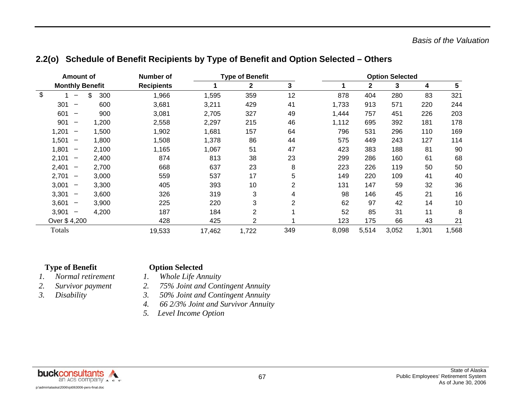|  | 2.2(o) Schedule of Benefit Recipients by Type of Benefit and Option Selected - Others |  |  |  |
|--|---------------------------------------------------------------------------------------|--|--|--|
|--|---------------------------------------------------------------------------------------|--|--|--|

| Amount of                         |           | Number of         |        | <b>Type of Benefit</b> |                | <b>Option Selected</b> |              |       |       |       |
|-----------------------------------|-----------|-------------------|--------|------------------------|----------------|------------------------|--------------|-------|-------|-------|
| <b>Monthly Benefit</b>            |           | <b>Recipients</b> |        | 2                      | 3              |                        | $\mathbf{2}$ | 3     | 4     | 5     |
| \$                                | \$<br>300 | 1,966             | 1,595  | 359                    | 12             | 878                    | 404          | 280   | 83    | 321   |
| 301<br>$\overline{\phantom{m}}$   | 600       | 3,681             | 3,211  | 429                    | 41             | 1,733                  | 913          | 571   | 220   | 244   |
| 601<br>$\overline{\phantom{m}}$   | 900       | 3,081             | 2,705  | 327                    | 49             | 1,444                  | 757          | 451   | 226   | 203   |
| 901<br>$\overline{\phantom{m}}$   | 1,200     | 2,558             | 2,297  | 215                    | 46             | 1,112                  | 695          | 392   | 181   | 178   |
| 1,201<br>$\overline{\phantom{m}}$ | 1,500     | 1,902             | 1,681  | 157                    | 64             | 796                    | 531          | 296   | 110   | 169   |
| 1,501<br>$\overline{\phantom{m}}$ | 1,800     | 1,508             | 1,378  | 86                     | 44             | 575                    | 449          | 243   | 127   | 114   |
| 1,801<br>$\overline{\phantom{m}}$ | 2,100     | 1,165             | 1,067  | 51                     | 47             | 423                    | 383          | 188   | 81    | 90    |
| 2,101<br>$\overline{\phantom{m}}$ | 2,400     | 874               | 813    | 38                     | 23             | 299                    | 286          | 160   | 61    | 68    |
| 2,401<br>$\qquad \qquad -$        | 2,700     | 668               | 637    | 23                     | 8              | 223                    | 226          | 119   | 50    | 50    |
| 2,701<br>$\qquad \qquad -$        | 3,000     | 559               | 537    | 17                     | 5              | 149                    | 220          | 109   | 41    | 40    |
| 3,001<br>$\qquad \qquad -$        | 3,300     | 405               | 393    | 10                     | $\overline{2}$ | 131                    | 147          | 59    | 32    | 36    |
| 3,301<br>$\qquad \qquad -$        | 3,600     | 326               | 319    | 3                      | 4              | 98                     | 146          | 45    | 21    | 16    |
| 3,601<br>$\qquad \qquad$          | 3,900     | 225               | 220    | 3                      | $\overline{2}$ | 62                     | 97           | 42    | 14    | 10    |
| 3,901<br>$\qquad \qquad -$        | 4,200     | 187               | 184    | $\overline{2}$         |                | 52                     | 85           | 31    | 11    | 8     |
| Over \$4,200                      |           | 428               | 425    | $\overline{2}$         |                | 123                    | 175          | 66    | 43    | 21    |
| Totals                            |           | 19,533            | 17,462 | 1,722                  | 349            | 8,098                  | 5,514        | 3,052 | 1,301 | 1,568 |

#### **Type of Benefit Contract Option Selected**

- *1. Normal retirement 1. Whole Life Annuity* 
	-
- 
- *2. Survivor payment 2. 75% Joint and Contingent Annuity*
- *3. Disability 3. 50% Joint and Contingent Annuity* 
	- *4. 66 2/3% Joint and Survivor Annuity*
	- *5. Level Income Option*

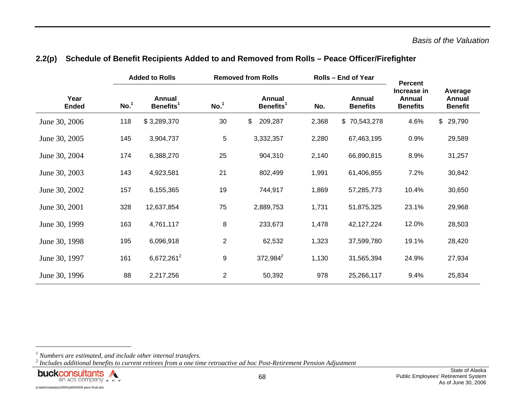|                      | <b>Added to Rolls</b> |                                 |                  | <b>Removed from Rolls</b>       |       | Rolls - End of Year       | <b>Percent</b>                           |                                     |  |
|----------------------|-----------------------|---------------------------------|------------------|---------------------------------|-------|---------------------------|------------------------------------------|-------------------------------------|--|
| Year<br><b>Ended</b> | No. <sup>1</sup>      | Annual<br>Benefits <sup>1</sup> | No. <sup>1</sup> | Annual<br>Benefits <sup>1</sup> | No.   | Annual<br><b>Benefits</b> | Increase in<br>Annual<br><b>Benefits</b> | Average<br>Annual<br><b>Benefit</b> |  |
| June 30, 2006        | 118                   | \$3,289,370                     | 30               | \$<br>209,287                   | 2,368 | \$70,543,278              | 4.6%                                     | 29,790<br>$\mathsf{\$}$             |  |
| June 30, 2005        | 145                   | 3,904,737                       | 5                | 3,332,357                       | 2,280 | 67,463,195                | 0.9%                                     | 29,589                              |  |
| June 30, 2004        | 174                   | 6,388,270                       | 25               | 904,310                         | 2,140 | 66,890,815                | 8.9%                                     | 31,257                              |  |
| June 30, 2003        | 143                   | 4,923,581                       | 21               | 802,499                         | 1,991 | 61,406,855                | 7.2%                                     | 30,842                              |  |
| June 30, 2002        | 157                   | 6,155,365                       | 19               | 744,917                         | 1,869 | 57,285,773                | 10.4%                                    | 30,650                              |  |
| June 30, 2001        | 328                   | 12,637,854                      | 75               | 2,889,753                       | 1,731 | 51,875,325                | 23.1%                                    | 29,968                              |  |
| June 30, 1999        | 163                   | 4,761,117                       | 8                | 233,673                         | 1,478 | 42,127,224                | 12.0%                                    | 28,503                              |  |
| June 30, 1998        | 195                   | 6,096,918                       | $\overline{2}$   | 62,532                          | 1,323 | 37,599,780                | 19.1%                                    | 28,420                              |  |
| June 30, 1997        | 161                   | 6,672,261 <sup>2</sup>          | 9                | 372,984 <sup>2</sup>            | 1,130 | 31,565,394                | 24.9%                                    | 27,934                              |  |
| June 30, 1996        | 88                    | 2,217,256                       | $\overline{2}$   | 50,392                          | 978   | 25,266,117                | 9.4%                                     | 25,834                              |  |

#### **2.2(p) Schedule of Benefit Recipients Added to and Removed from Rolls – Peace Officer/Firefighter**

*<sup>2</sup> Includes additional benefits to current retirees from a one time retroactive ad hoc Post-Retirement Pension Adjustment* 



*<sup>1</sup> Numbers are estimated, and include other internal transfers.*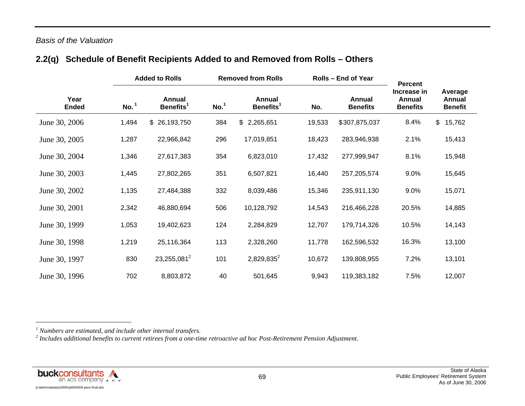#### *Basis of the Valuation*

## **2.2(q) Schedule of Benefit Recipients Added to and Removed from Rolls – Others**

|                      |                  | <b>Added to Rolls</b>           |                  | <b>Removed from Rolls</b>              |        | <b>Rolls - End of Year</b> | <b>Percent</b>                           |                                     |  |
|----------------------|------------------|---------------------------------|------------------|----------------------------------------|--------|----------------------------|------------------------------------------|-------------------------------------|--|
| Year<br><b>Ended</b> | No. <sup>1</sup> | Annual<br>Benefits <sup>1</sup> | No. <sup>1</sup> | <b>Annual</b><br>Benefits <sup>1</sup> | No.    | Annual<br><b>Benefits</b>  | Increase in<br>Annual<br><b>Benefits</b> | Average<br>Annual<br><b>Benefit</b> |  |
| June 30, 2006        | 1,494            | \$26,193,750                    | 384              | \$2,265,651                            | 19,533 | \$307,875,037              | 8.4%                                     | \$<br>15,762                        |  |
| June 30, 2005        | 1,287            | 22,966,842                      | 296              | 17,019,851                             | 18,423 | 283,946,938                | 2.1%                                     | 15,413                              |  |
| June 30, 2004        | 1,346            | 27,617,383                      | 354              | 6,823,010                              | 17,432 | 277,999,947                | 8.1%                                     | 15,948                              |  |
| June 30, 2003        | 1,445            | 27,802,265                      | 351              | 6,507,821                              | 16,440 | 257,205,574                | 9.0%                                     | 15,645                              |  |
| June 30, 2002        | 1,135            | 27,484,388                      | 332              | 8,039,486                              | 15,346 | 235,911,130                | 9.0%                                     | 15,071                              |  |
| June 30, 2001        | 2,342            | 46,880,694                      | 506              | 10,128,792                             | 14,543 | 216,466,228                | 20.5%                                    | 14,885                              |  |
| June 30, 1999        | 1,053            | 19,402,623                      | 124              | 2,284,829                              | 12,707 | 179,714,326                | 10.5%                                    | 14,143                              |  |
| June 30, 1998        | 1,219            | 25,116,364                      | 113              | 2,328,260                              | 11,778 | 162,596,532                | 16.3%                                    | 13,100                              |  |
| June 30, 1997        | 830              | 23,255,081 <sup>2</sup>         | 101              | $2,829,835^2$                          | 10,672 | 139,808,955                | 7.2%                                     | 13,101                              |  |
| June 30, 1996        | 702              | 8,803,872                       | 40               | 501,645                                | 9,943  | 119,383,182                | 7.5%                                     | 12,007                              |  |



*<sup>1</sup> Numbers are estimated, and include other internal transfers.* 

*<sup>2</sup> Includes additional benefits to current retirees from a one-time retroactive ad hoc Post-Retirement Pension Adjustment.*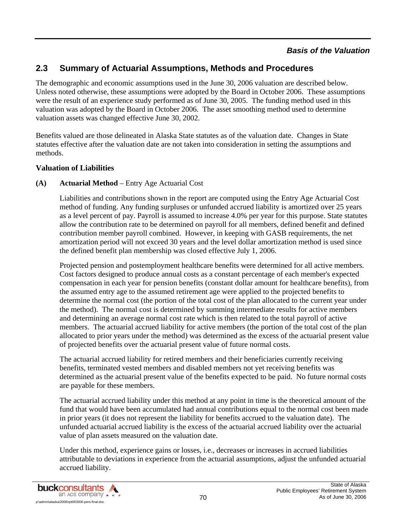#### *Basis of the Valuation*

## **2.3 Summary of Actuarial Assumptions, Methods and Procedures**

The demographic and economic assumptions used in the June 30, 2006 valuation are described below. Unless noted otherwise, these assumptions were adopted by the Board in October 2006. These assumptions were the result of an experience study performed as of June 30, 2005. The funding method used in this valuation was adopted by the Board in October 2006. The asset smoothing method used to determine valuation assets was changed effective June 30, 2002.

Benefits valued are those delineated in Alaska State statutes as of the valuation date. Changes in State statutes effective after the valuation date are not taken into consideration in setting the assumptions and methods.

#### **Valuation of Liabilities**

#### **(A) Actuarial Method** – Entry Age Actuarial Cost

 Liabilities and contributions shown in the report are computed using the Entry Age Actuarial Cost method of funding. Any funding surpluses or unfunded accrued liability is amortized over 25 years as a level percent of pay. Payroll is assumed to increase 4.0% per year for this purpose. State statutes allow the contribution rate to be determined on payroll for all members, defined benefit and defined contribution member payroll combined. However, in keeping with GASB requirements, the net amortization period will not exceed 30 years and the level dollar amortization method is used since the defined benefit plan membership was closed effective July 1, 2006.

 Projected pension and postemployment healthcare benefits were determined for all active members. Cost factors designed to produce annual costs as a constant percentage of each member's expected compensation in each year for pension benefits (constant dollar amount for healthcare benefits), from the assumed entry age to the assumed retirement age were applied to the projected benefits to determine the normal cost (the portion of the total cost of the plan allocated to the current year under the method). The normal cost is determined by summing intermediate results for active members and determining an average normal cost rate which is then related to the total payroll of active members. The actuarial accrued liability for active members (the portion of the total cost of the plan allocated to prior years under the method) was determined as the excess of the actuarial present value of projected benefits over the actuarial present value of future normal costs.

 The actuarial accrued liability for retired members and their beneficiaries currently receiving benefits, terminated vested members and disabled members not yet receiving benefits was determined as the actuarial present value of the benefits expected to be paid. No future normal costs are payable for these members.

 The actuarial accrued liability under this method at any point in time is the theoretical amount of the fund that would have been accumulated had annual contributions equal to the normal cost been made in prior years (it does not represent the liability for benefits accrued to the valuation date). The unfunded actuarial accrued liability is the excess of the actuarial accrued liability over the actuarial value of plan assets measured on the valuation date.

 Under this method, experience gains or losses, i.e., decreases or increases in accrued liabilities attributable to deviations in experience from the actuarial assumptions, adjust the unfunded actuarial accrued liability.

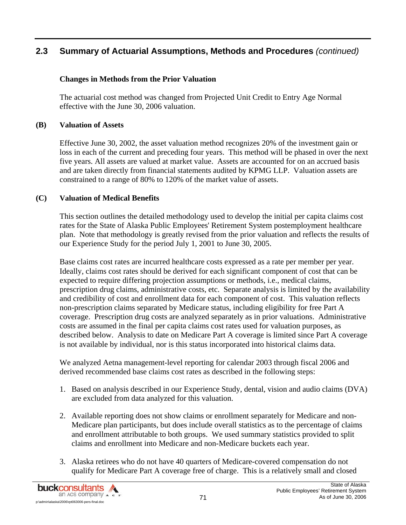#### **Changes in Methods from the Prior Valuation**

 The actuarial cost method was changed from Projected Unit Credit to Entry Age Normal effective with the June 30, 2006 valuation.

#### **(B) Valuation of Assets**

Effective June 30, 2002, the asset valuation method recognizes 20% of the investment gain or loss in each of the current and preceding four years. This method will be phased in over the next five years. All assets are valued at market value. Assets are accounted for on an accrued basis and are taken directly from financial statements audited by KPMG LLP. Valuation assets are constrained to a range of 80% to 120% of the market value of assets.

#### **(C) Valuation of Medical Benefits**

This section outlines the detailed methodology used to develop the initial per capita claims cost rates for the State of Alaska Public Employees' Retirement System postemployment healthcare plan. Note that methodology is greatly revised from the prior valuation and reflects the results of our Experience Study for the period July 1, 2001 to June 30, 2005.

Base claims cost rates are incurred healthcare costs expressed as a rate per member per year. Ideally, claims cost rates should be derived for each significant component of cost that can be expected to require differing projection assumptions or methods, i.e., medical claims, prescription drug claims, administrative costs, etc. Separate analysis is limited by the availability and credibility of cost and enrollment data for each component of cost. This valuation reflects non-prescription claims separated by Medicare status, including eligibility for free Part A coverage. Prescription drug costs are analyzed separately as in prior valuations. Administrative costs are assumed in the final per capita claims cost rates used for valuation purposes, as described below. Analysis to date on Medicare Part A coverage is limited since Part A coverage is not available by individual, nor is this status incorporated into historical claims data.

We analyzed Aetna management-level reporting for calendar 2003 through fiscal 2006 and derived recommended base claims cost rates as described in the following steps:

- 1. Based on analysis described in our Experience Study, dental, vision and audio claims (DVA) are excluded from data analyzed for this valuation.
- 2. Available reporting does not show claims or enrollment separately for Medicare and non-Medicare plan participants, but does include overall statistics as to the percentage of claims and enrollment attributable to both groups. We used summary statistics provided to split claims and enrollment into Medicare and non-Medicare buckets each year.
- 3. Alaska retirees who do not have 40 quarters of Medicare-covered compensation do not qualify for Medicare Part A coverage free of charge. This is a relatively small and closed

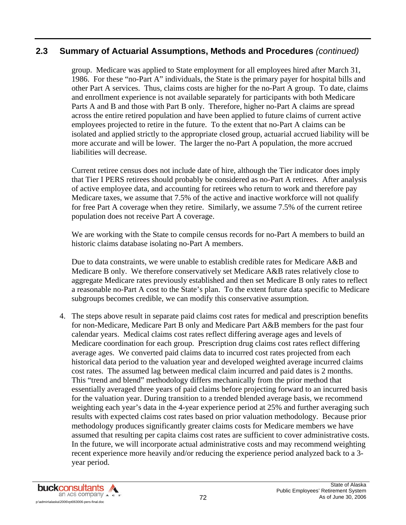group. Medicare was applied to State employment for all employees hired after March 31, 1986. For these "no-Part A" individuals, the State is the primary payer for hospital bills and other Part A services. Thus, claims costs are higher for the no-Part A group. To date, claims and enrollment experience is not available separately for participants with both Medicare Parts A and B and those with Part B only. Therefore, higher no-Part A claims are spread across the entire retired population and have been applied to future claims of current active employees projected to retire in the future. To the extent that no-Part A claims can be isolated and applied strictly to the appropriate closed group, actuarial accrued liability will be more accurate and will be lower. The larger the no-Part A population, the more accrued liabilities will decrease.

Current retiree census does not include date of hire, although the Tier indicator does imply that Tier I PERS retirees should probably be considered as no-Part A retirees. After analysis of active employee data, and accounting for retirees who return to work and therefore pay Medicare taxes, we assume that 7.5% of the active and inactive workforce will not qualify for free Part A coverage when they retire. Similarly, we assume 7.5% of the current retiree population does not receive Part A coverage.

We are working with the State to compile census records for no-Part A members to build an historic claims database isolating no-Part A members.

Due to data constraints, we were unable to establish credible rates for Medicare A&B and Medicare B only. We therefore conservatively set Medicare A&B rates relatively close to aggregate Medicare rates previously established and then set Medicare B only rates to reflect a reasonable no-Part A cost to the State's plan. To the extent future data specific to Medicare subgroups becomes credible, we can modify this conservative assumption.

4. The steps above result in separate paid claims cost rates for medical and prescription benefits for non-Medicare, Medicare Part B only and Medicare Part A&B members for the past four calendar years. Medical claims cost rates reflect differing average ages and levels of Medicare coordination for each group. Prescription drug claims cost rates reflect differing average ages. We converted paid claims data to incurred cost rates projected from each historical data period to the valuation year and developed weighted average incurred claims cost rates. The assumed lag between medical claim incurred and paid dates is 2 months. This "trend and blend" methodology differs mechanically from the prior method that essentially averaged three years of paid claims before projecting forward to an incurred basis for the valuation year. During transition to a trended blended average basis, we recommend weighting each year's data in the 4-year experience period at 25% and further averaging such results with expected claims cost rates based on prior valuation methodology. Because prior methodology produces significantly greater claims costs for Medicare members we have assumed that resulting per capita claims cost rates are sufficient to cover administrative costs. In the future, we will incorporate actual administrative costs and may recommend weighting recent experience more heavily and/or reducing the experience period analyzed back to a 3 year period.

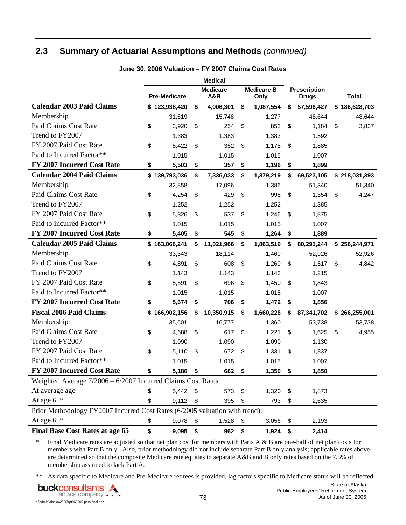## **2.3 Summary of Actuarial Assumptions and Methods** *(continued)*

|                                                                             |                     | <b>Medical</b>         |                           |                                     |               |
|-----------------------------------------------------------------------------|---------------------|------------------------|---------------------------|-------------------------------------|---------------|
|                                                                             | <b>Pre-Medicare</b> | <b>Medicare</b><br>A&B | <b>Medicare B</b><br>Only | <b>Prescription</b><br><b>Drugs</b> | <b>Total</b>  |
| <b>Calendar 2003 Paid Claims</b>                                            | \$123,938,420       | \$<br>4,006,301        | \$<br>1,087,554           | \$<br>57,596,427                    | \$186,628,703 |
| Membership                                                                  | 31,619              | 15,748                 | 1,277                     | 48,644                              | 48,644        |
| Paid Claims Cost Rate                                                       | \$<br>3,920         | \$<br>254              | \$<br>852                 | \$<br>1,184                         | \$<br>3,837   |
| Trend to FY2007                                                             | 1.383               | 1.383                  | 1.383                     | 1.592                               |               |
| FY 2007 Paid Cost Rate                                                      | \$<br>5,422         | \$<br>352              | \$<br>1,178               | \$<br>1,885                         |               |
| Paid to Incurred Factor**                                                   | 1.015               | 1.015                  | 1.015                     | 1.007                               |               |
| FY 2007 Incurred Cost Rate                                                  | \$<br>5,503         | \$<br>357              | \$<br>1,196               | \$<br>1,899                         |               |
| <b>Calendar 2004 Paid Claims</b>                                            | \$139,793,036       | \$<br>7,336,033        | \$<br>1,379,219           | \$<br>69,523,105                    | \$218,031,393 |
| Membership                                                                  | 32,858              | 17,096                 | 1,386                     | 51,340                              | 51,340        |
| Paid Claims Cost Rate                                                       | \$<br>4,254         | \$<br>429              | \$<br>995                 | \$<br>1,354                         | \$<br>4,247   |
| Trend to FY2007                                                             | 1.252               | 1.252                  | 1.252                     | 1.385                               |               |
| FY 2007 Paid Cost Rate                                                      | \$<br>5,326         | \$<br>537              | \$<br>1,246               | \$<br>1,875                         |               |
| Paid to Incurred Factor**                                                   | 1.015               | 1.015                  | 1.015                     | 1.007                               |               |
| FY 2007 Incurred Cost Rate                                                  | \$<br>5,405         | \$<br>545              | \$<br>1,264               | \$<br>1,889                         |               |
| <b>Calendar 2005 Paid Claims</b>                                            | \$163,066,241       | \$<br>11,021,966       | \$<br>1,863,519           | \$<br>80,293,244                    | \$256,244,971 |
| Membership                                                                  | 33,343              | 18,114                 | 1,469                     | 52,926                              | 52,926        |
| Paid Claims Cost Rate                                                       | \$<br>4,891         | \$<br>608              | \$<br>1,269               | \$<br>1,517                         | \$<br>4,842   |
| Trend to FY2007                                                             | 1.143               | 1.143                  | 1.143                     | 1.215                               |               |
| FY 2007 Paid Cost Rate                                                      | \$<br>5,591         | \$<br>696              | \$<br>1,450               | \$<br>1,843                         |               |
| Paid to Incurred Factor**                                                   | 1.015               | 1.015                  | 1.015                     | 1.007                               |               |
| <b>FY 2007 Incurred Cost Rate</b>                                           | \$<br>5,674         | \$<br>706              | \$<br>1,472               | \$<br>1,856                         |               |
| <b>Fiscal 2006 Paid Claims</b>                                              | \$166,902,156       | \$<br>10,350,915       | \$<br>1,660,228           | \$<br>87,341,702                    | \$266,255,001 |
| Membership                                                                  | 35,601              | 16,777                 | 1,360                     | 53,738                              | 53,738        |
| Paid Claims Cost Rate                                                       | \$<br>4,688         | \$<br>617              | \$<br>1,221               | \$<br>1,625                         | \$<br>4,955   |
| Trend to FY2007                                                             | 1.090               | 1.090                  | 1.090                     | 1.130                               |               |
| FY 2007 Paid Cost Rate                                                      | \$<br>5,110         | \$<br>672              | \$<br>1,331               | \$<br>1,837                         |               |
| Paid to Incurred Factor**                                                   | 1.015               | 1.015                  | 1.015                     | 1.007                               |               |
| FY 2007 Incurred Cost Rate                                                  | \$<br>5,186         | \$<br>682              | \$<br>1,350               | \$<br>1,850                         |               |
| Weighted Average $7/2006 - 6/2007$ Incurred Claims Cost Rates               |                     |                        |                           |                                     |               |
| At average age                                                              | \$<br>5,442         | \$<br>573              | \$<br>1,320               | \$<br>1,873                         |               |
| At age $65*$                                                                | \$<br>9,112         | \$<br>395              | \$<br>793                 | \$<br>2,635                         |               |
| Prior Methodology FY2007 Incurred Cost Rates (6/2005 valuation with trend): |                     |                        |                           |                                     |               |
| At age $65*$                                                                | \$<br>9,078         | \$<br>1,528            | \$<br>3,056               | \$<br>2,193                         |               |
| <b>Final Base Cost Rates at age 65</b>                                      | \$<br>9,095         | \$<br>962              | \$<br>1,924               | \$<br>2,414                         |               |

**June 30, 2006 Valuation – FY 2007 Claims Cost Rates** 

\* Final Medicare rates are adjusted so that net plan cost for members with Parts A & B are one-half of net plan costs for members with Part B only. Also, prior methodology did not include separate Part B only analysis; applicable rates above are determined so that the composite Medicare rate equates to separate A&B and B only rates based on the 7.5% of membership assumed to lack Part A.

\*\* As data specific to Medicare and Pre-Medicare retirees is provided, lag factors specific to Medicare status will be reflected.

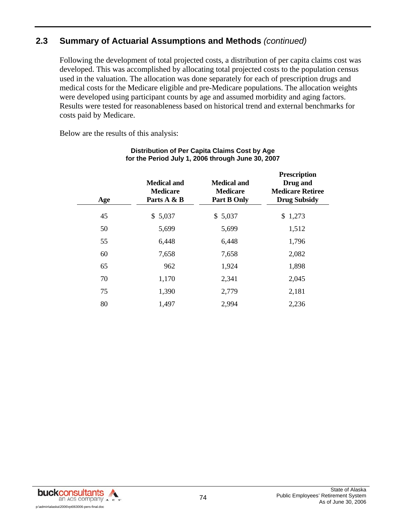## **2.3 Summary of Actuarial Assumptions and Methods** *(continued)*

Following the development of total projected costs, a distribution of per capita claims cost was developed. This was accomplished by allocating total projected costs to the population census used in the valuation. The allocation was done separately for each of prescription drugs and medical costs for the Medicare eligible and pre-Medicare populations. The allocation weights were developed using participant counts by age and assumed morbidity and aging factors. Results were tested for reasonableness based on historical trend and external benchmarks for costs paid by Medicare.

Below are the results of this analysis:

| Age | <b>Medical and</b><br><b>Medicare</b><br>Parts A & B | <b>Medical and</b><br><b>Medicare</b><br><b>Part B Only</b> | <b>Prescription</b><br>Drug and<br><b>Medicare Retiree</b><br><b>Drug Subsidy</b> |
|-----|------------------------------------------------------|-------------------------------------------------------------|-----------------------------------------------------------------------------------|
| 45  | \$5,037                                              | \$5,037                                                     | \$1,273                                                                           |
| 50  | 5,699                                                | 5,699                                                       | 1,512                                                                             |
| 55  | 6,448                                                | 6,448                                                       | 1,796                                                                             |
| 60  | 7,658                                                | 7,658                                                       | 2,082                                                                             |
| 65  | 962                                                  | 1,924                                                       | 1,898                                                                             |
| 70  | 1,170                                                | 2,341                                                       | 2,045                                                                             |
| 75  | 1,390                                                | 2,779                                                       | 2,181                                                                             |
| 80  | 1,497                                                | 2,994                                                       | 2,236                                                                             |

#### **Distribution of Per Capita Claims Cost by Age for the Period July 1, 2006 through June 30, 2007**

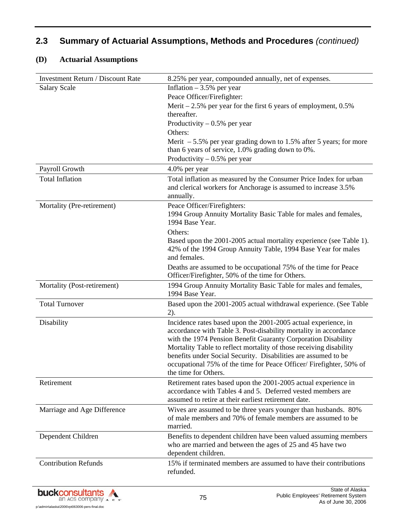#### **(D) Actuarial Assumptions**

| <b>Investment Return / Discount Rate</b> | 8.25% per year, compounded annually, net of expenses.                                                                                                                                                                                                                                                                                                                                                                                     |
|------------------------------------------|-------------------------------------------------------------------------------------------------------------------------------------------------------------------------------------------------------------------------------------------------------------------------------------------------------------------------------------------------------------------------------------------------------------------------------------------|
| <b>Salary Scale</b>                      | Inflation $-3.5%$ per year                                                                                                                                                                                                                                                                                                                                                                                                                |
|                                          | Peace Officer/Firefighter:                                                                                                                                                                                                                                                                                                                                                                                                                |
|                                          | Merit $-2.5%$ per year for the first 6 years of employment, 0.5%                                                                                                                                                                                                                                                                                                                                                                          |
|                                          | thereafter.                                                                                                                                                                                                                                                                                                                                                                                                                               |
|                                          | Productivity $-0.5%$ per year                                                                                                                                                                                                                                                                                                                                                                                                             |
|                                          | Others:                                                                                                                                                                                                                                                                                                                                                                                                                                   |
|                                          | Merit $-5.5\%$ per year grading down to 1.5% after 5 years; for more<br>than 6 years of service, 1.0% grading down to 0%.                                                                                                                                                                                                                                                                                                                 |
|                                          | Productivity $-0.5%$ per year                                                                                                                                                                                                                                                                                                                                                                                                             |
| Payroll Growth                           | 4.0% per year                                                                                                                                                                                                                                                                                                                                                                                                                             |
| <b>Total Inflation</b>                   | Total inflation as measured by the Consumer Price Index for urban<br>and clerical workers for Anchorage is assumed to increase 3.5%<br>annually.                                                                                                                                                                                                                                                                                          |
| Mortality (Pre-retirement)               | Peace Officer/Firefighters:<br>1994 Group Annuity Mortality Basic Table for males and females,<br>1994 Base Year.                                                                                                                                                                                                                                                                                                                         |
|                                          | Others:<br>Based upon the 2001-2005 actual mortality experience (see Table 1).<br>42% of the 1994 Group Annuity Table, 1994 Base Year for males<br>and females.                                                                                                                                                                                                                                                                           |
|                                          | Deaths are assumed to be occupational 75% of the time for Peace<br>Officer/Firefighter, 50% of the time for Others.                                                                                                                                                                                                                                                                                                                       |
| Mortality (Post-retirement)              | 1994 Group Annuity Mortality Basic Table for males and females,<br>1994 Base Year.                                                                                                                                                                                                                                                                                                                                                        |
| <b>Total Turnover</b>                    | Based upon the 2001-2005 actual withdrawal experience. (See Table<br>$2)$ .                                                                                                                                                                                                                                                                                                                                                               |
| Disability                               | Incidence rates based upon the 2001-2005 actual experience, in<br>accordance with Table 3. Post-disability mortality in accordance<br>with the 1974 Pension Benefit Guaranty Corporation Disability<br>Mortality Table to reflect mortality of those receiving disability<br>benefits under Social Security. Disabilities are assumed to be<br>occupational 75% of the time for Peace Officer/Firefighter, 50% of<br>the time for Others. |
| Retirement                               | Retirement rates based upon the 2001-2005 actual experience in<br>accordance with Tables 4 and 5. Deferred vested members are<br>assumed to retire at their earliest retirement date.                                                                                                                                                                                                                                                     |
| Marriage and Age Difference              | Wives are assumed to be three years younger than husbands. 80%<br>of male members and 70% of female members are assumed to be<br>married.                                                                                                                                                                                                                                                                                                 |
| Dependent Children                       | Benefits to dependent children have been valued assuming members<br>who are married and between the ages of 25 and 45 have two<br>dependent children.                                                                                                                                                                                                                                                                                     |
| <b>Contribution Refunds</b>              | 15% if terminated members are assumed to have their contributions<br>refunded.                                                                                                                                                                                                                                                                                                                                                            |

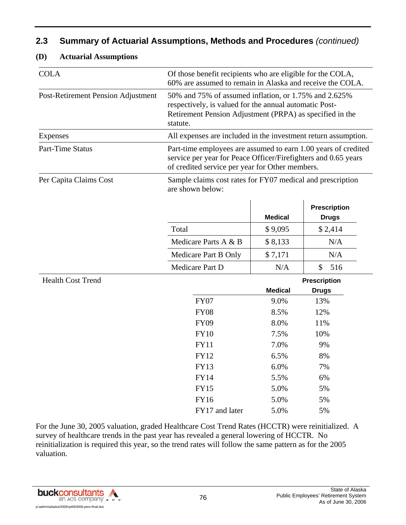| <b>COLA</b>                        | Of those benefit recipients who are eligible for the COLA,<br>60% are assumed to remain in Alaska and receive the COLA.                                                                 |                |                     |  |  |  |
|------------------------------------|-----------------------------------------------------------------------------------------------------------------------------------------------------------------------------------------|----------------|---------------------|--|--|--|
| Post-Retirement Pension Adjustment | 50% and 75% of assumed inflation, or 1.75% and 2.625%<br>respectively, is valued for the annual automatic Post-<br>Retirement Pension Adjustment (PRPA) as specified in the<br>statute. |                |                     |  |  |  |
| Expenses                           | All expenses are included in the investment return assumption.                                                                                                                          |                |                     |  |  |  |
| <b>Part-Time Status</b>            | Part-time employees are assumed to earn 1.00 years of credited<br>service per year for Peace Officer/Firefighters and 0.65 years<br>of credited service per year for Other members.     |                |                     |  |  |  |
| Per Capita Claims Cost             | Sample claims cost rates for FY07 medical and prescription<br>are shown below:                                                                                                          |                |                     |  |  |  |
|                                    |                                                                                                                                                                                         |                | <b>Prescription</b> |  |  |  |
|                                    |                                                                                                                                                                                         | <b>Medical</b> | <b>Drugs</b>        |  |  |  |
|                                    | Total                                                                                                                                                                                   | \$9,095        | \$2,414             |  |  |  |
|                                    | Medicare Parts A & B                                                                                                                                                                    | \$8,133        | N/A                 |  |  |  |
|                                    | Medicare Part B Only                                                                                                                                                                    | \$7,171        | N/A                 |  |  |  |
|                                    | Medicare Part D                                                                                                                                                                         | N/A            | \$<br>516           |  |  |  |
| <b>Health Cost Trend</b>           |                                                                                                                                                                                         |                | <b>Prescription</b> |  |  |  |
|                                    |                                                                                                                                                                                         | <b>Medical</b> | <b>Drugs</b>        |  |  |  |
|                                    | <b>FY07</b>                                                                                                                                                                             | 9.0%           | 13%                 |  |  |  |
|                                    | <b>FY08</b>                                                                                                                                                                             | 8.5%           | 12%                 |  |  |  |
|                                    | <b>FY09</b>                                                                                                                                                                             | 8.0%           | 11%                 |  |  |  |
|                                    | <b>FY10</b>                                                                                                                                                                             | 7.5%           | 10%                 |  |  |  |
|                                    | <b>FY11</b>                                                                                                                                                                             | 7.0%           | 9%                  |  |  |  |
|                                    | <b>FY12</b>                                                                                                                                                                             | 6.5%           | 8%                  |  |  |  |
|                                    | <b>FY13</b>                                                                                                                                                                             | 6.0%           | 7%                  |  |  |  |
|                                    | <b>FY14</b>                                                                                                                                                                             | 5.5%           | 6%                  |  |  |  |
|                                    | <b>FY15</b>                                                                                                                                                                             | 5.0%           | 5%                  |  |  |  |
|                                    | <b>FY16</b>                                                                                                                                                                             | 5.0%           | 5%                  |  |  |  |
|                                    | FY17 and later                                                                                                                                                                          | 5.0%           | 5%                  |  |  |  |

#### **(D) Actuarial Assumptions**

For the June 30, 2005 valuation, graded Healthcare Cost Trend Rates (HCCTR) were reinitialized. A survey of healthcare trends in the past year has revealed a general lowering of HCCTR. No reinitialization is required this year, so the trend rates will follow the same pattern as for the 2005 valuation.

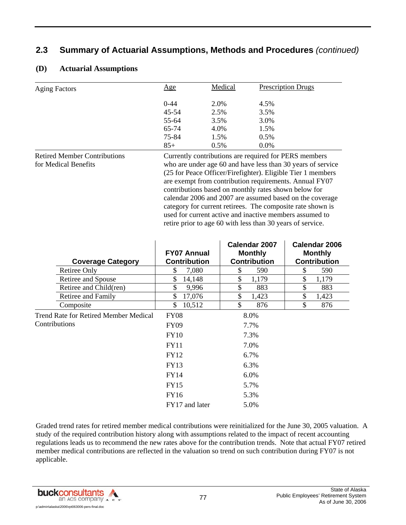| <b>Aging Factors</b> | Age      | Medical | Prescription Drugs |
|----------------------|----------|---------|--------------------|
|                      | $0 - 44$ | 2.0%    | 4.5%               |
|                      | 45-54    | 2.5%    | 3.5%               |
|                      | 55-64    | 3.5%    | 3.0%               |
|                      | 65-74    | 4.0%    | 1.5%               |
|                      | 75-84    | 1.5%    | $0.5\%$            |
|                      | $85+$    | 0.5%    | 0.0%               |

#### **(D) Actuarial Assumptions**

Retired Member Contributions for Medical Benefits

Currently contributions are required for PERS members who are under age 60 and have less than 30 years of service (25 for Peace Officer/Firefighter). Eligible Tier 1 members are exempt from contribution requirements. Annual FY07 contributions based on monthly rates shown below for calendar 2006 and 2007 are assumed based on the coverage category for current retirees. The composite rate shown is used for current active and inactive members assumed to retire prior to age 60 with less than 30 years of service.

| <b>Coverage Category</b>              | <b>FY07 Annual</b><br><b>Contribution</b> | Calendar 2007<br><b>Monthly</b><br><b>Contribution</b> | Calendar 2006<br><b>Monthly</b><br><b>Contribution</b> |
|---------------------------------------|-------------------------------------------|--------------------------------------------------------|--------------------------------------------------------|
| Retiree Only                          | S<br>7,080                                | \$<br>590                                              | \$<br>590                                              |
| Retiree and Spouse                    | \$<br>14,148                              | \$<br>1,179                                            | \$<br>1,179                                            |
| Retiree and Child(ren)                | \$<br>9,996                               | \$<br>883                                              | \$<br>883                                              |
| Retiree and Family                    | \$<br>17,076                              | \$<br>1,423                                            | \$<br>1,423                                            |
| Composite                             | \$.<br>10,512                             | \$<br>876                                              | \$<br>876                                              |
| Trend Rate for Retired Member Medical | <b>FY08</b>                               | 8.0%                                                   |                                                        |
| Contributions                         | <b>FY09</b>                               | 7.7%                                                   |                                                        |
|                                       | <b>FY10</b>                               | 7.3%                                                   |                                                        |
|                                       | <b>FY11</b>                               | 7.0%                                                   |                                                        |
|                                       | <b>FY12</b>                               | 6.7%                                                   |                                                        |
|                                       | FY13                                      | 6.3%                                                   |                                                        |
|                                       | <b>FY14</b>                               | 6.0%                                                   |                                                        |
|                                       | <b>FY15</b>                               | 5.7%                                                   |                                                        |
|                                       | FY16                                      | 5.3%                                                   |                                                        |
|                                       | FY17 and later                            | 5.0%                                                   |                                                        |

Graded trend rates for retired member medical contributions were reinitialized for the June 30, 2005 valuation. A study of the required contribution history along with assumptions related to the impact of recent accounting regulations leads us to recommend the new rates above for the contribution trends. Note that actual FY07 retired member medical contributions are reflected in the valuation so trend on such contribution during FY07 is not applicable.

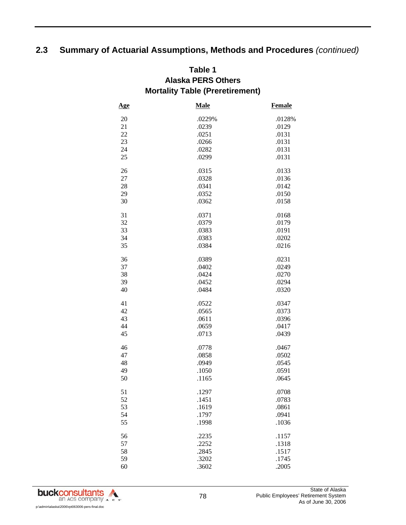## **Table 1 Alaska PERS Others Mortality Table (Preretirement)**

| <u>Age</u> | <b>Male</b> | <b>Female</b> |
|------------|-------------|---------------|
| 20         | .0229%      | .0128%        |
| 21         | .0239       | .0129         |
| 22         | .0251       | .0131         |
| 23         | .0266       | .0131         |
| 24         | .0282       | .0131         |
| 25         | .0299       | .0131         |
| 26         | .0315       | .0133         |
| 27         | .0328       | .0136         |
| 28         | .0341       | .0142         |
| 29         | .0352       | .0150         |
| 30         | .0362       | .0158         |
| 31         | .0371       | .0168         |
| 32         | .0379       | .0179         |
| 33         | .0383       | .0191         |
| 34         | .0383       | .0202         |
| 35         | .0384       | .0216         |
| 36         | .0389       | .0231         |
| 37         | .0402       | .0249         |
| 38         | .0424       | .0270         |
| 39         | .0452       | .0294         |
| 40         | .0484       | .0320         |
| 41         | .0522       | .0347         |
| 42         | .0565       | .0373         |
| 43         | .0611       | .0396         |
| 44         | .0659       | .0417         |
| 45         | .0713       | .0439         |
| 46         | .0778       | .0467         |
| 47         | .0858       | .0502         |
| 48         | .0949       | .0545         |
| 49         | .1050       | .0591         |
| 50         | .1165       | .0645         |
| 51         | .1297       | .0708         |
| 52         | .1451       | .0783         |
| 53         | .1619       | .0861         |
| 54         | .1797       | .0941         |
| 55         | .1998       | .1036         |
| 56         | .2235       | .1157         |
| 57         | .2252       | .1318         |
| 58         | .2845       | .1517         |
| 59         | .3202       | .1745         |
| 60         | .3602       | .2005         |

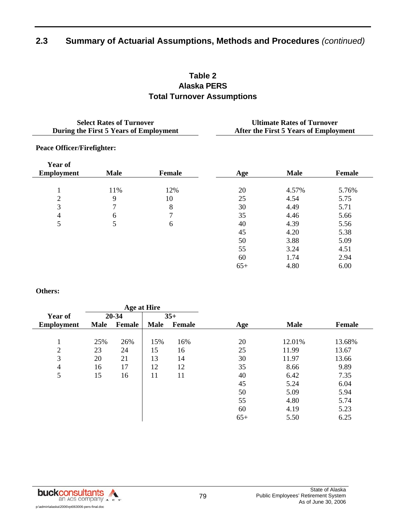## **Table 2 Alaska PERS Total Turnover Assumptions**

| <b>Select Rates of Turnover</b><br>During the First 5 Years of Employment |             |               | <b>Ultimate Rates of Turnover</b><br>After the First 5 Years of Employment |             |               |  |  |
|---------------------------------------------------------------------------|-------------|---------------|----------------------------------------------------------------------------|-------------|---------------|--|--|
| <b>Peace Officer/Firefighter:</b>                                         |             |               |                                                                            |             |               |  |  |
| <b>Year of</b><br><b>Employment</b>                                       | <b>Male</b> | <b>Female</b> | Age                                                                        | <b>Male</b> | <b>Female</b> |  |  |
|                                                                           | 11%         | 12%           | 20                                                                         | 4.57%       | 5.76%         |  |  |
| 2                                                                         | 9           | 10            | 25                                                                         | 4.54        | 5.75          |  |  |
| 3                                                                         |             | 8             | 30                                                                         | 4.49        | 5.71          |  |  |
| 4                                                                         | 6           | 7             | 35                                                                         | 4.46        | 5.66          |  |  |
| 5                                                                         | 5           | 6             | 40                                                                         | 4.39        | 5.56          |  |  |
|                                                                           |             |               | 45                                                                         | 4.20        | 5.38          |  |  |
|                                                                           |             |               | 50                                                                         | 3.88        | 5.09          |  |  |
|                                                                           |             |               | 55                                                                         | 3.24        | 4.51          |  |  |
|                                                                           |             |               | 60                                                                         | 1.74        | 2.94          |  |  |
|                                                                           |             |               | $65+$                                                                      | 4.80        | 6.00          |  |  |

**Others:** 

|                   | <b>Age at Hire</b> |        |             |               |       |             |               |
|-------------------|--------------------|--------|-------------|---------------|-------|-------------|---------------|
| <b>Year of</b>    |                    | 20-34  |             | $35+$         |       |             |               |
| <b>Employment</b> | <b>Male</b>        | Female | <b>Male</b> | <b>Female</b> | Age   | <b>Male</b> | <b>Female</b> |
|                   |                    |        |             |               |       |             |               |
|                   | 25%                | 26%    | 15%         | 16%           | 20    | 12.01%      | 13.68%        |
| $\overline{2}$    | 23                 | 24     | 15          | 16            | 25    | 11.99       | 13.67         |
| 3                 | 20                 | 21     | 13          | 14            | 30    | 11.97       | 13.66         |
| $\overline{4}$    | 16                 | 17     | 12          | 12            | 35    | 8.66        | 9.89          |
| 5                 | 15                 | 16     | 11          | 11            | 40    | 6.42        | 7.35          |
|                   |                    |        |             |               | 45    | 5.24        | 6.04          |
|                   |                    |        |             |               | 50    | 5.09        | 5.94          |
|                   |                    |        |             |               | 55    | 4.80        | 5.74          |
|                   |                    |        |             |               | 60    | 4.19        | 5.23          |
|                   |                    |        |             |               | $65+$ | 5.50        | 6.25          |

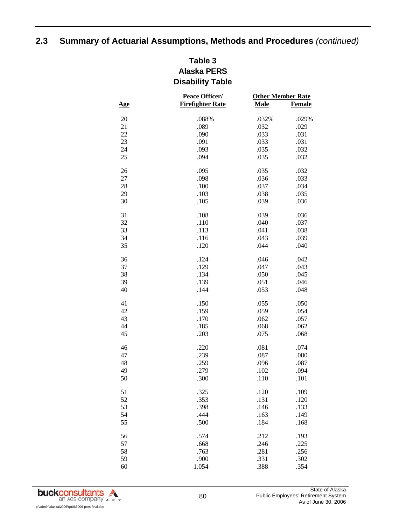## **Table 3 Alaska PERS Disability Table**

| <b>Firefighter Rate</b><br>Male<br><b>Female</b><br><u>Age</u><br>20<br>.088%<br>.032%<br>.029%<br>21<br>.089<br>.032<br>.029<br>22<br>.090<br>.033<br>.031<br>23<br>.091<br>.033<br>.031<br>24<br>.093<br>.035<br>.032<br>25<br>.094<br>.032<br>.035<br>26<br>.095<br>.035<br>.032<br>27<br>.033<br>.098<br>.036<br>28<br>.100<br>.034<br>.037<br>29<br>.103<br>.035<br>.038<br>30<br>.105<br>.039<br>.036<br>31<br>.108<br>.036<br>.039<br>32<br>.110<br>.040<br>.037<br>33<br>.113<br>.041<br>.038<br>34<br>.116<br>.039<br>.043<br>35<br>.120<br>.044<br>.040<br>36<br>.124<br>.046<br>.042<br>37<br>.129<br>.047<br>.043<br>38<br>.134<br>.050<br>.045<br>39<br>.139<br>.051<br>.046<br>40<br>.144<br>.053<br>.048<br>41<br>.150<br>.055<br>.050<br>42<br>.159<br>.054<br>.059<br>43<br>.170<br>.062<br>.057<br>44<br>.185<br>.062<br>.068<br>45<br>.203<br>.075<br>.068<br>46<br>.081<br>.220<br>.074<br>47<br>.239<br>.080<br>.087<br>48<br>.259<br>.096<br>.087<br>49<br>.279<br>.102<br>.094<br>50<br>.300<br>.110<br>.101<br>51<br>.325<br>.120<br>.109<br>52<br>.353<br>.131<br>.120<br>53<br>.146<br>.398<br>.133<br>54<br>.444<br>.163<br>.149<br>55<br>.184<br>.500<br>.168<br>56<br>.574<br>.212<br>.193<br>57<br>.668<br>.246<br>.225<br>58<br>.763<br>.281<br>.256<br>59<br>.331<br>.900<br>.302<br>60<br>.388<br>.354<br>1.054 | Peace Officer/ | <b>Other Member Rate</b> |  |  |
|--------------------------------------------------------------------------------------------------------------------------------------------------------------------------------------------------------------------------------------------------------------------------------------------------------------------------------------------------------------------------------------------------------------------------------------------------------------------------------------------------------------------------------------------------------------------------------------------------------------------------------------------------------------------------------------------------------------------------------------------------------------------------------------------------------------------------------------------------------------------------------------------------------------------------------------------------------------------------------------------------------------------------------------------------------------------------------------------------------------------------------------------------------------------------------------------------------------------------------------------------------------------------------------------------------------------------------------------------|----------------|--------------------------|--|--|
|                                                                                                                                                                                                                                                                                                                                                                                                                                                                                                                                                                                                                                                                                                                                                                                                                                                                                                                                                                                                                                                                                                                                                                                                                                                                                                                                                  |                |                          |  |  |
|                                                                                                                                                                                                                                                                                                                                                                                                                                                                                                                                                                                                                                                                                                                                                                                                                                                                                                                                                                                                                                                                                                                                                                                                                                                                                                                                                  |                |                          |  |  |
|                                                                                                                                                                                                                                                                                                                                                                                                                                                                                                                                                                                                                                                                                                                                                                                                                                                                                                                                                                                                                                                                                                                                                                                                                                                                                                                                                  |                |                          |  |  |
|                                                                                                                                                                                                                                                                                                                                                                                                                                                                                                                                                                                                                                                                                                                                                                                                                                                                                                                                                                                                                                                                                                                                                                                                                                                                                                                                                  |                |                          |  |  |
|                                                                                                                                                                                                                                                                                                                                                                                                                                                                                                                                                                                                                                                                                                                                                                                                                                                                                                                                                                                                                                                                                                                                                                                                                                                                                                                                                  |                |                          |  |  |
|                                                                                                                                                                                                                                                                                                                                                                                                                                                                                                                                                                                                                                                                                                                                                                                                                                                                                                                                                                                                                                                                                                                                                                                                                                                                                                                                                  |                |                          |  |  |
|                                                                                                                                                                                                                                                                                                                                                                                                                                                                                                                                                                                                                                                                                                                                                                                                                                                                                                                                                                                                                                                                                                                                                                                                                                                                                                                                                  |                |                          |  |  |
|                                                                                                                                                                                                                                                                                                                                                                                                                                                                                                                                                                                                                                                                                                                                                                                                                                                                                                                                                                                                                                                                                                                                                                                                                                                                                                                                                  |                |                          |  |  |
|                                                                                                                                                                                                                                                                                                                                                                                                                                                                                                                                                                                                                                                                                                                                                                                                                                                                                                                                                                                                                                                                                                                                                                                                                                                                                                                                                  |                |                          |  |  |
|                                                                                                                                                                                                                                                                                                                                                                                                                                                                                                                                                                                                                                                                                                                                                                                                                                                                                                                                                                                                                                                                                                                                                                                                                                                                                                                                                  |                |                          |  |  |
|                                                                                                                                                                                                                                                                                                                                                                                                                                                                                                                                                                                                                                                                                                                                                                                                                                                                                                                                                                                                                                                                                                                                                                                                                                                                                                                                                  |                |                          |  |  |
|                                                                                                                                                                                                                                                                                                                                                                                                                                                                                                                                                                                                                                                                                                                                                                                                                                                                                                                                                                                                                                                                                                                                                                                                                                                                                                                                                  |                |                          |  |  |
|                                                                                                                                                                                                                                                                                                                                                                                                                                                                                                                                                                                                                                                                                                                                                                                                                                                                                                                                                                                                                                                                                                                                                                                                                                                                                                                                                  |                |                          |  |  |
|                                                                                                                                                                                                                                                                                                                                                                                                                                                                                                                                                                                                                                                                                                                                                                                                                                                                                                                                                                                                                                                                                                                                                                                                                                                                                                                                                  |                |                          |  |  |
|                                                                                                                                                                                                                                                                                                                                                                                                                                                                                                                                                                                                                                                                                                                                                                                                                                                                                                                                                                                                                                                                                                                                                                                                                                                                                                                                                  |                |                          |  |  |
|                                                                                                                                                                                                                                                                                                                                                                                                                                                                                                                                                                                                                                                                                                                                                                                                                                                                                                                                                                                                                                                                                                                                                                                                                                                                                                                                                  |                |                          |  |  |
|                                                                                                                                                                                                                                                                                                                                                                                                                                                                                                                                                                                                                                                                                                                                                                                                                                                                                                                                                                                                                                                                                                                                                                                                                                                                                                                                                  |                |                          |  |  |
|                                                                                                                                                                                                                                                                                                                                                                                                                                                                                                                                                                                                                                                                                                                                                                                                                                                                                                                                                                                                                                                                                                                                                                                                                                                                                                                                                  |                |                          |  |  |
|                                                                                                                                                                                                                                                                                                                                                                                                                                                                                                                                                                                                                                                                                                                                                                                                                                                                                                                                                                                                                                                                                                                                                                                                                                                                                                                                                  |                |                          |  |  |
|                                                                                                                                                                                                                                                                                                                                                                                                                                                                                                                                                                                                                                                                                                                                                                                                                                                                                                                                                                                                                                                                                                                                                                                                                                                                                                                                                  |                |                          |  |  |
|                                                                                                                                                                                                                                                                                                                                                                                                                                                                                                                                                                                                                                                                                                                                                                                                                                                                                                                                                                                                                                                                                                                                                                                                                                                                                                                                                  |                |                          |  |  |
|                                                                                                                                                                                                                                                                                                                                                                                                                                                                                                                                                                                                                                                                                                                                                                                                                                                                                                                                                                                                                                                                                                                                                                                                                                                                                                                                                  |                |                          |  |  |
|                                                                                                                                                                                                                                                                                                                                                                                                                                                                                                                                                                                                                                                                                                                                                                                                                                                                                                                                                                                                                                                                                                                                                                                                                                                                                                                                                  |                |                          |  |  |
|                                                                                                                                                                                                                                                                                                                                                                                                                                                                                                                                                                                                                                                                                                                                                                                                                                                                                                                                                                                                                                                                                                                                                                                                                                                                                                                                                  |                |                          |  |  |
|                                                                                                                                                                                                                                                                                                                                                                                                                                                                                                                                                                                                                                                                                                                                                                                                                                                                                                                                                                                                                                                                                                                                                                                                                                                                                                                                                  |                |                          |  |  |
|                                                                                                                                                                                                                                                                                                                                                                                                                                                                                                                                                                                                                                                                                                                                                                                                                                                                                                                                                                                                                                                                                                                                                                                                                                                                                                                                                  |                |                          |  |  |
|                                                                                                                                                                                                                                                                                                                                                                                                                                                                                                                                                                                                                                                                                                                                                                                                                                                                                                                                                                                                                                                                                                                                                                                                                                                                                                                                                  |                |                          |  |  |
|                                                                                                                                                                                                                                                                                                                                                                                                                                                                                                                                                                                                                                                                                                                                                                                                                                                                                                                                                                                                                                                                                                                                                                                                                                                                                                                                                  |                |                          |  |  |
|                                                                                                                                                                                                                                                                                                                                                                                                                                                                                                                                                                                                                                                                                                                                                                                                                                                                                                                                                                                                                                                                                                                                                                                                                                                                                                                                                  |                |                          |  |  |
|                                                                                                                                                                                                                                                                                                                                                                                                                                                                                                                                                                                                                                                                                                                                                                                                                                                                                                                                                                                                                                                                                                                                                                                                                                                                                                                                                  |                |                          |  |  |
|                                                                                                                                                                                                                                                                                                                                                                                                                                                                                                                                                                                                                                                                                                                                                                                                                                                                                                                                                                                                                                                                                                                                                                                                                                                                                                                                                  |                |                          |  |  |
|                                                                                                                                                                                                                                                                                                                                                                                                                                                                                                                                                                                                                                                                                                                                                                                                                                                                                                                                                                                                                                                                                                                                                                                                                                                                                                                                                  |                |                          |  |  |
|                                                                                                                                                                                                                                                                                                                                                                                                                                                                                                                                                                                                                                                                                                                                                                                                                                                                                                                                                                                                                                                                                                                                                                                                                                                                                                                                                  |                |                          |  |  |
|                                                                                                                                                                                                                                                                                                                                                                                                                                                                                                                                                                                                                                                                                                                                                                                                                                                                                                                                                                                                                                                                                                                                                                                                                                                                                                                                                  |                |                          |  |  |
|                                                                                                                                                                                                                                                                                                                                                                                                                                                                                                                                                                                                                                                                                                                                                                                                                                                                                                                                                                                                                                                                                                                                                                                                                                                                                                                                                  |                |                          |  |  |
|                                                                                                                                                                                                                                                                                                                                                                                                                                                                                                                                                                                                                                                                                                                                                                                                                                                                                                                                                                                                                                                                                                                                                                                                                                                                                                                                                  |                |                          |  |  |
|                                                                                                                                                                                                                                                                                                                                                                                                                                                                                                                                                                                                                                                                                                                                                                                                                                                                                                                                                                                                                                                                                                                                                                                                                                                                                                                                                  |                |                          |  |  |
|                                                                                                                                                                                                                                                                                                                                                                                                                                                                                                                                                                                                                                                                                                                                                                                                                                                                                                                                                                                                                                                                                                                                                                                                                                                                                                                                                  |                |                          |  |  |
|                                                                                                                                                                                                                                                                                                                                                                                                                                                                                                                                                                                                                                                                                                                                                                                                                                                                                                                                                                                                                                                                                                                                                                                                                                                                                                                                                  |                |                          |  |  |
|                                                                                                                                                                                                                                                                                                                                                                                                                                                                                                                                                                                                                                                                                                                                                                                                                                                                                                                                                                                                                                                                                                                                                                                                                                                                                                                                                  |                |                          |  |  |
|                                                                                                                                                                                                                                                                                                                                                                                                                                                                                                                                                                                                                                                                                                                                                                                                                                                                                                                                                                                                                                                                                                                                                                                                                                                                                                                                                  |                |                          |  |  |
|                                                                                                                                                                                                                                                                                                                                                                                                                                                                                                                                                                                                                                                                                                                                                                                                                                                                                                                                                                                                                                                                                                                                                                                                                                                                                                                                                  |                |                          |  |  |
|                                                                                                                                                                                                                                                                                                                                                                                                                                                                                                                                                                                                                                                                                                                                                                                                                                                                                                                                                                                                                                                                                                                                                                                                                                                                                                                                                  |                |                          |  |  |

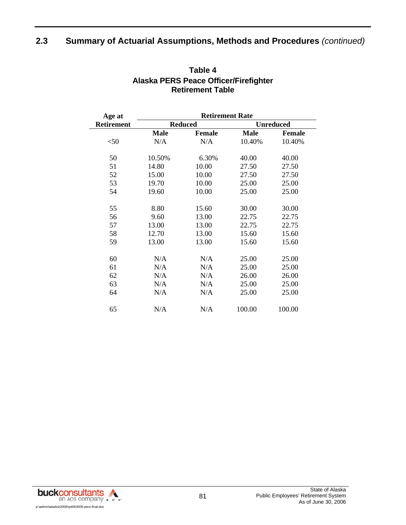| Age at            | <b>Retirement Rate</b> |                |                  |               |  |  |  |
|-------------------|------------------------|----------------|------------------|---------------|--|--|--|
| <b>Retirement</b> |                        | <b>Reduced</b> | <b>Unreduced</b> |               |  |  |  |
|                   | <b>Male</b>            | <b>Female</b>  | <b>Male</b>      | <b>Female</b> |  |  |  |
| $<$ 50            | N/A                    | N/A            | 10.40%           | 10.40%        |  |  |  |
| 50                | 10.50%                 | 6.30%          | 40.00            | 40.00         |  |  |  |
| 51                | 14.80                  | 10.00          | 27.50            | 27.50         |  |  |  |
| 52                | 15.00                  | 10.00          | 27.50            | 27.50         |  |  |  |
| 53                | 19.70                  | 10.00          | 25.00            | 25.00         |  |  |  |
| 54                | 19.60                  | 10.00          | 25.00            | 25.00         |  |  |  |
| 55                | 8.80                   | 15.60          | 30.00            | 30.00         |  |  |  |
| 56                | 9.60                   | 13.00          | 22.75            | 22.75         |  |  |  |
| 57                | 13.00                  | 13.00          | 22.75            | 22.75         |  |  |  |
| 58                | 12.70                  | 13.00          | 15.60            | 15.60         |  |  |  |
| 59                | 13.00                  | 13.00          | 15.60            | 15.60         |  |  |  |
| 60                | N/A                    | N/A            | 25.00            | 25.00         |  |  |  |
| 61                | N/A                    | N/A            | 25.00            | 25.00         |  |  |  |
| 62                | N/A                    | N/A            | 26.00            | 26.00         |  |  |  |
| 63                | N/A                    | N/A            | 25.00            | 25.00         |  |  |  |
| 64                | N/A                    | N/A            | 25.00            | 25.00         |  |  |  |
| 65                | N/A                    | N/A            | 100.00           | 100.00        |  |  |  |

#### **Table 4 Alaska PERS Peace Officer/Firefighter Retirement Table**

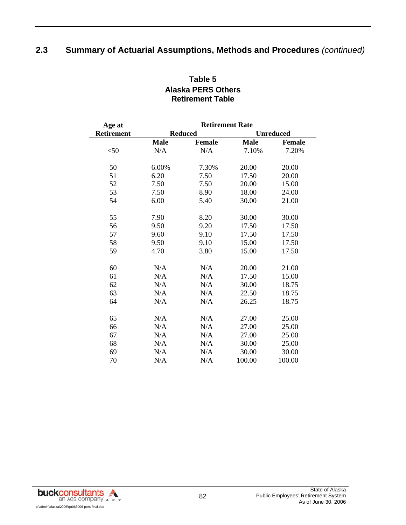| Age at     | <b>Retirement Rate</b> |                |                  |        |  |  |  |
|------------|------------------------|----------------|------------------|--------|--|--|--|
| Retirement |                        | <b>Reduced</b> | <b>Unreduced</b> |        |  |  |  |
|            | <b>Male</b>            | <b>Female</b>  | <b>Male</b>      | Female |  |  |  |
| $<$ 50     | N/A                    | N/A            | 7.10%            | 7.20%  |  |  |  |
| 50         | 6.00%                  | 7.30%          | 20.00            | 20.00  |  |  |  |
| 51         | 6.20                   | 7.50           | 17.50            | 20.00  |  |  |  |
| 52         | 7.50                   | 7.50           | 20.00            | 15.00  |  |  |  |
| 53         | 7.50                   | 8.90           | 18.00            | 24.00  |  |  |  |
| 54         | 6.00                   | 5.40           | 30.00            | 21.00  |  |  |  |
| 55         | 7.90                   | 8.20           | 30.00            | 30.00  |  |  |  |
| 56         | 9.50                   | 9.20           | 17.50            | 17.50  |  |  |  |
| 57         | 9.60                   | 9.10           | 17.50            | 17.50  |  |  |  |
| 58         | 9.50                   | 9.10           | 15.00            | 17.50  |  |  |  |
| 59         | 4.70                   | 3.80           | 15.00            | 17.50  |  |  |  |
| 60         | N/A                    | N/A            | 20.00            | 21.00  |  |  |  |
| 61         | N/A                    | N/A            | 17.50            | 15.00  |  |  |  |
| 62         | N/A                    | N/A            | 30.00            | 18.75  |  |  |  |
| 63         | N/A                    | N/A            | 22.50            | 18.75  |  |  |  |
| 64         | N/A                    | N/A            | 26.25            | 18.75  |  |  |  |
|            |                        |                |                  |        |  |  |  |
| 65         | N/A                    | N/A            | 27.00            | 25.00  |  |  |  |
| 66         | N/A                    | N/A            | 27.00            | 25.00  |  |  |  |
| 67         | N/A                    | N/A            | 27.00            | 25.00  |  |  |  |
| 68         | N/A                    | N/A            | 30.00            | 25.00  |  |  |  |
| 69         | N/A                    | N/A            | 30.00            | 30.00  |  |  |  |
| 70         | N/A                    | N/A            | 100.00           | 100.00 |  |  |  |

## **Table 5 Alaska PERS Others Retirement Table**

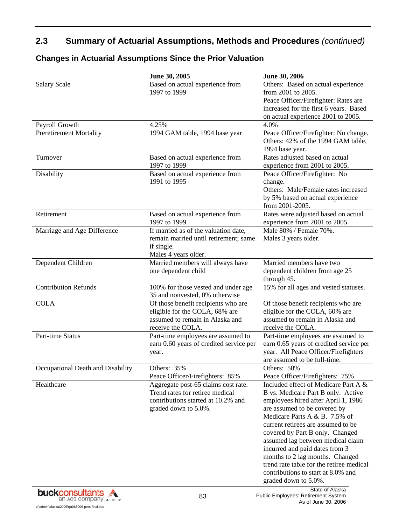|                                   | June 30, 2005                                                                                                                        | June 30, 2006                                                                                                                                                                                                                                                                                                                                                                                                                                                                   |
|-----------------------------------|--------------------------------------------------------------------------------------------------------------------------------------|---------------------------------------------------------------------------------------------------------------------------------------------------------------------------------------------------------------------------------------------------------------------------------------------------------------------------------------------------------------------------------------------------------------------------------------------------------------------------------|
| <b>Salary Scale</b>               | Based on actual experience from<br>1997 to 1999                                                                                      | Others: Based on actual experience<br>from 2001 to 2005.<br>Peace Officer/Firefighter: Rates are<br>increased for the first 6 years. Based<br>on actual experience 2001 to 2005.                                                                                                                                                                                                                                                                                                |
| Payroll Growth                    | 4.25%                                                                                                                                | 4.0%                                                                                                                                                                                                                                                                                                                                                                                                                                                                            |
| <b>Preretirement Mortality</b>    | 1994 GAM table, 1994 base year                                                                                                       | Peace Officer/Firefighter: No change.<br>Others: 42% of the 1994 GAM table,<br>1994 base year.                                                                                                                                                                                                                                                                                                                                                                                  |
| Turnover                          | Based on actual experience from<br>1997 to 1999                                                                                      | Rates adjusted based on actual<br>experience from 2001 to 2005.                                                                                                                                                                                                                                                                                                                                                                                                                 |
| Disability                        | Based on actual experience from<br>1991 to 1995                                                                                      | Peace Officer/Firefighter: No<br>change.<br>Others: Male/Female rates increased<br>by 5% based on actual experience<br>from 2001-2005.                                                                                                                                                                                                                                                                                                                                          |
| Retirement                        | Based on actual experience from<br>1997 to 1999                                                                                      | Rates were adjusted based on actual<br>experience from 2001 to 2005.                                                                                                                                                                                                                                                                                                                                                                                                            |
| Marriage and Age Difference       | If married as of the valuation date,<br>remain married until retirement; same<br>if single.<br>Males 4 years older.                  | Male 80% / Female 70%.<br>Males 3 years older.                                                                                                                                                                                                                                                                                                                                                                                                                                  |
| Dependent Children                | Married members will always have<br>one dependent child                                                                              | Married members have two<br>dependent children from age 25<br>through 45.                                                                                                                                                                                                                                                                                                                                                                                                       |
| <b>Contribution Refunds</b>       | 100% for those vested and under age<br>35 and nonvested, 0% otherwise                                                                | 15% for all ages and vested statuses.                                                                                                                                                                                                                                                                                                                                                                                                                                           |
| <b>COLA</b>                       | Of those benefit recipients who are<br>eligible for the COLA, 68% are<br>assumed to remain in Alaska and<br>receive the COLA.        | Of those benefit recipients who are<br>eligible for the COLA, 60% are<br>assumed to remain in Alaska and<br>receive the COLA.                                                                                                                                                                                                                                                                                                                                                   |
| Part-time Status                  | Part-time employees are assumed to<br>earn 0.60 years of credited service per<br>year.                                               | Part-time employees are assumed to<br>earn 0.65 years of credited service per<br>year. All Peace Officer/Firefighters<br>are assumed to be full-time.                                                                                                                                                                                                                                                                                                                           |
| Occupational Death and Disability | Others: 35%<br>Peace Officer/Firefighters: 85%                                                                                       | Others: 50%<br>Peace Officer/Firefighters: 75%                                                                                                                                                                                                                                                                                                                                                                                                                                  |
| Healthcare                        | Aggregate post-65 claims cost rate.<br>Trend rates for retiree medical<br>contributions started at 10.2% and<br>graded down to 5.0%. | Included effect of Medicare Part A &<br>B vs. Medicare Part B only. Active<br>employees hired after April 1, 1986<br>are assumed to be covered by<br>Medicare Parts A & B. 7.5% of<br>current retirees are assumed to be<br>covered by Part B only. Changed<br>assumed lag between medical claim<br>incurred and paid dates from 3<br>months to 2 lag months. Changed<br>trend rate table for the retiree medical<br>contributions to start at 8.0% and<br>graded down to 5.0%. |

### **Changes in Actuarial Assumptions Since the Prior Valuation**

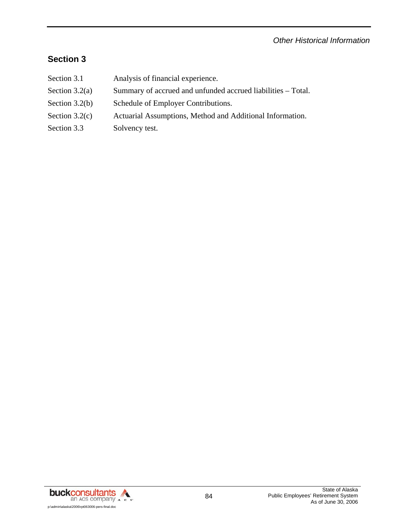#### *Other Historical Information*

## **Section 3**

Section 3.1 Analysis of financial experience. Section  $3.2(a)$  Summary of accrued and unfunded accrued liabilities – Total. Section 3.2(b) Schedule of Employer Contributions. Section 3.2(c) Actuarial Assumptions, Method and Additional Information. Section 3.3 Solvency test.

buckconsultants A an ACS company A c s' p:\admin\alaska\2006\rpt063006-pers-final.doc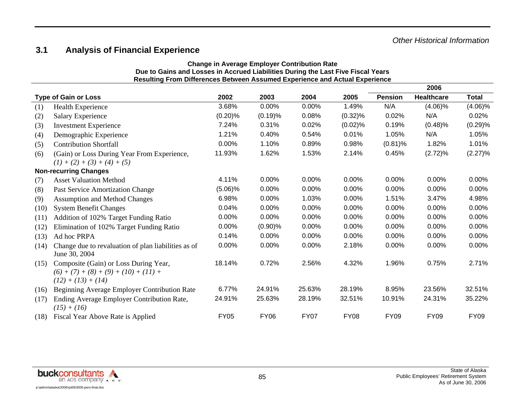# **3.1 Analysis of Financial Experience**

| <b>Change in Average Employer Contribution Rate</b>                              |  |  |  |  |  |
|----------------------------------------------------------------------------------|--|--|--|--|--|
| Due to Gains and Losses in Accrued Liabilities During the Last Five Fiscal Years |  |  |  |  |  |
| Resulting From Differences Between Assumed Experience and Actual Experience      |  |  |  |  |  |

|      |                                                                                                          |             |             |             |             |                | 2006              |              |
|------|----------------------------------------------------------------------------------------------------------|-------------|-------------|-------------|-------------|----------------|-------------------|--------------|
|      | <b>Type of Gain or Loss</b>                                                                              | 2002        | 2003        | 2004        | 2005        | <b>Pension</b> | <b>Healthcare</b> | <b>Total</b> |
| (1)  | Health Experience                                                                                        | 3.68%       | 0.00%       | 0.00%       | 1.49%       | N/A            | $(4.06)\%$        | $(4.06)\%$   |
| (2)  | <b>Salary Experience</b>                                                                                 | (0.20)%     | (0.19)%     | 0.08%       | $(0.32)\%$  | 0.02%          | N/A               | 0.02%        |
| (3)  | <b>Investment Experience</b>                                                                             | 7.24%       | 0.31%       | 0.02%       | (0.02)%     | 0.19%          | (0.48)%           | (0.29)%      |
| (4)  | Demographic Experience                                                                                   | 1.21%       | 0.40%       | 0.54%       | 0.01%       | 1.05%          | N/A               | 1.05%        |
| (5)  | <b>Contribution Shortfall</b>                                                                            | 0.00%       | 1.10%       | 0.89%       | 0.98%       | $(0.81)\%$     | 1.82%             | 1.01%        |
| (6)  | (Gain) or Loss During Year From Experience,<br>$(1) + (2) + (3) + (4) + (5)$                             | 11.93%      | 1.62%       | 1.53%       | 2.14%       | 0.45%          | (2.72)%           | (2.27)%      |
|      | <b>Non-recurring Changes</b>                                                                             |             |             |             |             |                |                   |              |
| (7)  | <b>Asset Valuation Method</b>                                                                            | 4.11%       | 0.00%       | 0.00%       | 0.00%       | 0.00%          | 0.00%             | 0.00%        |
| (8)  | Past Service Amortization Change                                                                         | $(5.06)\%$  | 0.00%       | 0.00%       | 0.00%       | 0.00%          | 0.00%             | 0.00%        |
| (9)  | <b>Assumption and Method Changes</b>                                                                     | 6.98%       | 0.00%       | 1.03%       | 0.00%       | 1.51%          | 3.47%             | 4.98%        |
| (10) | <b>System Benefit Changes</b>                                                                            | 0.04%       | 0.00%       | 0.00%       | 0.00%       | 0.00%          | 0.00%             | 0.00%        |
| (11) | Addition of 102% Target Funding Ratio                                                                    | 0.00%       | 0.00%       | 0.00%       | 0.00%       | 0.00%          | 0.00%             | 0.00%        |
| (12) | Elimination of 102% Target Funding Ratio                                                                 | 0.00%       | $(0.90)$ %  | 0.00%       | 0.00%       | 0.00%          | 0.00%             | 0.00%        |
| (13) | Ad hoc PRPA                                                                                              | 0.14%       | 0.00%       | 0.00%       | 0.00%       | 0.00%          | 0.00%             | 0.00%        |
| (14) | Change due to revaluation of plan liabilities as of<br>June 30, 2004                                     | 0.00%       | 0.00%       | 0.00%       | 2.18%       | 0.00%          | 0.00%             | 0.00%        |
| (15) | Composite (Gain) or Loss During Year,<br>$(6) + (7) + (8) + (9) + (10) + (11) +$<br>$(12) + (13) + (14)$ | 18.14%      | 0.72%       | 2.56%       | 4.32%       | 1.96%          | 0.75%             | 2.71%        |
| (16) | Beginning Average Employer Contribution Rate                                                             | 6.77%       | 24.91%      | 25.63%      | 28.19%      | 8.95%          | 23.56%            | 32.51%       |
| (17) | Ending Average Employer Contribution Rate,<br>$(15) + (16)$                                              | 24.91%      | 25.63%      | 28.19%      | 32.51%      | 10.91%         | 24.31%            | 35.22%       |
| (18) | Fiscal Year Above Rate is Applied                                                                        | <b>FY05</b> | <b>FY06</b> | <b>FY07</b> | <b>FY08</b> | <b>FY09</b>    | <b>FY09</b>       | <b>FY09</b>  |

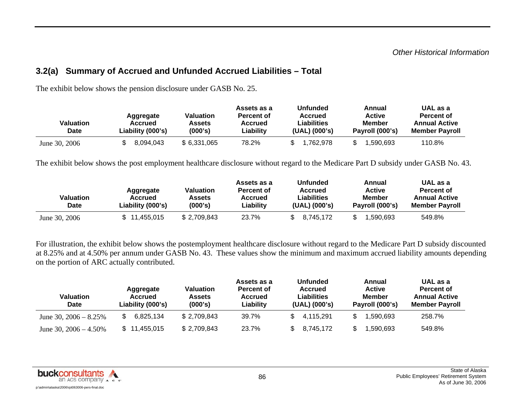### **3.2(a) Summary of Accrued and Unfunded Accrued Liabilities – Total**

| Valuation<br><b>Date</b> | Aggregate<br>Accrued<br>Liability (000's) | Valuation<br>Assets<br>(000's) | Assets as a<br>Percent of<br><b>Accrued</b><br>Liability | <b>Unfunded</b><br><b>Accrued</b><br>Liabilities<br>(UAL) (000's) | Annual<br><b>Active</b><br><b>Member</b><br>Payroll (000's) | UAL as a<br>Percent of<br><b>Annual Active</b><br><b>Member Pavroll</b> |
|--------------------------|-------------------------------------------|--------------------------------|----------------------------------------------------------|-------------------------------------------------------------------|-------------------------------------------------------------|-------------------------------------------------------------------------|
| June 30, 2006            | 8,094,043                                 | \$ 6,331,065                   | 78.2%                                                    | 1,762,978                                                         | 1.590.693                                                   | 110.8%                                                                  |

The exhibit below shows the pension disclosure under GASB No. 25.

The exhibit below shows the post employment healthcare disclosure without regard to the Medicare Part D subsidy under GASB No. 43.

| <b>Valuation</b><br>Date | Aggregate<br>Accrued<br>Liability (000's) | <b>Valuation</b><br>Assets<br>(000's) | Assets as a<br>Percent of<br>Accrued<br>Liability | Unfunded<br>Accrued<br>Liabilities<br>(UAL) (000's) | Annual<br><b>Active</b><br>Member<br>Payroll (000's) | UAL as a<br>Percent of<br><b>Annual Active</b><br><b>Member Payroll</b> |
|--------------------------|-------------------------------------------|---------------------------------------|---------------------------------------------------|-----------------------------------------------------|------------------------------------------------------|-------------------------------------------------------------------------|
| June 30, 2006            | \$11,455,015                              | \$2,709,843                           | 23.7%                                             | 8.745.172                                           | .590.693                                             | 549.8%                                                                  |

For illustration, the exhibit below shows the postemployment healthcare disclosure without regard to the Medicare Part D subsidy discounted at 8.25% and at 4.50% per annum under GASB No. 43. These values show the minimum and maximum accrued liability amounts depending on the portion of ARC actually contributed.

| Valuation<br>Date        | Aggregate<br>Accrued<br>Liability (000's) | <b>Valuation</b><br><b>Assets</b><br>(000's) | Assets as a<br><b>Percent of</b><br>Accrued<br>Liability | <b>Unfunded</b><br><b>Accrued</b><br>Liabilities<br>(UAL) (000's) | Annual<br><b>Active</b><br><b>Member</b><br>Payroll (000's) | UAL as a<br>Percent of<br><b>Annual Active</b><br><b>Member Payroll</b> |
|--------------------------|-------------------------------------------|----------------------------------------------|----------------------------------------------------------|-------------------------------------------------------------------|-------------------------------------------------------------|-------------------------------------------------------------------------|
| June 30, $2006 - 8.25\%$ | 6,825,134                                 | \$2,709,843                                  | 39.7%                                                    | 4.115.291                                                         | .590.693                                                    | 258.7%                                                                  |
| June 30, $2006 - 4.50\%$ | \$11,455,015                              | \$2,709,843                                  | 23.7%                                                    | 8,745,172                                                         | .590.693                                                    | 549.8%                                                                  |

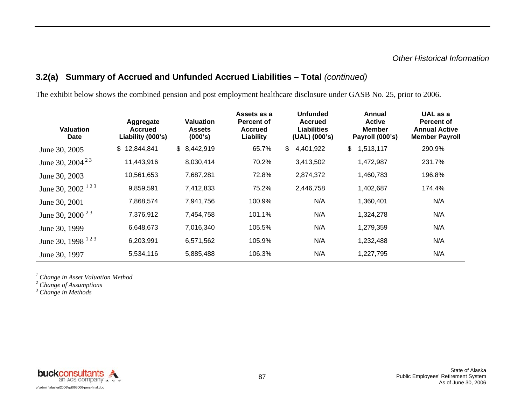## **3.2(a) Summary of Accrued and Unfunded Accrued Liabilities – Total** *(continued)*

The exhibit below shows the combined pension and post employment healthcare disclosure under GASB No. 25, prior to 2006.

| <b>Valuation</b><br><b>Date</b> | Aggregate<br><b>Accrued</b><br>Liability (000's) | Valuation<br><b>Assets</b><br>(000's) | Assets as a<br><b>Percent of</b><br><b>Accrued</b><br>Liability | <b>Unfunded</b><br><b>Accrued</b><br>Liabilities<br>(UAL) (000's) | Annual<br><b>Active</b><br><b>Member</b><br>Payroll (000's) | UAL as a<br>Percent of<br><b>Annual Active</b><br><b>Member Payroll</b> |
|---------------------------------|--------------------------------------------------|---------------------------------------|-----------------------------------------------------------------|-------------------------------------------------------------------|-------------------------------------------------------------|-------------------------------------------------------------------------|
| June 30, 2005                   | \$12,844,841                                     | \$8,442,919                           | 65.7%                                                           | \$<br>4,401,922                                                   | $\mathfrak{S}$<br>1,513,117                                 | 290.9%                                                                  |
| June 30, 2004 <sup>23</sup>     | 11,443,916                                       | 8,030,414                             | 70.2%                                                           | 3,413,502                                                         | 1,472,987                                                   | 231.7%                                                                  |
| June 30, 2003                   | 10,561,653                                       | 7,687,281                             | 72.8%                                                           | 2,874,372                                                         | 1,460,783                                                   | 196.8%                                                                  |
| June 30, 2002 <sup>123</sup>    | 9,859,591                                        | 7,412,833                             | 75.2%                                                           | 2,446,758                                                         | 1,402,687                                                   | 174.4%                                                                  |
| June 30, 2001                   | 7,868,574                                        | 7,941,756                             | 100.9%                                                          | N/A                                                               | 1,360,401                                                   | N/A                                                                     |
| June 30, 2000 $23$              | 7,376,912                                        | 7,454,758                             | 101.1%                                                          | N/A                                                               | 1,324,278                                                   | N/A                                                                     |
| June 30, 1999                   | 6,648,673                                        | 7,016,340                             | 105.5%                                                          | N/A                                                               | 1,279,359                                                   | N/A                                                                     |
| June 30, 1998 <sup>123</sup>    | 6,203,991                                        | 6,571,562                             | 105.9%                                                          | N/A                                                               | 1,232,488                                                   | N/A                                                                     |
| June 30, 1997                   | 5,534,116                                        | 5,885,488                             | 106.3%                                                          | N/A                                                               | 1,227,795                                                   | N/A                                                                     |

*1 Change in Asset Valuation Method* 

*2 Change of Assumptions* 

*3 Change in Methods*

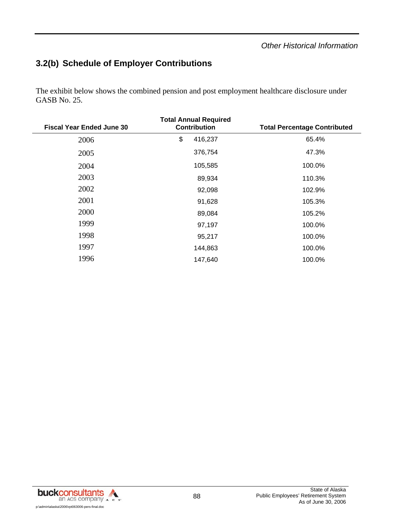#### *Other Historical Information*

# **3.2(b) Schedule of Employer Contributions**

The exhibit below shows the combined pension and post employment healthcare disclosure under GASB No. 25.

| <b>Fiscal Year Ended June 30</b> | <b>Total Annual Required</b><br><b>Contribution</b> | <b>Total Percentage Contributed</b> |
|----------------------------------|-----------------------------------------------------|-------------------------------------|
| 2006                             | \$<br>416,237                                       | 65.4%                               |
| 2005                             | 376,754                                             | 47.3%                               |
| 2004                             | 105,585                                             | 100.0%                              |
| 2003                             | 89,934                                              | 110.3%                              |
| 2002                             | 92,098                                              | 102.9%                              |
| 2001                             | 91,628                                              | 105.3%                              |
| 2000                             | 89,084                                              | 105.2%                              |
| 1999                             | 97,197                                              | 100.0%                              |
| 1998                             | 95,217                                              | 100.0%                              |
| 1997                             | 144,863                                             | 100.0%                              |
| 1996                             | 147,640                                             | 100.0%                              |

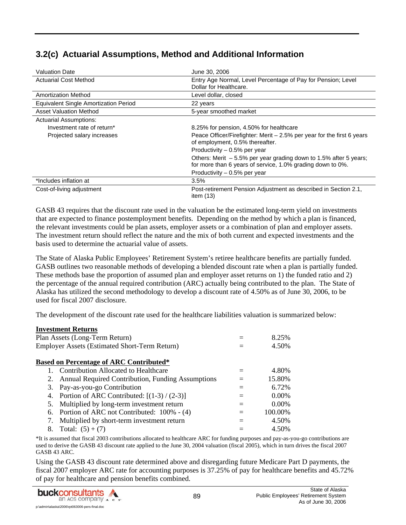# **3.2(c) Actuarial Assumptions, Method and Additional Information**

| <b>Valuation Date</b>                        | June 30, 2006                                                                                                                     |
|----------------------------------------------|-----------------------------------------------------------------------------------------------------------------------------------|
| <b>Actuarial Cost Method</b>                 | Entry Age Normal, Level Percentage of Pay for Pension; Level<br>Dollar for Healthcare.                                            |
| <b>Amortization Method</b>                   | Level dollar, closed                                                                                                              |
| <b>Equivalent Single Amortization Period</b> | 22 years                                                                                                                          |
| <b>Asset Valuation Method</b>                | 5-year smoothed market                                                                                                            |
| <b>Actuarial Assumptions:</b>                |                                                                                                                                   |
| Investment rate of return*                   | 8.25% for pension, 4.50% for healthcare                                                                                           |
| Projected salary increases                   | Peace Officer/Firefighter: Merit $-2.5%$ per year for the first 6 years<br>of employment, 0.5% thereafter.                        |
|                                              | Productivity – 0.5% per year                                                                                                      |
|                                              | Others: Merit $-5.5\%$ per year grading down to 1.5% after 5 years;<br>for more than 6 years of service, 1.0% grading down to 0%. |
|                                              | Productivity $-0.5%$ per year                                                                                                     |
| *Includes inflation at                       | 3.5%                                                                                                                              |
| Cost-of-living adjustment                    | Post-retirement Pension Adjustment as described in Section 2.1,<br>item $(13)$                                                    |

GASB 43 requires that the discount rate used in the valuation be the estimated long-term yield on investments that are expected to finance postemployment benefits. Depending on the method by which a plan is financed, the relevant investments could be plan assets, employer assets or a combination of plan and employer assets. The investment return should reflect the nature and the mix of both current and expected investments and the basis used to determine the actuarial value of assets.

The State of Alaska Public Employees' Retirement System's retiree healthcare benefits are partially funded. GASB outlines two reasonable methods of developing a blended discount rate when a plan is partially funded. These methods base the proportion of assumed plan and employer asset returns on 1) the funded ratio and 2) the percentage of the annual required contribution (ARC) actually being contributed to the plan. The State of Alaska has utilized the second methodology to develop a discount rate of 4.50% as of June 30, 2006, to be used for fiscal 2007 disclosure.

The development of the discount rate used for the healthcare liabilities valuation is summarized below:

|                                | <b>Investment Returns</b>                            |     |          |
|--------------------------------|------------------------------------------------------|-----|----------|
| Plan Assets (Long-Term Return) |                                                      |     | 8.25%    |
|                                | <b>Employer Assets (Estimated Short-Term Return)</b> |     | 4.50%    |
|                                | <b>Based on Percentage of ARC Contributed*</b>       |     |          |
|                                | Contribution Allocated to Healthcare                 |     | 4.80%    |
| 2.                             | Annual Required Contribution, Funding Assumptions    | $=$ | 15.80%   |
| 3.                             | Pay-as-you-go Contribution                           | $=$ | 6.72%    |
| 4.                             | Portion of ARC Contributed: $[(1-3)/(2-3)]$          | $=$ | $0.00\%$ |
| 5.                             | Multiplied by long-term investment return            | $=$ | 0.00%    |
| 6.                             | Portion of ARC not Contributed: 100% - (4)           | $=$ | 100.00%  |
| 7.                             | Multiplied by short-term investment return           |     | 4.50%    |
| 8.                             | Total: $(5) + (7)$                                   |     | 4.50%    |

\*It is assumed that fiscal 2003 contributions allocated to healthcare ARC for funding purposes and pay-as-you-go contributions are used to derive the GASB 43 discount rate applied to the June 30, 2004 valuation (fiscal 2005), which in turn drives the fiscal 2007 GASB 43 ARC.

Using the GASB 43 discount rate determined above and disregarding future Medicare Part D payments, the fiscal 2007 employer ARC rate for accounting purposes is 37.25% of pay for healthcare benefits and 45.72% of pay for healthcare and pension benefits combined.